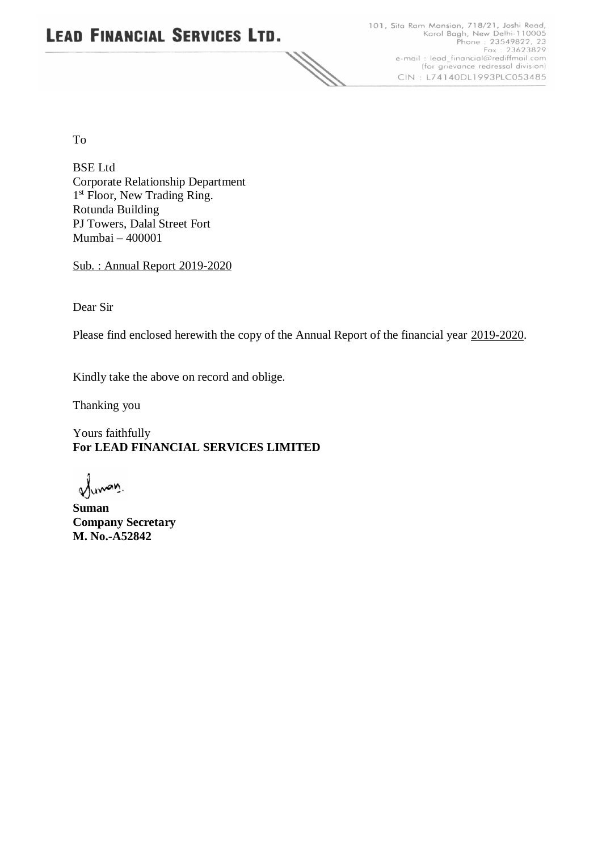# **LEAD FINANCIAL SERVICES LTD.** H.

101, Sita Ram Mansion, 718/21, Joshi Road,<br>Karol Bagh, New Delhi-110005<br>Phone : 23549822, 23<br>Fax : 23623829<br>e-mail : lead\_financial@rediffmail.com (for grievance redressal division) CIN: L74140DL1993PLC053485

To

BSE Ltd Corporate Relationship Department 1<sup>st</sup> Floor, New Trading Ring. Rotunda Building PJ Towers, Dalal Street Fort Mumbai – 400001

Sub. : Annual Report 2019-2020

Dear Sir

Please find enclosed herewith the copy of the Annual Report of the financial year 2019-2020.

Kindly take the above on record and oblige.

Thanking you

Yours faithfully **For LEAD FINANCIAL SERVICES LIMITED**

Junary.

**Suman Company Secretary M. No.-A52842**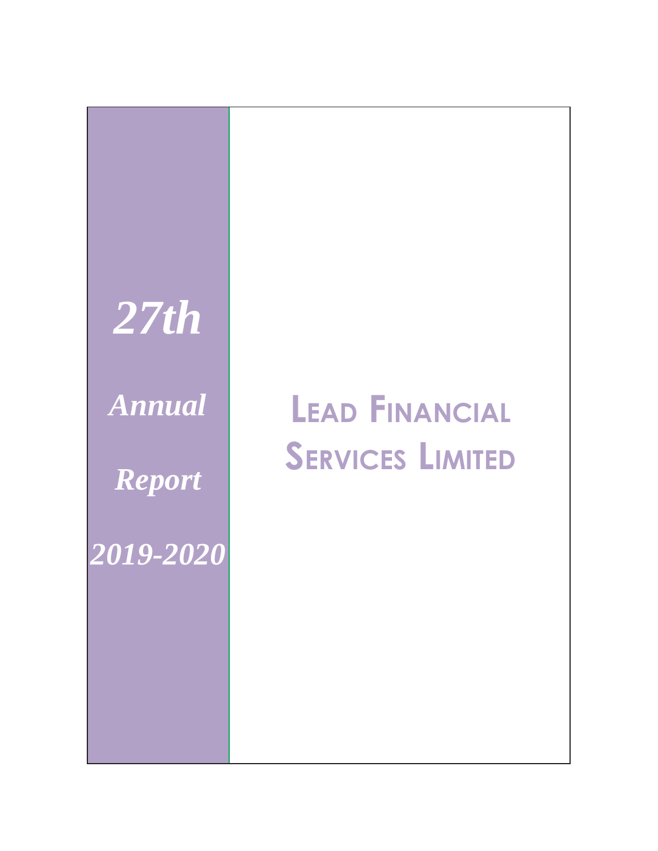

# *Annual* **LEAD FINANCIAL SERVICES LIMITED**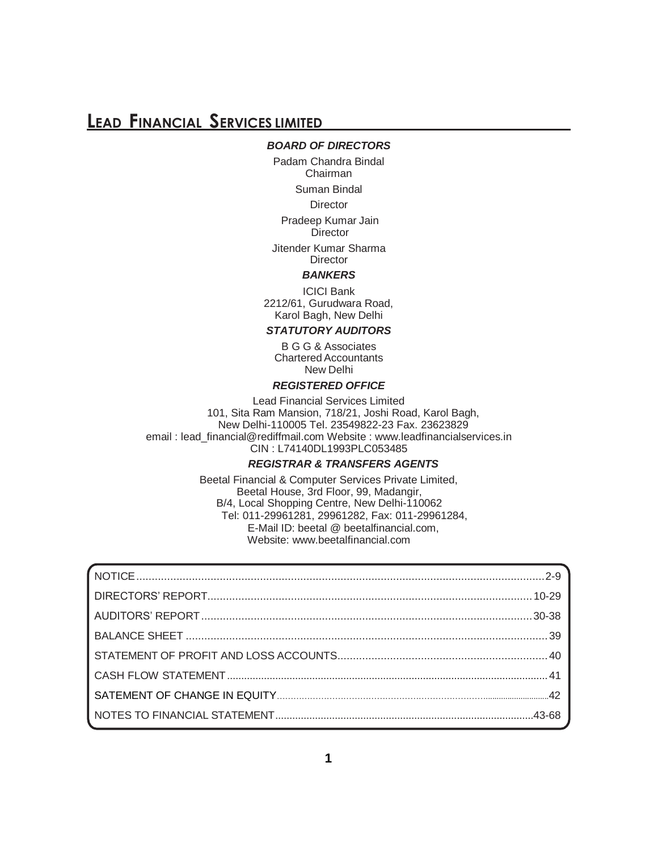### *BOARD OF DIRECTORS*

Padam Chandra Bindal Chairman

Suman Bindal

**Director** 

Pradeep Kumar Jain **Director** 

Jitender Kumar Sharma **Director** 

#### *BANKERS*

ICICI Bank 2212/61, Gurudwara Road, Karol Bagh, New Delhi

### *STATUTORY AUDITORS*

B G G & Associates CharteredAccountants New Delhi

### *REGISTERED OFFICE*

Lead Financial Services Limited 101, Sita Ram Mansion, 718/21, Joshi Road, Karol Bagh, New Delhi-110005 Tel. 23549822-23 Fax. 23623829 email : [lead\\_financial@rediffmail.com W](mailto:lead_financial@rediffmail.com)ebsite : [www.leadfinancialservices.in](http://www.leadfinancialservices.in/) CIN : L74140DL1993PLC053485

### *REGISTRAR & TRANSFERS AGENTS*

Beetal Financial & Computer Services Private Limited, Beetal House, 3rd Floor, 99, Madangir, B/4, Local Shopping Centre, New Delhi-110062 Tel: 011-29961281, 29961282, Fax: 011-29961284, E-Mail ID: beetal @ beetalfinancial.com, Website: [www.beetalfinancial.com](http://www.beetalfinancial.com/)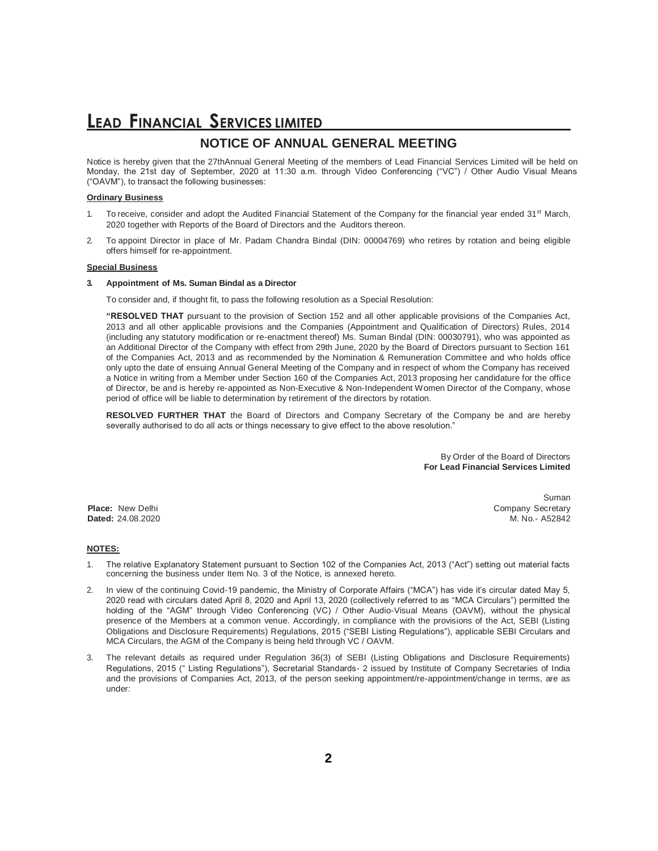### **LEAD FINANCIAL SERVICES LIMITED NOTICE OF ANNUAL GENERAL MEETING**

Notice is hereby given that the 27thAnnual General Meeting of the members of Lead Financial Services Limited will be held on Monday, the 21st day of September, 2020 at 11:30 a.m. through Video Conferencing ("VC") / Other Audio Visual Means ("OAVM"), to transact the following businesses:

#### **Ordinary Business**

- 1. To receive, consider and adopt the Audited Financial Statement of the Company for the financial year ended 31<sup>st</sup> March, 2020 together with Reports of the Board of Directors and the Auditors thereon.
- 2. To appoint Director in place of Mr. Padam Chandra Bindal (DIN: 00004769) who retires by rotation and being eligible offers himself for re-appointment.

#### **Special Business**

#### **3. Appointment of Ms. Suman Bindal as a Director**

To consider and, if thought fit, to pass the following resolution as a Special Resolution:

**"RESOLVED THAT** pursuant to the provision of Section 152 and all other applicable provisions of the Companies Act, 2013 and all other applicable provisions and the Companies (Appointment and Qualification of Directors) Rules, 2014 (including any statutory modification or re-enactment thereof) Ms. Suman Bindal (DIN: 00030791), who was appointed as an Additional Director of the Company with effect from 29th June, 2020 by the Board of Directors pursuant to Section 161 of the Companies Act, 2013 and as recommended by the Nomination & Remuneration Committee and who holds office only upto the date of ensuing Annual General Meeting of the Company and in respect of whom the Company has received a Notice in writing from a Member under Section 160 of the Companies Act, 2013 proposing her candidature for the office of Director, be and is hereby re-appointed as Non-Executive & Non-Independent Women Director of the Company, whose period of office will be liable to determination by retirement of the directors by rotation.

**RESOLVED FURTHER THAT** the Board of Directors and Company Secretary of the Company be and are hereby severally authorised to do all acts or things necessary to give effect to the above resolution."

> By Order of the Board of Directors **For Lead Financial Services Limited**

Suman **Place:** New Delhi Company Secretary and Company Secretary and Company Secretary and Company Secretary and Company Secretary **Dated:** 24.08.2020 M. No.- A52842

#### **NOTES:**

- 1. The relative Explanatory Statement pursuant to Section 102 of the Companies Act, 2013 ("Act") setting out material facts concerning the business under Item No. 3 of the Notice, is annexed hereto.
- 2. In view of the continuing Covid-19 pandemic, the Ministry of Corporate Affairs ("MCA") has vide it's circular dated May 5, 2020 read with circulars dated April 8, 2020 and April 13, 2020 (collectively referred to as "MCA Circulars") permitted the holding of the "AGM" through Video Conferencing (VC) / Other Audio-Visual Means (OAVM), without the physical presence of the Members at a common venue. Accordingly, in compliance with the provisions of the Act, SEBI (Listing Obligations and Disclosure Requirements) Regulations, 2015 ("SEBI Listing Regulations"), applicable SEBI Circulars and MCA Circulars, the AGM of the Company is being held through VC / OAVM.
- 3. The relevant details as required under Regulation 36(3) of SEBI (Listing Obligations and Disclosure Requirements) Regulations, 2015 (" Listing Regulations"), Secretarial Standards- 2 issued by Institute of Company Secretaries of India and the provisions of Companies Act, 2013, of the person seeking appointment/re-appointment/change in terms, are as under: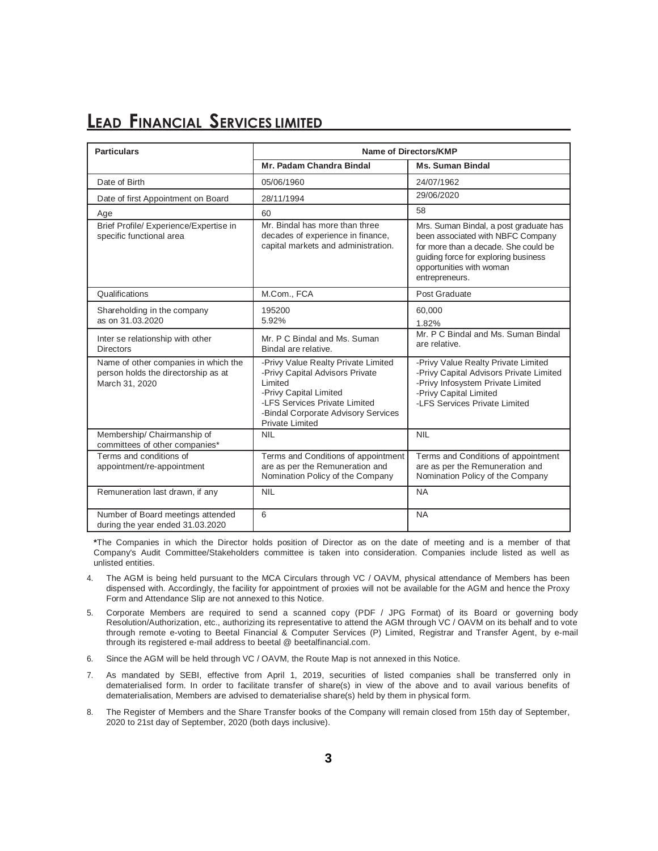| <b>Particulars</b>                                                                            | Name of Directors/KMP                                                                                                                                                                                         |                                                                                                                                                                                                           |  |
|-----------------------------------------------------------------------------------------------|---------------------------------------------------------------------------------------------------------------------------------------------------------------------------------------------------------------|-----------------------------------------------------------------------------------------------------------------------------------------------------------------------------------------------------------|--|
|                                                                                               | Mr. Padam Chandra Bindal                                                                                                                                                                                      | <b>Ms. Suman Bindal</b>                                                                                                                                                                                   |  |
| Date of Birth                                                                                 | 05/06/1960                                                                                                                                                                                                    | 24/07/1962                                                                                                                                                                                                |  |
| Date of first Appointment on Board                                                            | 28/11/1994                                                                                                                                                                                                    | 29/06/2020                                                                                                                                                                                                |  |
| Age                                                                                           | 60                                                                                                                                                                                                            | 58                                                                                                                                                                                                        |  |
| Brief Profile/ Experience/Expertise in<br>specific functional area                            | Mr. Bindal has more than three<br>decades of experience in finance,<br>capital markets and administration.                                                                                                    | Mrs. Suman Bindal, a post graduate has<br>been associated with NBFC Company<br>for more than a decade. She could be<br>guiding force for exploring business<br>opportunities with woman<br>entrepreneurs. |  |
| Qualifications                                                                                | M.Com., FCA                                                                                                                                                                                                   | Post Graduate                                                                                                                                                                                             |  |
| Shareholding in the company<br>as on 31.03.2020                                               | 195200<br>5.92%                                                                                                                                                                                               | 60,000<br>1.82%                                                                                                                                                                                           |  |
| Inter se relationship with other<br><b>Directors</b>                                          | Mr. P C Bindal and Ms. Suman<br>Bindal are relative.                                                                                                                                                          | Mr. P C Bindal and Ms. Suman Bindal<br>are relative.                                                                                                                                                      |  |
| Name of other companies in which the<br>person holds the directorship as at<br>March 31, 2020 | -Privy Value Realty Private Limited<br>-Privy Capital Advisors Private<br>Limited<br>-Privy Capital Limited<br>-LFS Services Private Limited<br>-Bindal Corporate Advisory Services<br><b>Private Limited</b> | -Privy Value Realty Private Limited<br>-Privy Capital Advisors Private Limited<br>-Privy Infosystem Private Limited<br>-Privy Capital Limited<br>-LFS Services Private Limited                            |  |
| Membership/ Chairmanship of<br>committees of other companies*                                 | <b>NIL</b>                                                                                                                                                                                                    | <b>NIL</b>                                                                                                                                                                                                |  |
| Terms and conditions of<br>appointment/re-appointment                                         | Terms and Conditions of appointment<br>are as per the Remuneration and<br>Nomination Policy of the Company                                                                                                    | Terms and Conditions of appointment<br>are as per the Remuneration and<br>Nomination Policy of the Company                                                                                                |  |
| Remuneration last drawn, if any                                                               | <b>NIL</b>                                                                                                                                                                                                    | <b>NA</b>                                                                                                                                                                                                 |  |
| Number of Board meetings attended<br>during the year ended 31.03.2020                         | 6                                                                                                                                                                                                             | <b>NA</b>                                                                                                                                                                                                 |  |

**\***The Companies in which the Director holds position of Director as on the date of meeting and is a member of that Company's Audit Committee/Stakeholders committee is taken into consideration. Companies include listed as well as unlisted entities.

- 4. The AGM is being held pursuant to the MCA Circulars through VC / OAVM, physical attendance of Members has been dispensed with. Accordingly, the facility for appointment of proxies will not be available for the AGM and hence the Proxy Form and Attendance Slip are not annexed to this Notice.
- 5. Corporate Members are required to send a scanned copy (PDF / JPG Format) of its Board or governing body Resolution/Authorization, etc., authorizing its representative to attend the AGM through VC / OAVM on its behalf and to vote through remote e-voting to Beetal Financial & Computer Services (P) Limited, Registrar and Transfer Agent, by e-mail through its registered e-mail address to beetal @ beetalfinancial.com.
- 6. Since the AGM will be held through VC / OAVM, the Route Map is not annexed in this Notice.
- 7. As mandated by SEBI, effective from April 1, 2019, securities of listed companies shall be transferred only in dematerialised form. In order to facilitate transfer of share(s) in view of the above and to avail various benefits of dematerialisation, Members are advised to dematerialise share(s) held by them in physical form.
- 8. The Register of Members and the Share Transfer books of the Company will remain closed from 15th day of September, 2020 to 21st day of September, 2020 (both days inclusive).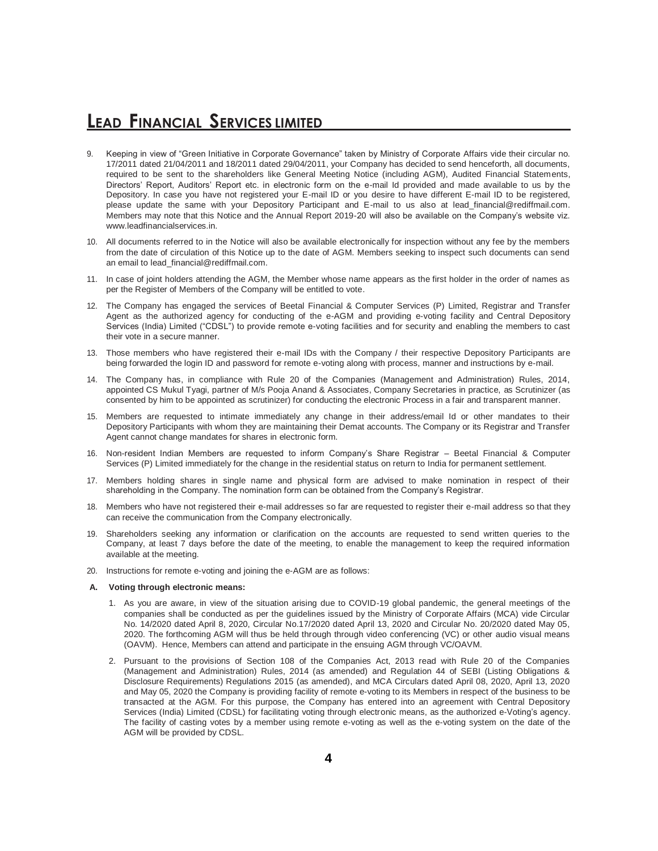- 9. Keeping in view of "Green Initiative in Corporate Governance" taken by Ministry of Corporate Affairs vide their circular no. 17/2011 dated 21/04/2011 and 18/2011 dated 29/04/2011, your Company has decided to send henceforth, all documents, required to be sent to the shareholders like General Meeting Notice (including AGM), Audited Financial Statements, Directors' Report, Auditors' Report etc. in electronic form on the e-mail Id provided and made available to us by the Depository. In case you have not registered your E-mail ID or you desire to have different E-mail ID to be registered, please update the same with your Depository Participant and E-mail to us also at lead\_financial@rediffmail.com. Members may note that this Notice and the Annual Report 2019-20 will also be available on the Company's website viz. www.leadfinancialservices.in.
- 10. All documents referred to in the Notice will also be available electronically for inspection without any fee by the members from the date of circulation of this Notice up to the date of AGM. Members seeking to inspect such documents can send an email to lead\_financial@rediffmail.com.
- 11. In case of joint holders attending the AGM, the Member whose name appears as the first holder in the order of names as per the Register of Members of the Company will be entitled to vote.
- 12. The Company has engaged the services of Beetal Financial & Computer Services (P) Limited, Registrar and Transfer Agent as the authorized agency for conducting of the e-AGM and providing e-voting facility and Central Depository Services (India) Limited ("CDSL") to provide remote e-voting facilities and for security and enabling the members to cast their vote in a secure manner.
- 13. Those members who have registered their e-mail IDs with the Company / their respective Depository Participants are being forwarded the login ID and password for remote e-voting along with process, manner and instructions by e-mail.
- 14. The Company has, in compliance with Rule 20 of the Companies (Management and Administration) Rules, 2014, appointed CS Mukul Tyagi, partner of M/s Pooja Anand & Associates, Company Secretaries in practice, as Scrutinizer (as consented by him to be appointed as scrutinizer) for conducting the electronic Process in a fair and transparent manner.
- 15. Members are requested to intimate immediately any change in their address/email Id or other mandates to their Depository Participants with whom they are maintaining their Demat accounts. The Company or its Registrar and Transfer Agent cannot change mandates for shares in electronic form.
- 16. Non-resident Indian Members are requested to inform Company's Share Registrar Beetal Financial & Computer Services (P) Limited immediately for the change in the residential status on return to India for permanent settlement.
- 17. Members holding shares in single name and physical form are advised to make nomination in respect of their shareholding in the Company. The nomination form can be obtained from the Company's Registrar.
- 18. Members who have not registered their e-mail addresses so far are requested to register their e-mail address so that they can receive the communication from the Company electronically.
- 19. Shareholders seeking any information or clarification on the accounts are requested to send written queries to the Company, at least 7 days before the date of the meeting, to enable the management to keep the required information available at the meeting.
- 20. Instructions for remote e-voting and joining the e-AGM are as follows:

#### **A. Voting through electronic means:**

- 1. As you are aware, in view of the situation arising due to COVID-19 global pandemic, the general meetings of the companies shall be conducted as per the guidelines issued by the Ministry of Corporate Affairs (MCA) vide Circular No. 14/2020 dated April 8, 2020, Circular No.17/2020 dated April 13, 2020 and Circular No. 20/2020 dated May 05, 2020. The forthcoming AGM will thus be held through through video conferencing (VC) or other audio visual means (OAVM). Hence, Members can attend and participate in the ensuing AGM through VC/OAVM.
- 2. Pursuant to the provisions of Section 108 of the Companies Act, 2013 read with Rule 20 of the Companies (Management and Administration) Rules, 2014 (as amended) and Regulation 44 of SEBI (Listing Obligations & Disclosure Requirements) Regulations 2015 (as amended), and MCA Circulars dated April 08, 2020, April 13, 2020 and May 05, 2020 the Company is providing facility of remote e-voting to its Members in respect of the business to be transacted at the AGM. For this purpose, the Company has entered into an agreement with Central Depository Services (India) Limited (CDSL) for facilitating voting through electronic means, as the authorized e-Voting's agency. The facility of casting votes by a member using remote e-voting as well as the e-voting system on the date of the AGM will be provided by CDSL.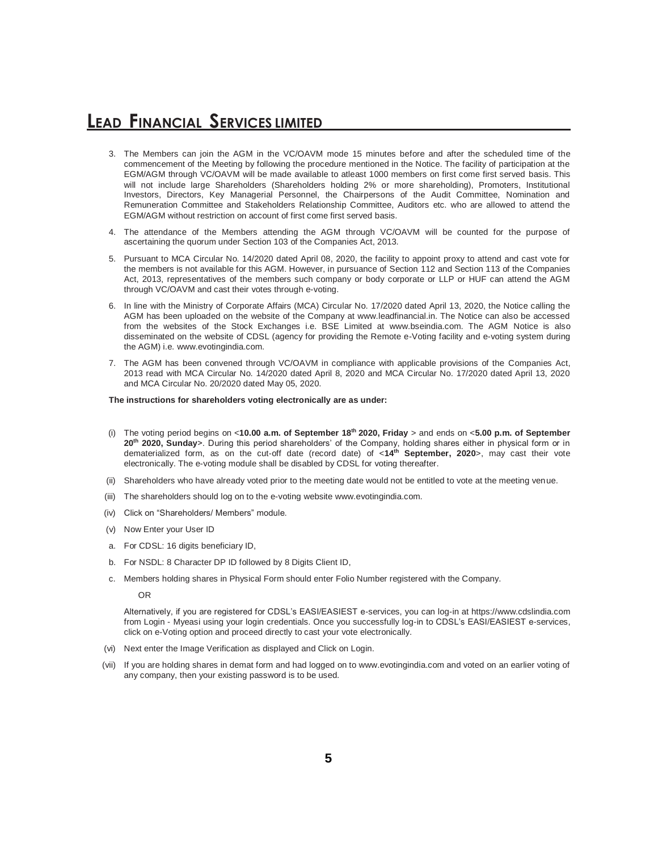- 3. The Members can join the AGM in the VC/OAVM mode 15 minutes before and after the scheduled time of the commencement of the Meeting by following the procedure mentioned in the Notice. The facility of participation at the EGM/AGM through VC/OAVM will be made available to atleast 1000 members on first come first served basis. This will not include large Shareholders (Shareholders holding 2% or more shareholding), Promoters, Institutional Investors, Directors, Key Managerial Personnel, the Chairpersons of the Audit Committee, Nomination and Remuneration Committee and Stakeholders Relationship Committee, Auditors etc. who are allowed to attend the EGM/AGM without restriction on account of first come first served basis.
- 4. The attendance of the Members attending the AGM through VC/OAVM will be counted for the purpose of ascertaining the quorum under Section 103 of the Companies Act, 2013.
- 5. Pursuant to MCA Circular No. 14/2020 dated April 08, 2020, the facility to appoint proxy to attend and cast vote for the members is not available for this AGM. However, in pursuance of Section 112 and Section 113 of the Companies Act, 2013, representatives of the members such company or body corporate or LLP or HUF can attend the AGM through VC/OAVM and cast their votes through e-voting.
- 6. In line with the Ministry of Corporate Affairs (MCA) Circular No. 17/2020 dated April 13, 2020, the Notice calling the AGM has been uploaded on the website of the Company at www.leadfinancial.in. The Notice can also be accessed from the websites of the Stock Exchanges i.e. BSE Limited at www.bseindia.com. The AGM Notice is also disseminated on the website of CDSL (agency for providing the Remote e-Voting facility and e-voting system during the AGM) i.e. www.evotingindia.com.
- 7. The AGM has been convened through VC/OAVM in compliance with applicable provisions of the Companies Act, 2013 read with MCA Circular No. 14/2020 dated April 8, 2020 and MCA Circular No. 17/2020 dated April 13, 2020 and MCA Circular No. 20/2020 dated May 05, 2020.

#### **The instructions for shareholders voting electronically are as under:**

- (i) The voting period begins on <**10.00 a.m. of September 18th 2020, Friday** > and ends on <**5.00 p.m. of September 20th 2020, Sunday**>. During this period shareholders' of the Company, holding shares either in physical form or in dematerialized form, as on the cut-off date (record date) of <**14th September, 2020**>, may cast their vote electronically. The e-voting module shall be disabled by CDSL for voting thereafter.
- (ii) Shareholders who have already voted prior to the meeting date would not be entitled to vote at the meeting venue.
- (iii) The shareholders should log on to the e-voting website www.evotingindia.com.
- (iv) Click on "Shareholders/ Members" module.
- (v) Now Enter your User ID
- a. For CDSL: 16 digits beneficiary ID,
- b. For NSDL: 8 Character DP ID followed by 8 Digits Client ID,
- c. Members holding shares in Physical Form should enter Folio Number registered with the Company.

OR

Alternatively, if you are registered for CDSL's EASI/EASIEST e-services, you can log-in at https://www.cdslindia.com from Login - Myeasi using your login credentials. Once you successfully log-in to CDSL's EASI/EASIEST e-services, click on e-Voting option and proceed directly to cast your vote electronically.

- (vi) Next enter the Image Verification as displayed and Click on Login.
- (vii) If you are holding shares in demat form and had logged on to www.evotingindia.com and voted on an earlier voting of any company, then your existing password is to be used.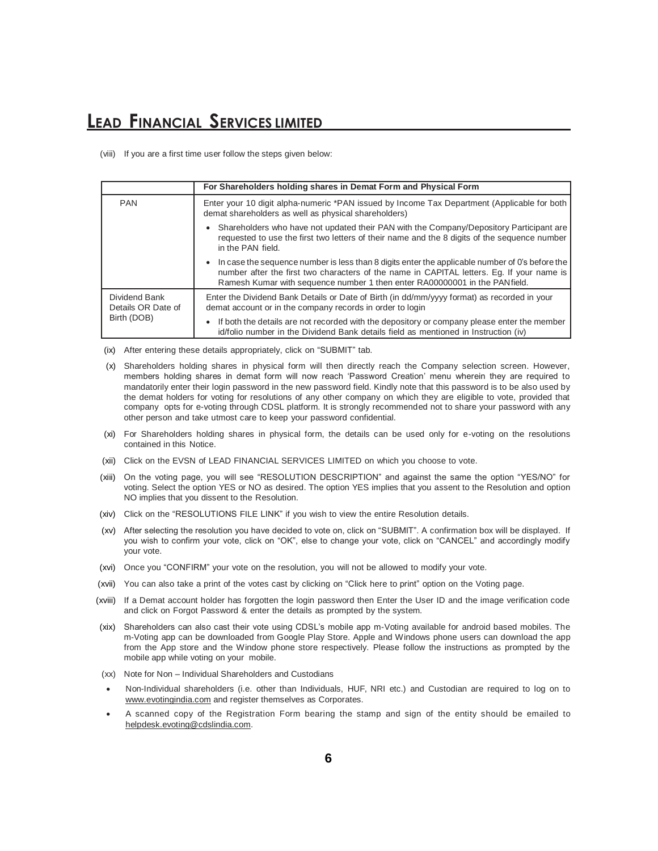(viii) If you are a first time user follow the steps given below:

|                                     | For Shareholders holding shares in Demat Form and Physical Form                                                                                                                                                                                                            |
|-------------------------------------|----------------------------------------------------------------------------------------------------------------------------------------------------------------------------------------------------------------------------------------------------------------------------|
| <b>PAN</b>                          | Enter your 10 digit alpha-numeric *PAN issued by Income Tax Department (Applicable for both<br>demat shareholders as well as physical shareholders)                                                                                                                        |
|                                     | Shareholders who have not updated their PAN with the Company/Depository Participant are<br>requested to use the first two letters of their name and the 8 digits of the sequence number<br>in the PAN field.                                                               |
|                                     | In case the sequence number is less than 8 digits enter the applicable number of 0's before the<br>number after the first two characters of the name in CAPITAL letters. Eg. If your name is<br>Ramesh Kumar with sequence number 1 then enter RA00000001 in the PANfield. |
| Dividend Bank<br>Details OR Date of | Enter the Dividend Bank Details or Date of Birth (in dd/mm/yyyy format) as recorded in your<br>demat account or in the company records in order to login                                                                                                                   |
| Birth (DOB)                         | If both the details are not recorded with the depository or company please enter the member<br>id/folio number in the Dividend Bank details field as mentioned in Instruction (iv)                                                                                         |

(ix) After entering these details appropriately, click on "SUBMIT" tab.

- (x) Shareholders holding shares in physical form will then directly reach the Company selection screen. However, members holding shares in demat form will now reach 'Password Creation' menu wherein they are required to mandatorily enter their login password in the new password field. Kindly note that this password is to be also used by the demat holders for voting for resolutions of any other company on which they are eligible to vote, provided that company opts for e-voting through CDSL platform. It is strongly recommended not to share your password with any other person and take utmost care to keep your password confidential.
- (xi) For Shareholders holding shares in physical form, the details can be used only for e-voting on the resolutions contained in this Notice.
- (xii) Click on the EVSN of LEAD FINANCIAL SERVICES LIMITED on which you choose to vote.
- (xiii) On the voting page, you will see "RESOLUTION DESCRIPTION" and against the same the option "YES/NO" for voting. Select the option YES or NO as desired. The option YES implies that you assent to the Resolution and option NO implies that you dissent to the Resolution.
- (xiv) Click on the "RESOLUTIONS FILE LINK" if you wish to view the entire Resolution details.
- (xv) After selecting the resolution you have decided to vote on, click on "SUBMIT". A confirmation box will be displayed. If you wish to confirm your vote, click on "OK", else to change your vote, click on "CANCEL" and accordingly modify your vote.
- (xvi) Once you "CONFIRM" your vote on the resolution, you will not be allowed to modify your vote.
- (xvii) You can also take a print of the votes cast by clicking on "Click here to print" option on the Voting page.
- (xviii) If a Demat account holder has forgotten the login password then Enter the User ID and the image verification code and click on Forgot Password & enter the details as prompted by the system.
- (xix) Shareholders can also cast their vote using CDSL's mobile app m-Voting available for android based mobiles. The m-Voting app can be downloaded from Google Play Store. Apple and Windows phone users can download the app from the App store and the Window phone store respectively. Please follow the instructions as prompted by the mobile app while voting on your mobile.
- (xx) Note for Non Individual Shareholders and Custodians
- Non-Individual shareholders (i.e. other than Individuals, HUF, NRI etc.) and Custodian are required to log on to [www.evotingindia.com](http://www.evotingindia.com/) and register themselves as Corporates.
- A scanned copy of the Registration Form bearing the stamp and sign of the entity should be emailed to [helpdesk.evoting@cdslindia.com.](mailto:helpdesk.evoting@cdslindia.com)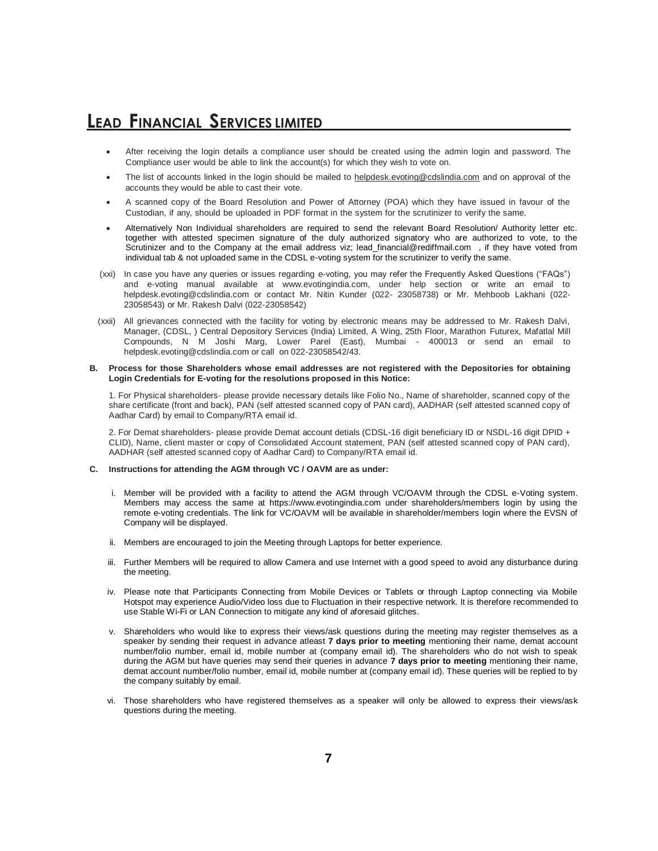- After receiving the login details a compliance user should be created using the admin login and password. The Compliance user would be able to link the account(s) for which they wish to vote on.
- The list of accounts linked in the login should be mailed to [helpdesk.evoting@cdslindia.com](mailto:helpdesk.evoting@cdslindia.com) and on approval of the accounts they would be able to cast their vote.
- A scanned copy of the Board Resolution and Power of Attorney (POA) which they have issued in favour of the Custodian, if any, should be uploaded in PDF format in the system for the scrutinizer to verify the same.
- Alternatively Non Individual shareholders are required to send the relevant Board Resolution/ Authority letter etc. together with attested specimen signature of the duly authorized signatory who are authorized to vote, to the Scrutinizer and to the Company at the email address viz; lead\_financial@rediffmail.com , if they have voted from individual tab & not uploaded same in the CDSL e-voting system for the scrutinizer to verify the same.
- (xxi) In case you have any queries or issues regarding e-voting, you may refer the Frequently Asked Questions ("FAQs") and e-voting manual available at www.evotingindia.com, under help section or write an email to helpdesk.evoting@cdslindia.com or contact Mr. Nitin Kunder (022- 23058738) or Mr. Mehboob Lakhani (022- 23058543) or Mr. Rakesh Dalvi (022-23058542)
- (xxii) All grievances connected with the facility for voting by electronic means may be addressed to Mr. Rakesh Dalvi, Manager, (CDSL, ) Central Depository Services (India) Limited, A Wing, 25th Floor, Marathon Futurex, Mafatlal Mill Compounds, N M Joshi Marg, Lower Parel (East), Mumbai - 400013 or send an email to helpdesk.evoting@cdslindia.com or call on 022-23058542/43.

#### **B. Process for those Shareholders whose email addresses are not registered with the Depositories for obtaining Login Credentials for E-voting for the resolutions proposed in this Notice:**

1. For Physical shareholders- please provide necessary details like Folio No., Name of shareholder, scanned copy of the share certificate (front and back), PAN (self attested scanned copy of PAN card), AADHAR (self attested scanned copy of Aadhar Card) by email to Company/RTA email id.

2. For Demat shareholders- please provide Demat account detials (CDSL-16 digit beneficiary ID or NSDL-16 digit DPID + CLID), Name, client master or copy of Consolidated Account statement, PAN (self attested scanned copy of PAN card), AADHAR (self attested scanned copy of Aadhar Card) to Company/RTA email id.

#### **C. Instructions for attending the AGM through VC / OAVM are as under:**

- i. Member will be provided with a facility to attend the AGM through VC/OAVM through the CDSL e-Voting system. Members may access the same at https://www.evotingindia.com under shareholders/members login by using the remote e-voting credentials. The link for VC/OAVM will be available in shareholder/members login where the EVSN of Company will be displayed.
- ii. Members are encouraged to join the Meeting through Laptops for better experience.
- iii. Further Members will be required to allow Camera and use Internet with a good speed to avoid any disturbance during the meeting.
- iv. Please note that Participants Connecting from Mobile Devices or Tablets or through Laptop connecting via Mobile Hotspot may experience Audio/Video loss due to Fluctuation in their respective network. It is therefore recommended to use Stable Wi-Fi or LAN Connection to mitigate any kind of aforesaid glitches.
- v. Shareholders who would like to express their views/ask questions during the meeting may register themselves as a speaker by sending their request in advance atleast **7 days prior to meeting** mentioning their name, demat account number/folio number, email id, mobile number at (company email id). The shareholders who do not wish to speak during the AGM but have queries may send their queries in advance **7 days prior to meeting** mentioning their name, demat account number/folio number, email id, mobile number at (company email id). These queries will be replied to by the company suitably by email.
- vi. Those shareholders who have registered themselves as a speaker will only be allowed to express their views/ask questions during the meeting.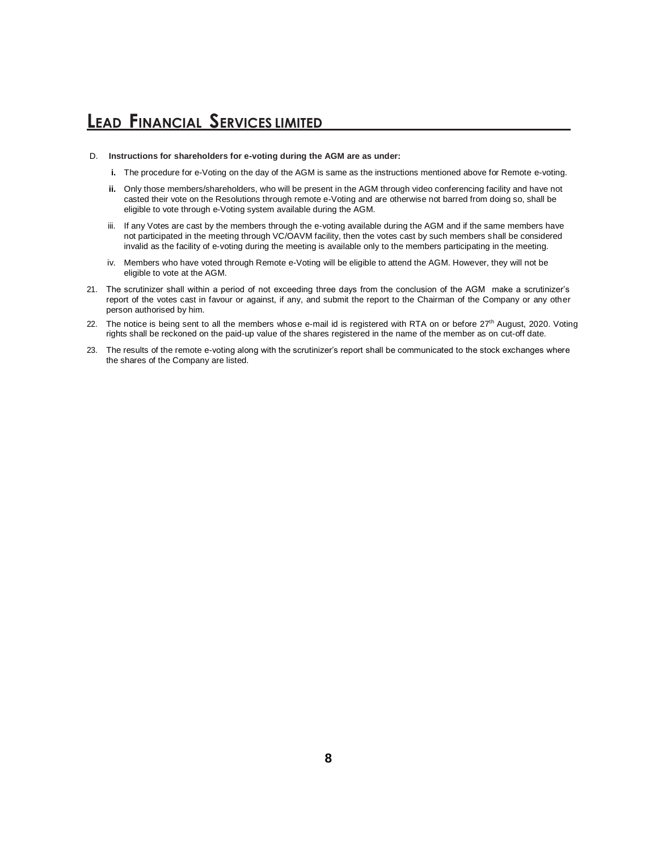- D. **Instructions for shareholders for e-voting during the AGM are as under:**
	- **i.** The procedure for e-Voting on the day of the AGM is same as the instructions mentioned above for Remote e-voting.
	- **ii.** Only those members/shareholders, who will be present in the AGM through video conferencing facility and have not casted their vote on the Resolutions through remote e-Voting and are otherwise not barred from doing so, shall be eligible to vote through e-Voting system available during the AGM.
	- iii. If any Votes are cast by the members through the e-voting available during the AGM and if the same members have not participated in the meeting through VC/OAVM facility, then the votes cast by such members shall be considered invalid as the facility of e-voting during the meeting is available only to the members participating in the meeting.
	- iv. Members who have voted through Remote e-Voting will be eligible to attend the AGM. However, they will not be eligible to vote at the AGM.
- 21. The scrutinizer shall within a period of not exceeding three days from the conclusion of the AGM make a scrutinizer's report of the votes cast in favour or against, if any, and submit the report to the Chairman of the Company or any other person authorised by him.
- 22. The notice is being sent to all the members whose e-mail id is registered with RTA on or before 27<sup>th</sup> August, 2020. Voting rights shall be reckoned on the paid-up value of the shares registered in the name of the member as on cut-off date.
- 23. The results of the remote e-voting along with the scrutinizer's report shall be communicated to the stock exchanges where the shares of the Company are listed.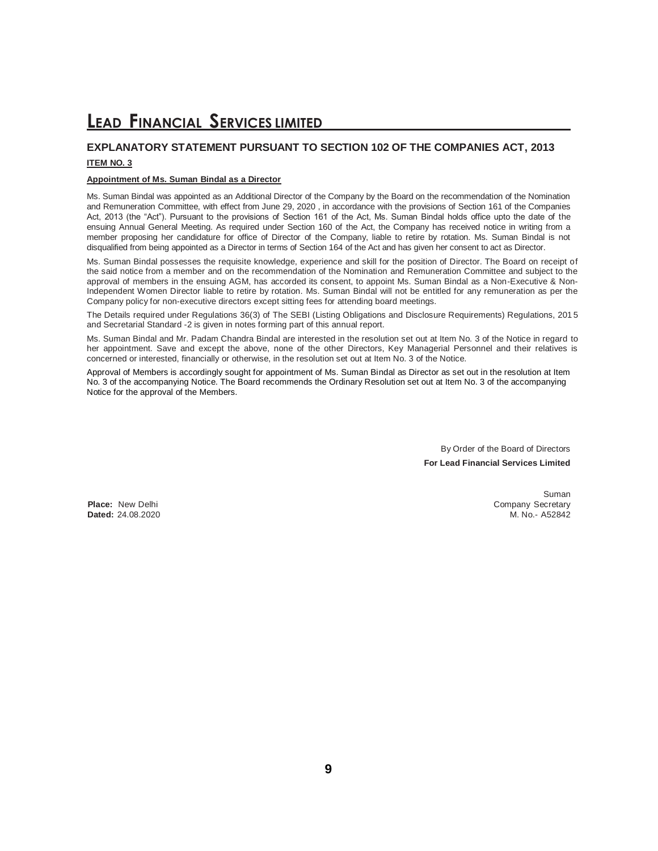### **EXPLANATORY STATEMENT PURSUANT TO SECTION 102 OF THE COMPANIES ACT, 2013**

#### **ITEM NO. 3**

#### **Appointment of Ms. Suman Bindal as a Director**

Ms. Suman Bindal was appointed as an Additional Director of the Company by the Board on the recommendation of the Nomination and Remuneration Committee, with effect from June 29, 2020 , in accordance with the provisions of Section 161 of the Companies Act, 2013 (the "Act"). Pursuant to the provisions of Section 161 of the Act, Ms. Suman Bindal holds office upto the date of the ensuing Annual General Meeting. As required under Section 160 of the Act, the Company has received notice in writing from a member proposing her candidature for office of Director of the Company, liable to retire by rotation. Ms. Suman Bindal is not disqualified from being appointed as a Director in terms of Section 164 of the Act and has given her consent to act as Director.

Ms. Suman Bindal possesses the requisite knowledge, experience and skill for the position of Director. The Board on receipt of the said notice from a member and on the recommendation of the Nomination and Remuneration Committee and subject to the approval of members in the ensuing AGM, has accorded its consent, to appoint Ms. Suman Bindal as a Non-Executive & Non-Independent Women Director liable to retire by rotation. Ms. Suman Bindal will not be entitled for any remuneration as per the Company policy for non-executive directors except sitting fees for attending board meetings.

The Details required under Regulations 36(3) of The SEBI (Listing Obligations and Disclosure Requirements) Regulations, 201 5 and Secretarial Standard -2 is given in notes forming part of this annual report.

Ms. Suman Bindal and Mr. Padam Chandra Bindal are interested in the resolution set out at Item No. 3 of the Notice in regard to her appointment. Save and except the above, none of the other Directors, Key Managerial Personnel and their relatives is concerned or interested, financially or otherwise, in the resolution set out at Item No. 3 of the Notice.

Approval of Members is accordingly sought for appointment of Ms. Suman Bindal as Director as set out in the resolution at Item No. 3 of the accompanying Notice. The Board recommends the Ordinary Resolution set out at Item No. 3 of the accompanying Notice for the approval of the Members.

> By Order of the Board of Directors **For Lead Financial Services Limited**

**Dated: 24.08.2020** 

Suman **Place:** New Delhi Company Secretary<br> **Dated:** 24.08.2020 M. No. 452842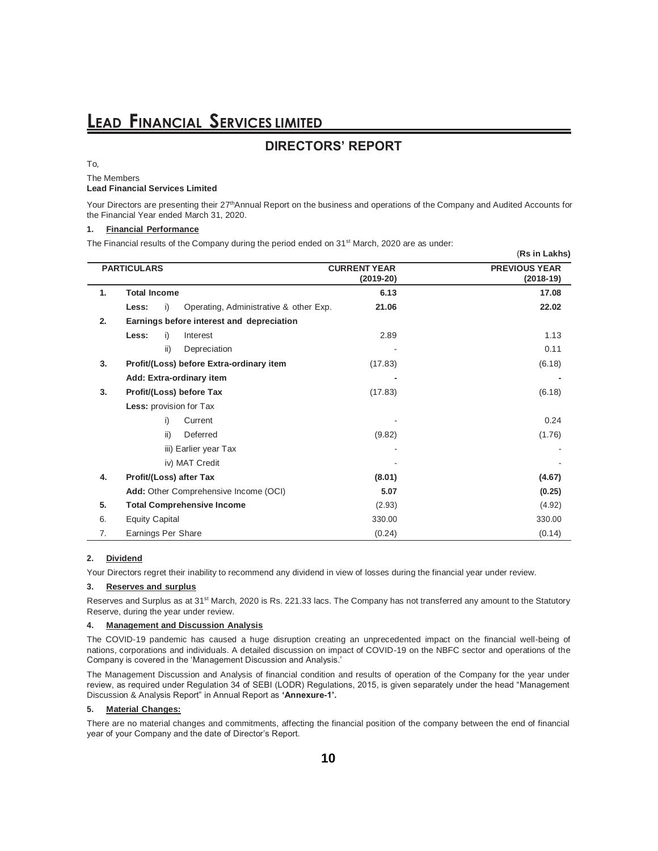### **DIRECTORS' REPORT**

#### To,

The Members

#### **Lead Financial Services Limited**

Your Directors are presenting their 27<sup>th</sup>Annual Report on the business and operations of the Company and Audited Accounts for the Financial Year ended March 31, 2020.

#### **1. Financial Performance**

The Financial results of the Company during the period ended on 31<sup>st</sup> March, 2020 are as under:

|    |                                           |     |                                          |                                    | (Rs in Lakhs)                       |
|----|-------------------------------------------|-----|------------------------------------------|------------------------------------|-------------------------------------|
|    | <b>PARTICULARS</b>                        |     |                                          | <b>CURRENT YEAR</b><br>$(2019-20)$ | <b>PREVIOUS YEAR</b><br>$(2018-19)$ |
| 1. | <b>Total Income</b>                       |     |                                          | 6.13                               | 17.08                               |
|    | Less:                                     | i)  | Operating, Administrative & other Exp.   | 21.06                              | 22.02                               |
| 2. | Earnings before interest and depreciation |     |                                          |                                    |                                     |
|    | Less:                                     | i)  | Interest                                 | 2.89                               | 1.13                                |
|    |                                           | ii) | Depreciation                             |                                    | 0.11                                |
| 3. |                                           |     | Profit/(Loss) before Extra-ordinary item | (17.83)                            | (6.18)                              |
|    |                                           |     | Add: Extra-ordinary item                 |                                    |                                     |
| 3. | Profit/(Loss) before Tax                  |     |                                          | (17.83)                            | (6.18)                              |
|    | Less: provision for Tax                   |     |                                          |                                    |                                     |
|    |                                           | i)  | Current                                  |                                    | 0.24                                |
|    |                                           | ii) | Deferred                                 | (9.82)                             | (1.76)                              |
|    |                                           |     | iii) Earlier year Tax                    |                                    |                                     |
|    |                                           |     | iv) MAT Credit                           |                                    |                                     |
| 4. |                                           |     | Profit/(Loss) after Tax                  | (8.01)                             | (4.67)                              |
|    |                                           |     | Add: Other Comprehensive Income (OCI)    | 5.07                               | (0.25)                              |
| 5. | <b>Total Comprehensive Income</b>         |     |                                          | (2.93)                             | (4.92)                              |
| 6. | <b>Equity Capital</b>                     |     |                                          | 330.00                             | 330.00                              |
| 7. | Earnings Per Share                        |     |                                          | (0.24)                             | (0.14)                              |

#### **2. Dividend**

Your Directors regret their inability to recommend any dividend in view of losses during the financial year under review.

#### **3. Reserves and surplus**

Reserves and Surplus as at 31<sup>st</sup> March, 2020 is Rs. 221.33 lacs. The Company has not transferred any amount to the Statutory Reserve, during the year under review.

#### **4. Management and Discussion Analysis**

The COVID-19 pandemic has caused a huge disruption creating an unprecedented impact on the financial well-being of nations, corporations and individuals. A detailed discussion on impact of COVID-19 on the NBFC sector and operations of the Company is covered in the 'Management Discussion and Analysis.'

The Management Discussion and Analysis of financial condition and results of operation of the Company for the year under review, as required under Regulation 34 of SEBI (LODR) Regulations, 2015, is given separately under the head "Management Discussion & Analysis Report" in Annual Report as **'Annexure-1'.**

#### **5. Material Changes:**

There are no material changes and commitments, affecting the financial position of the company between the end of financial year of your Company and the date of Director's Report.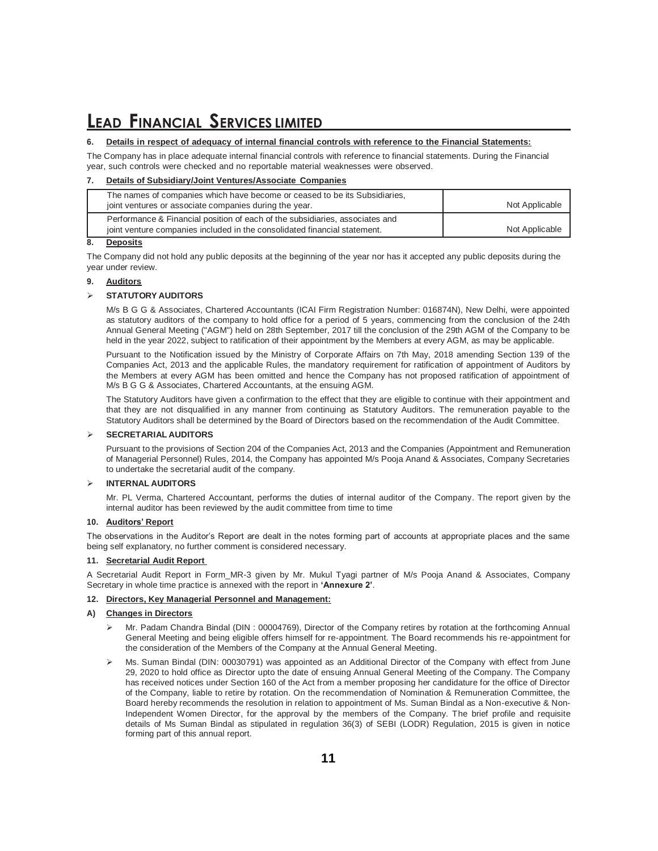#### **6. Details in respect of adequacy of internal financial controls with reference to the Financial Statements:**

The Company has in place adequate internal financial controls with reference to financial statements. During the Financial year, such controls were checked and no reportable material weaknesses were observed.

#### **7. Details of Subsidiary/Joint Ventures/Associate Companies**

| The names of companies which have become or ceased to be its Subsidiaries,<br>joint ventures or associate companies during the year.                      | Not Applicable |
|-----------------------------------------------------------------------------------------------------------------------------------------------------------|----------------|
| Performance & Financial position of each of the subsidiaries, associates and<br>joint venture companies included in the consolidated financial statement. | Not Applicable |
|                                                                                                                                                           |                |

#### **8. Deposits**

The Company did not hold any public deposits at the beginning of the year nor has it accepted any public deposits during the year under review.

#### **9. Auditors**

#### **STATUTORY AUDITORS**

M/s B G G & Associates, Chartered Accountants (ICAI Firm Registration Number: 016874N), New Delhi, were appointed as statutory auditors of the company to hold office for a period of 5 years, commencing from the conclusion of the 24th Annual General Meeting ("AGM") held on 28th September, 2017 till the conclusion of the 29th AGM of the Company to be held in the year 2022, subject to ratification of their appointment by the Members at every AGM, as may be applicable.

Pursuant to the Notification issued by the Ministry of Corporate Affairs on 7th May, 2018 amending Section 139 of the Companies Act, 2013 and the applicable Rules, the mandatory requirement for ratification of appointment of Auditors by the Members at every AGM has been omitted and hence the Company has not proposed ratification of appointment of M/s B G G & Associates, Chartered Accountants, at the ensuing AGM.

The Statutory Auditors have given a confirmation to the effect that they are eligible to continue with their appointment and that they are not disqualified in any manner from continuing as Statutory Auditors. The remuneration payable to the Statutory Auditors shall be determined by the Board of Directors based on the recommendation of the Audit Committee.

#### **SECRETARIAL AUDITORS**

Pursuant to the provisions of Section 204 of the Companies Act, 2013 and the Companies (Appointment and Remuneration of Managerial Personnel) Rules, 2014, the Company has appointed M/s Pooja Anand & Associates, Company Secretaries to undertake the secretarial audit of the company.

#### **INTERNAL AUDITORS**

Mr. PL Verma, Chartered Accountant, performs the duties of internal auditor of the Company. The report given by the internal auditor has been reviewed by the audit committee from time to time

#### **10. Auditors' Report**

The observations in the Auditor's Report are dealt in the notes forming part of accounts at appropriate places and the same being self explanatory, no further comment is considered necessary.

#### **11. Secretarial Audit Report**

A Secretarial Audit Report in Form\_MR-3 given by Mr. Mukul Tyagi partner of M/s Pooja Anand & Associates, Company Secretary in whole time practice is annexed with the report in **'Annexure 2'**.

#### **12. Directors, Key Managerial Personnel and Management:**

#### **A) Changes in Directors**

- Mr. Padam Chandra Bindal (DIN : 00004769), Director of the Company retires by rotation at the forthcoming Annual General Meeting and being eligible offers himself for re-appointment. The Board recommends his re-appointment for the consideration of the Members of the Company at the Annual General Meeting.
- Ms. Suman Bindal (DIN: 00030791) was appointed as an Additional Director of the Company with effect from June 29, 2020 to hold office as Director upto the date of ensuing Annual General Meeting of the Company. The Company has received notices under Section 160 of the Act from a member proposing her candidature for the office of Director of the Company, liable to retire by rotation. On the recommendation of Nomination & Remuneration Committee, the Board hereby recommends the resolution in relation to appointment of Ms. Suman Bindal as a Non-executive & Non-Independent Women Director, for the approval by the members of the Company. The brief profile and requisite details of Ms Suman Bindal as stipulated in regulation 36(3) of SEBI (LODR) Regulation, 2015 is given in notice forming part of this annual report.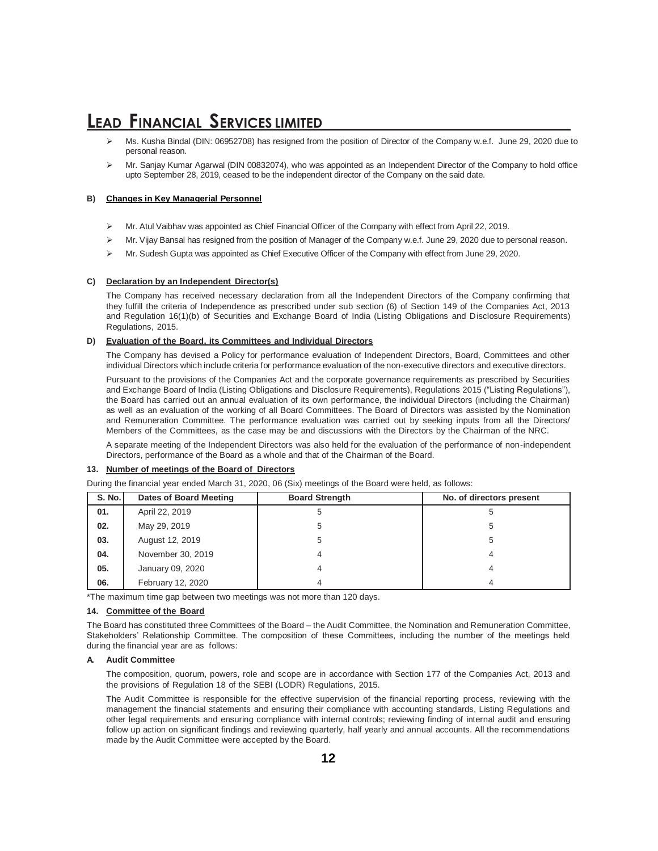- Ms. Kusha Bindal (DIN: 06952708) has resigned from the position of Director of the Company w.e.f. June 29, 2020 due to personal reason.
- Mr. Sanjay Kumar Agarwal (DIN 00832074), who was appointed as an Independent Director of the Company to hold office upto September 28, 2019, ceased to be the independent director of the Company on the said date.

#### **B) Changes in Key Managerial Personnel**

- Mr. Atul Vaibhav was appointed as Chief Financial Officer of the Company with effect from April 22, 2019.
- Mr. Vijay Bansal has resigned from the position of Manager of the Company w.e.f. June 29, 2020 due to personal reason.
- Mr. Sudesh Gupta was appointed as Chief Executive Officer of the Company with effect from June 29, 2020.

#### **C) Declaration by an Independent Director(s)**

The Company has received necessary declaration from all the Independent Directors of the Company confirming that they fulfill the criteria of Independence as prescribed under sub section (6) of Section 149 of the Companies Act, 2013 and Regulation 16(1)(b) of Securities and Exchange Board of India (Listing Obligations and Disclosure Requirements) Regulations, 2015.

#### **D) Evaluation of the Board, its Committees and Individual Directors**

The Company has devised a Policy for performance evaluation of Independent Directors, Board, Committees and other individual Directors which include criteria for performance evaluation of the non-executive directors and executive directors.

Pursuant to the provisions of the Companies Act and the corporate governance requirements as prescribed by Securities and Exchange Board of India (Listing Obligations and Disclosure Requirements), Regulations 2015 ("Listing Regulations"), the Board has carried out an annual evaluation of its own performance, the individual Directors (including the Chairman) as well as an evaluation of the working of all Board Committees. The Board of Directors was assisted by the Nomination and Remuneration Committee. The performance evaluation was carried out by seeking inputs from all the Directors/ Members of the Committees, as the case may be and discussions with the Directors by the Chairman of the NRC.

A separate meeting of the Independent Directors was also held for the evaluation of the performance of non-independent Directors, performance of the Board as a whole and that of the Chairman of the Board.

#### **13. Number of meetings of the Board of Directors**

| <b>S. No.</b> | Dates of Board Meeting | <b>Board Strength</b> | No. of directors present |
|---------------|------------------------|-----------------------|--------------------------|
| 01.           | April 22, 2019         |                       | 5                        |
| 02.           | May 29, 2019           |                       | 5                        |
| 03.           | August 12, 2019        | 5                     | 5                        |
| 04.           | November 30, 2019      |                       |                          |
| 05.           | January 09, 2020       |                       |                          |
| 06.           | February 12, 2020      |                       |                          |

During the financial year ended March 31, 2020, 06 (Six) meetings of the Board were held, as follows:

\*The maximum time gap between two meetings was not more than 120 days.

#### **14. Committee of the Board**

The Board has constituted three Committees of the Board – the Audit Committee, the Nomination and Remuneration Committee, Stakeholders' Relationship Committee. The composition of these Committees, including the number of the meetings held during the financial year are as follows:

#### **A. Audit Committee**

The composition, quorum, powers, role and scope are in accordance with Section 177 of the Companies Act, 2013 and the provisions of Regulation 18 of the SEBI (LODR) Regulations, 2015.

The Audit Committee is responsible for the effective supervision of the financial reporting process, reviewing with the management the financial statements and ensuring their compliance with accounting standards, Listing Regulations and other legal requirements and ensuring compliance with internal controls; reviewing finding of internal audit and ensuring follow up action on significant findings and reviewing quarterly, half yearly and annual accounts. All the recommendations made by the Audit Committee were accepted by the Board.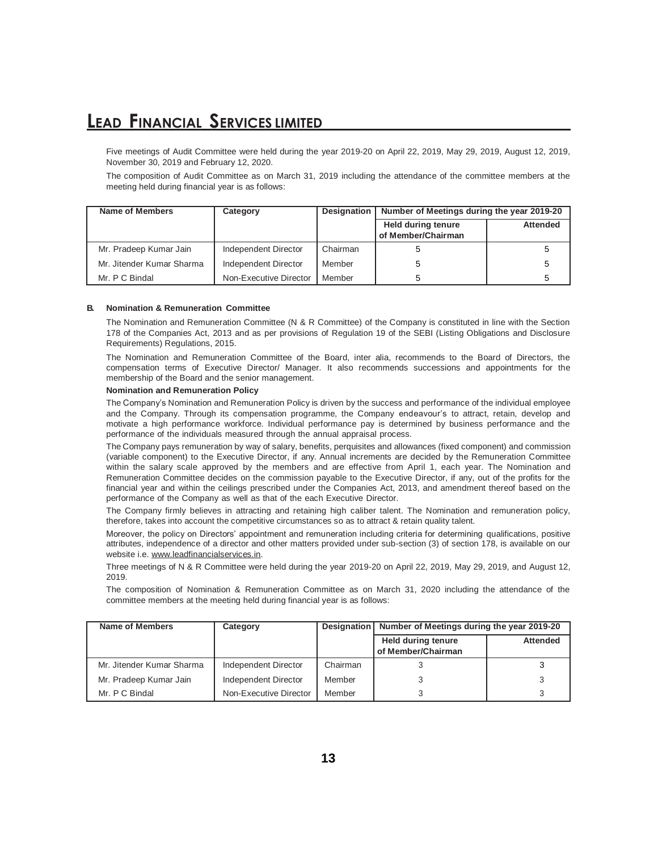Five meetings of Audit Committee were held during the year 2019-20 on April 22, 2019, May 29, 2019, August 12, 2019, November 30, 2019 and February 12, 2020.

The composition of Audit Committee as on March 31, 2019 including the attendance of the committee members at the meeting held during financial year is as follows:

| Name of Members           | Category               |          | Designation   Number of Meetings during the year 2019-20 |                 |
|---------------------------|------------------------|----------|----------------------------------------------------------|-----------------|
|                           |                        |          | Held during tenure<br>of Member/Chairman                 | <b>Attended</b> |
| Mr. Pradeep Kumar Jain    | Independent Director   | Chairman |                                                          |                 |
| Mr. Jitender Kumar Sharma | Independent Director   | Member   |                                                          |                 |
| Mr. P C Bindal            | Non-Executive Director | Member   |                                                          |                 |

#### **B. Nomination & Remuneration Committee**

The Nomination and Remuneration Committee (N & R Committee) of the Company is constituted in line with the Section 178 of the Companies Act, 2013 and as per provisions of Regulation 19 of the SEBI (Listing Obligations and Disclosure Requirements) Regulations, 2015.

The Nomination and Remuneration Committee of the Board, inter alia, recommends to the Board of Directors, the compensation terms of Executive Director/ Manager. It also recommends successions and appointments for the membership of the Board and the senior management.

#### **Nomination and Remuneration Policy**

The Company's Nomination and Remuneration Policy is driven by the success and performance of the individual employee and the Company. Through its compensation programme, the Company endeavour's to attract, retain, develop and motivate a high performance workforce. Individual performance pay is determined by business performance and the performance of the individuals measured through the annual appraisal process.

The Company pays remuneration by way of salary, benefits, perquisites and allowances (fixed component) and commission (variable component) to the Executive Director, if any. Annual increments are decided by the Remuneration Committee within the salary scale approved by the members and are effective from April 1, each year. The Nomination and Remuneration Committee decides on the commission payable to the Executive Director, if any, out of the profits for the financial year and within the ceilings prescribed under the Companies Act, 2013, and amendment thereof based on the performance of the Company as well as that of the each Executive Director.

The Company firmly believes in attracting and retaining high caliber talent. The Nomination and remuneration policy, therefore, takes into account the competitive circumstances so as to attract & retain quality talent.

Moreover, the policy on Directors' appointment and remuneration including criteria for determining qualifications, positive attributes, independence of a director and other matters provided under sub-section (3) of section 178, is available on our website i.e. [www.leadfinancialservices.in.](http://www.leadfinancialservices.in/)

Three meetings of N & R Committee were held during the year 2019-20 on April 22, 2019, May 29, 2019, and August 12, 2019.

The composition of Nomination & Remuneration Committee as on March 31, 2020 including the attendance of the committee members at the meeting held during financial year is as follows:

| Name of Members           | Category               |          | Designation Number of Meetings during the year 2019-20 |                 |
|---------------------------|------------------------|----------|--------------------------------------------------------|-----------------|
|                           |                        |          | Held during tenure<br>of Member/Chairman               | <b>Attended</b> |
| Mr. Jitender Kumar Sharma | Independent Director   | Chairman |                                                        |                 |
| Mr. Pradeep Kumar Jain    | Independent Director   | Member   |                                                        |                 |
| Mr. P C Bindal            | Non-Executive Director | Member   |                                                        |                 |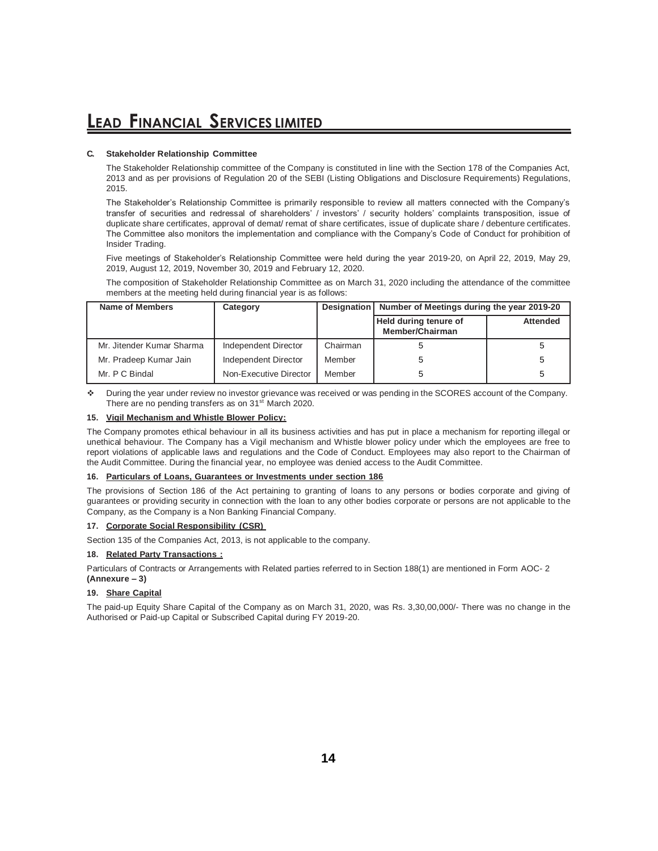#### **C. Stakeholder Relationship Committee**

The Stakeholder Relationship committee of the Company is constituted in line with the Section 178 of the Companies Act, 2013 and as per provisions of Regulation 20 of the SEBI (Listing Obligations and Disclosure Requirements) Regulations, 2015.

The Stakeholder's Relationship Committee is primarily responsible to review all matters connected with the Company's transfer of securities and redressal of shareholders' / investors' / security holders' complaints transposition, issue of duplicate share certificates, approval of demat/ remat of share certificates, issue of duplicate share / debenture certificates. The Committee also monitors the implementation and compliance with the Company's Code of Conduct for prohibition of Insider Trading.

Five meetings of Stakeholder's Relationship Committee were held during the year 2019-20, on April 22, 2019, May 29, 2019, August 12, 2019, November 30, 2019 and February 12, 2020.

The composition of Stakeholder Relationship Committee as on March 31, 2020 including the attendance of the committee members at the meeting held during financial year is as follows:

| Name of Members           | Category               |          | Designation   Number of Meetings during the year 2019-20 |                 |
|---------------------------|------------------------|----------|----------------------------------------------------------|-----------------|
|                           |                        |          | Held during tenure of<br>Member/Chairman                 | <b>Attended</b> |
| Mr. Jitender Kumar Sharma | Independent Director   | Chairman |                                                          |                 |
| Mr. Pradeep Kumar Jain    | Independent Director   | Member   | 5                                                        |                 |
| Mr. P C Bindal            | Non-Executive Director | Member   | 5                                                        |                 |

 During the year under review no investor grievance was received or was pending in the SCORES account of the Company. There are no pending transfers as on 31<sup>st</sup> March 2020.

#### **15. Vigil Mechanism and Whistle Blower Policy:**

The Company promotes ethical behaviour in all its business activities and has put in place a mechanism for reporting illegal or unethical behaviour. The Company has a Vigil mechanism and Whistle blower policy under which the employees are free to report violations of applicable laws and regulations and the Code of Conduct. Employees may also report to the Chairman of the Audit Committee. During the financial year, no employee was denied access to the Audit Committee.

#### **16. Particulars of Loans, Guarantees or Investments under section 186**

The provisions of Section 186 of the Act pertaining to granting of loans to any persons or bodies corporate and giving of guarantees or providing security in connection with the loan to any other bodies corporate or persons are not applicable to the Company, as the Company is a Non Banking Financial Company.

#### **17. Corporate Social Responsibility (CSR)**

Section 135 of the Companies Act, 2013, is not applicable to the company.

#### **18. Related Party Transactions :**

Particulars of Contracts or Arrangements with Related parties referred to in Section 188(1) are mentioned in Form AOC- 2 **(Annexure – 3)**

#### **19. Share Capital**

The paid-up Equity Share Capital of the Company as on March 31, 2020, was Rs. 3,30,00,000/- There was no change in the Authorised or Paid-up Capital or Subscribed Capital during FY 2019-20.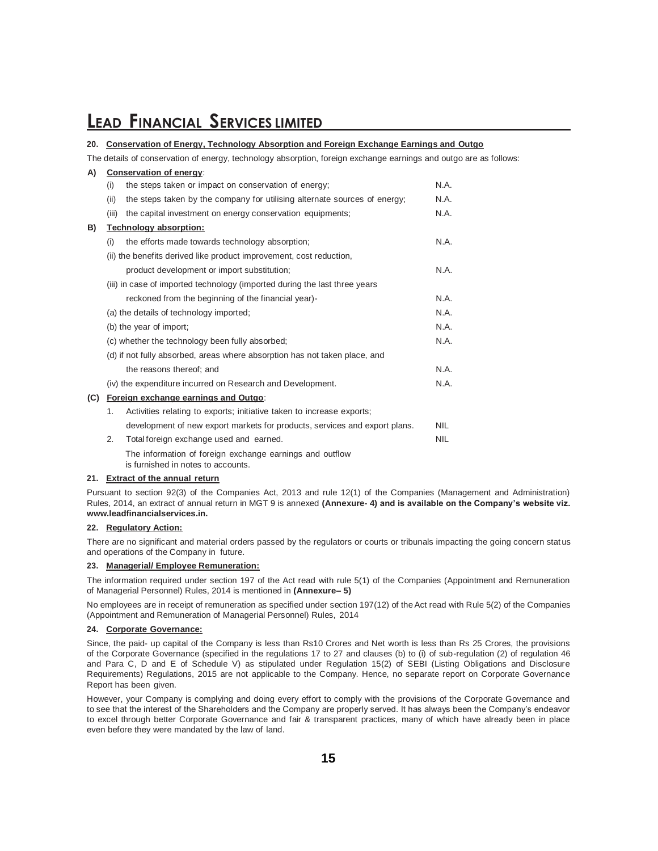#### **20. Conservation of Energy, Technology Absorption and Foreign Exchange Earnings and Outgo**

The details of conservation of energy, technology absorption, foreign exchange earnings and outgo are as follows:

| A)  |                                         | Conservation of energy:                                                                        |            |  |  |  |  |  |
|-----|-----------------------------------------|------------------------------------------------------------------------------------------------|------------|--|--|--|--|--|
|     | (i)                                     | the steps taken or impact on conservation of energy;                                           | N.A.       |  |  |  |  |  |
|     | (ii)                                    | the steps taken by the company for utilising alternate sources of energy;                      | N.A.       |  |  |  |  |  |
|     | (iii)                                   | the capital investment on energy conservation equipments;                                      | N.A.       |  |  |  |  |  |
| B)  |                                         | Technology absorption:                                                                         |            |  |  |  |  |  |
|     | (i)                                     | the efforts made towards technology absorption;                                                | N.A.       |  |  |  |  |  |
|     |                                         | (ii) the benefits derived like product improvement, cost reduction,                            |            |  |  |  |  |  |
|     |                                         | product development or import substitution;                                                    | N.A.       |  |  |  |  |  |
|     |                                         | (iii) in case of imported technology (imported during the last three years                     |            |  |  |  |  |  |
|     |                                         | reckoned from the beginning of the financial year)-                                            |            |  |  |  |  |  |
|     | (a) the details of technology imported; |                                                                                                |            |  |  |  |  |  |
|     | (b) the year of import;                 |                                                                                                |            |  |  |  |  |  |
|     |                                         | (c) whether the technology been fully absorbed;                                                | N.A.       |  |  |  |  |  |
|     |                                         | (d) if not fully absorbed, areas where absorption has not taken place, and                     |            |  |  |  |  |  |
|     |                                         | the reasons thereof: and                                                                       | N.A.       |  |  |  |  |  |
|     |                                         | (iv) the expenditure incurred on Research and Development.                                     | N.A.       |  |  |  |  |  |
| (C) |                                         | Foreign exchange earnings and Outgo:                                                           |            |  |  |  |  |  |
|     | 1.                                      | Activities relating to exports; initiative taken to increase exports;                          |            |  |  |  |  |  |
|     |                                         | development of new export markets for products, services and export plans.                     | <b>NIL</b> |  |  |  |  |  |
|     | 2.                                      | Total foreign exchange used and earned.                                                        | <b>NIL</b> |  |  |  |  |  |
|     |                                         | The information of foreign exchange earnings and outflow<br>is furnished in notes to accounts. |            |  |  |  |  |  |

#### **21. Extract of the annual return**

Pursuant to section 92(3) of the Companies Act, 2013 and rule 12(1) of the Companies (Management and Administration) Rules, 2014, an extract of annual return in MGT 9 is annexed **(Annexure- 4) and is available on the Company's website viz. www.leadfinancialservices.in.**

#### **22. Regulatory Action:**

There are no significant and material orders passed by the regulators or courts or tribunals impacting the going concern status and operations of the Company in future.

#### **23. Managerial/ Employee Remuneration:**

The information required under section 197 of the Act read with rule 5(1) of the Companies (Appointment and Remuneration of Managerial Personnel) Rules, 2014 is mentioned in **(Annexure– 5)**

No employees are in receipt of remuneration as specified under section 197(12) of the Act read with Rule 5(2) of the Companies (Appointment and Remuneration of Managerial Personnel) Rules, 2014

#### **24. Corporate Governance:**

Since, the paid- up capital of the Company is less than Rs10 Crores and Net worth is less than Rs 25 Crores, the provisions of the Corporate Governance (specified in the regulations 17 to 27 and clauses (b) to (i) of sub-regulation (2) of regulation 46 and Para C, D and E of Schedule V) as stipulated under Regulation 15(2) of SEBI (Listing Obligations and Disclosure Requirements) Regulations, 2015 are not applicable to the Company. Hence, no separate report on Corporate Governance Report has been given.

However, your Company is complying and doing every effort to comply with the provisions of the Corporate Governance and to see that the interest of the Shareholders and the Company are properly served. It has always been the Company's endeavor to excel through better Corporate Governance and fair & transparent practices, many of which have already been in place even before they were mandated by the law of land.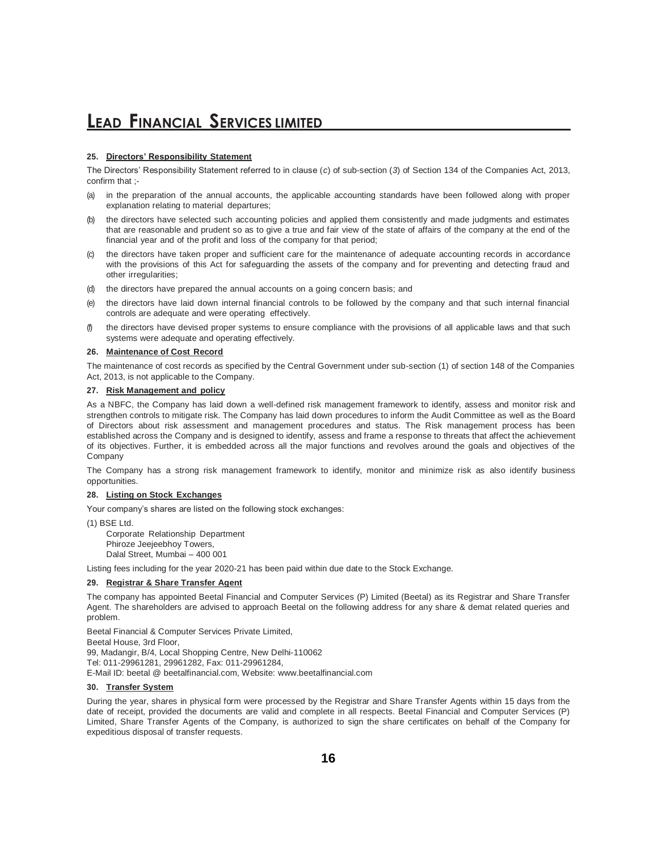#### **25. Directors' Responsibility Statement**

The Directors' Responsibility Statement referred to in clause (*c*) of sub-section (*3*) of Section 134 of the Companies Act, 2013, confirm that :-

- (a) in the preparation of the annual accounts, the applicable accounting standards have been followed along with proper explanation relating to material departures;
- the directors have selected such accounting policies and applied them consistently and made judgments and estimates that are reasonable and prudent so as to give a true and fair view of the state of affairs of the company at the end of the financial year and of the profit and loss of the company for that period;
- the directors have taken proper and sufficient care for the maintenance of adequate accounting records in accordance with the provisions of this Act for safeguarding the assets of the company and for preventing and detecting fraud and other irregularities;
- the directors have prepared the annual accounts on a going concern basis; and
- the directors have laid down internal financial controls to be followed by the company and that such internal financial controls are adequate and were operating effectively.
- (f) the directors have devised proper systems to ensure compliance with the provisions of all applicable laws and that such systems were adequate and operating effectively.

#### **26. Maintenance of Cost Record**

The maintenance of cost records as specified by the Central Government under sub-section (1) of section 148 of the Companies Act, 2013, is not applicable to the Company.

#### **27. Risk Management and policy**

As a NBFC, the Company has laid down a well-defined risk management framework to identify, assess and monitor risk and strengthen controls to mitigate risk. The Company has laid down procedures to inform the Audit Committee as well as the Board of Directors about risk assessment and management procedures and status. The Risk management process has been established across the Company and is designed to identify, assess and frame a response to threats that affect the achievement of its objectives. Further, it is embedded across all the major functions and revolves around the goals and objectives of the Company

The Company has a strong risk management framework to identify, monitor and minimize risk as also identify business opportunities.

#### **28. Listing on Stock Exchanges**

Your company's shares are listed on the following stock exchanges:

(1) BSE Ltd.

Corporate Relationship Department Phiroze Jeejeebhoy Towers, Dalal Street, Mumbai – 400 001

Listing fees including for the year 2020-21 has been paid within due date to the Stock Exchange.

#### **29. Registrar & Share Transfer Agent**

The company has appointed Beetal Financial and Computer Services (P) Limited (Beetal) as its Registrar and Share Transfer Agent. The shareholders are advised to approach Beetal on the following address for any share & demat related queries and problem.

Beetal Financial & Computer Services Private Limited, Beetal House, 3rd Floor, 99, Madangir, B/4, Local Shopping Centre, New Delhi-110062 Tel: 011-29961281, 29961282, Fax: 011-29961284, E-Mail ID: beetal @ beetalfinancial.com, Website: [www.beetalfinancial.com](http://www.beetalfinancial.com/)

#### **30. Transfer System**

During the year, shares in physical form were processed by the Registrar and Share Transfer Agents within 15 days from the date of receipt, provided the documents are valid and complete in all respects. Beetal Financial and Computer Services (P) Limited, Share Transfer Agents of the Company, is authorized to sign the share certificates on behalf of the Company for expeditious disposal of transfer requests.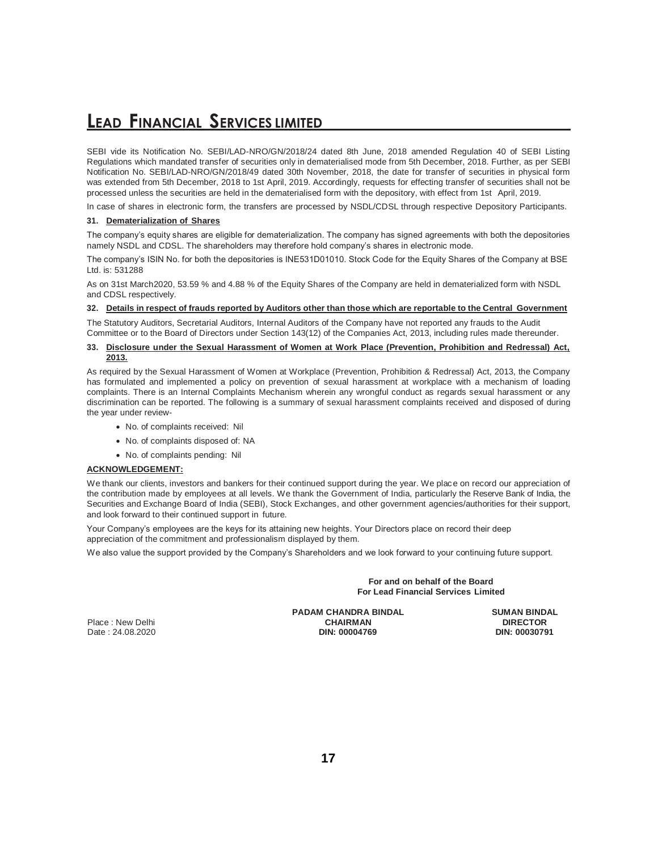SEBI vide its Notification No. SEBI/LAD-NRO/GN/2018/24 dated 8th June, 2018 amended Regulation 40 of SEBI Listing Regulations which mandated transfer of securities only in dematerialised mode from 5th December, 2018. Further, as per SEBI Notification No. SEBI/LAD-NRO/GN/2018/49 dated 30th November, 2018, the date for transfer of securities in physical form was extended from 5th December, 2018 to 1st April, 2019. Accordingly, requests for effecting transfer of securities shall not be processed unless the securities are held in the dematerialised form with the depository, with effect from 1st April, 2019.

In case of shares in electronic form, the transfers are processed by NSDL/CDSL through respective Depository Participants.

#### **31. Dematerialization of Shares**

The company's equity shares are eligible for dematerialization. The company has signed agreements with both the depositories namely NSDL and CDSL. The shareholders may therefore hold company's shares in electronic mode.

The company's ISIN No. for both the depositories is INE531D01010. Stock Code for the Equity Shares of the Company at BSE Ltd. is: 531288

As on 31st March2020, 53.59 % and 4.88 % of the Equity Shares of the Company are held in dematerialized form with NSDL and CDSL respectively.

#### 32. Details in respect of frauds reported by Auditors other than those which are reportable to the Central Government

The Statutory Auditors, Secretarial Auditors, Internal Auditors of the Company have not reported any frauds to the Audit Committee or to the Board of Directors under Section 143(12) of the Companies Act, 2013, including rules made thereunder.

#### **33. Disclosure under the Sexual Harassment of Women at Work Place (Prevention, Prohibition and Redressal) Act, 2013.**

As required by the Sexual Harassment of Women at Workplace (Prevention, Prohibition & Redressal) Act, 2013, the Company has formulated and implemented a policy on prevention of sexual harassment at workplace with a mechanism of loading complaints. There is an Internal Complaints Mechanism wherein any wrongful conduct as regards sexual harassment or any discrimination can be reported. The following is a summary of sexual harassment complaints received and disposed of during the year under review-

- No. of complaints received: Nil
- No. of complaints disposed of: NA
- No. of complaints pending: Nil

#### **ACKNOWLEDGEMENT:**

We thank our clients, investors and bankers for their continued support during the year. We place on record our appreciation of the contribution made by employees at all levels. We thank the Government of India, particularly the Reserve Bank of India, the Securities and Exchange Board of India (SEBI), Stock Exchanges, and other government agencies/authorities for their support, and look forward to their continued support in future.

Your Company's employees are the keys for its attaining new heights. Your Directors place on record their deep appreciation of the commitment and professionalism displayed by them.

We also value the support provided by the Company's Shareholders and we look forward to your continuing future support.

**For and on behalf of the Board For Lead Financial Services Limited**

Place : New Delhi

**PADAM CHANDRA BINDAL CHAIRMAN**<br>DIN: 00004769 Date : 24.08.2020 **DIN: 00004769 DIN: 00030791**

**SUMAN BINDAL DIRECTOR**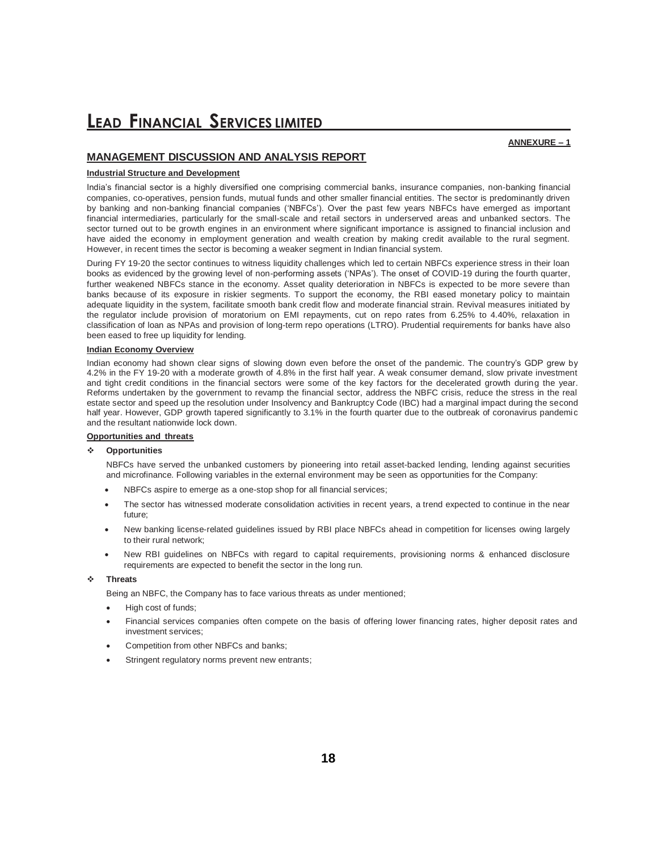### **MANAGEMENT DISCUSSION AND ANALYSIS REPORT**

#### **Industrial Structure and Development**

India's financial sector is a highly diversified one comprising commercial banks, insurance companies, non-banking financial companies, co-operatives, pension funds, mutual funds and other smaller financial entities. The sector is predominantly driven by banking and non-banking financial companies ('NBFCs'). Over the past few years NBFCs have emerged as important financial intermediaries, particularly for the small-scale and retail sectors in underserved areas and unbanked sectors. The sector turned out to be growth engines in an environment where significant importance is assigned to financial inclusion and have aided the economy in employment generation and wealth creation by making credit available to the rural segment. However, in recent times the sector is becoming a weaker segment in Indian financial system.

During FY 19-20 the sector continues to witness liquidity challenges which led to certain NBFCs experience stress in their loan books as evidenced by the growing level of non-performing assets ('NPAs'). The onset of COVID-19 during the fourth quarter, further weakened NBFCs stance in the economy. Asset quality deterioration in NBFCs is expected to be more severe than banks because of its exposure in riskier segments. To support the economy, the RBI eased monetary policy to maintain adequate liquidity in the system, facilitate smooth bank credit flow and moderate financial strain. Revival measures initiated by the regulator include provision of moratorium on EMI repayments, cut on repo rates from 6.25% to 4.40%, relaxation in classification of loan as NPAs and provision of long-term repo operations (LTRO). Prudential requirements for banks have also been eased to free up liquidity for lending.

#### **Indian Economy Overview**

Indian economy had shown clear signs of slowing down even before the onset of the pandemic. The country's GDP grew by 4.2% in the FY 19-20 with a moderate growth of 4.8% in the first half year. A weak consumer demand, slow private investment and tight credit conditions in the financial sectors were some of the key factors for the decelerated growth during the year. Reforms undertaken by the government to revamp the financial sector, address the NBFC crisis, reduce the stress in the real estate sector and speed up the resolution under Insolvency and Bankruptcy Code (IBC) had a marginal impact during the second half year. However, GDP growth tapered significantly to 3.1% in the fourth quarter due to the outbreak of coronavirus pandemic and the resultant nationwide lock down.

#### **Opportunities and threats**

#### **Opportunities**

NBFCs have served the unbanked customers by pioneering into retail asset-backed lending, lending against securities and microfinance. Following variables in the external environment may be seen as opportunities for the Company:

- NBFCs aspire to emerge as a one-stop shop for all financial services;
- The sector has witnessed moderate consolidation activities in recent years, a trend expected to continue in the near future;
- New banking license-related guidelines issued by RBI place NBFCs ahead in competition for licenses owing largely to their rural network;
- New RBI guidelines on NBFCs with regard to capital requirements, provisioning norms & enhanced disclosure requirements are expected to benefit the sector in the long run.

#### **Threats**

Being an NBFC, the Company has to face various threats as under mentioned;

- High cost of funds;
- Financial services companies often compete on the basis of offering lower financing rates, higher deposit rates and investment services;
- Competition from other NBFCs and banks;
- Stringent regulatory norms prevent new entrants;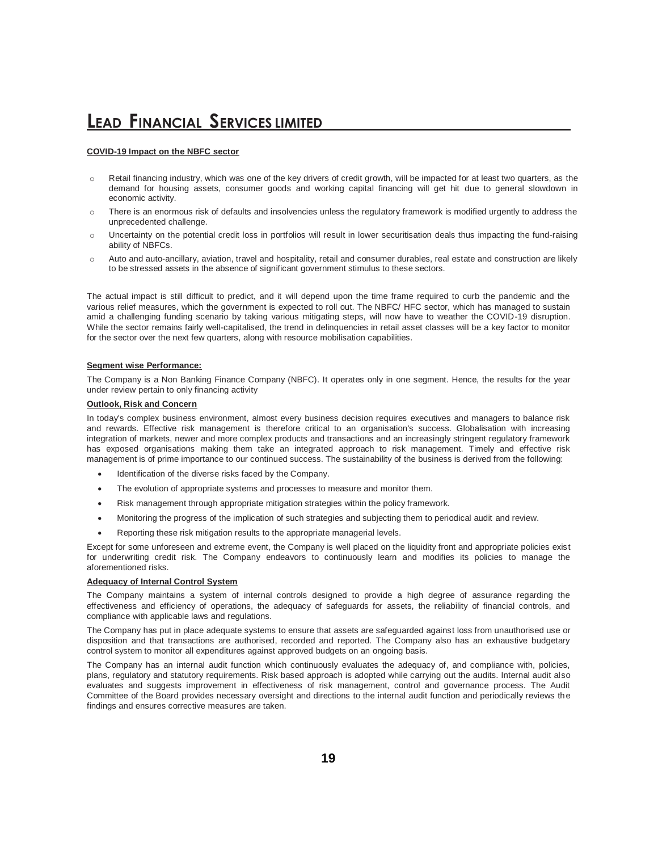#### **COVID-19 Impact on the NBFC sector**

- o Retail financing industry, which was one of the key drivers of credit growth, will be impacted for at least two quarters, as the demand for housing assets, consumer goods and working capital financing will get hit due to general slowdown in economic activity.
- $\circ$  There is an enormous risk of defaults and insolvencies unless the regulatory framework is modified urgently to address the unprecedented challenge.
- $\circ$  Uncertainty on the potential credit loss in portfolios will result in lower securitisation deals thus impacting the fund-raising ability of NBFCs.
- o Auto and auto-ancillary, aviation, travel and hospitality, retail and consumer durables, real estate and construction are likely to be stressed assets in the absence of significant government stimulus to these sectors.

The actual impact is still difficult to predict, and it will depend upon the time frame required to curb the pandemic and the various relief measures, which the government is expected to roll out. The NBFC/ HFC sector, which has managed to sustain amid a challenging funding scenario by taking various mitigating steps, will now have to weather the COVID-19 disruption. While the sector remains fairly well-capitalised, the trend in delinquencies in retail asset classes will be a key factor to monitor for the sector over the next few quarters, along with resource mobilisation capabilities.

#### **Segment wise Performance:**

The Company is a Non Banking Finance Company (NBFC). It operates only in one segment. Hence, the results for the year under review pertain to only financing activity

#### **Outlook, Risk and Concern**

In today's complex business environment, almost every business decision requires executives and managers to balance risk and rewards. Effective risk management is therefore critical to an organisation's success. Globalisation with increasing integration of markets, newer and more complex products and transactions and an increasingly stringent regulatory framework has exposed organisations making them take an integrated approach to risk management. Timely and effective risk management is of prime importance to our continued success. The sustainability of the business is derived from the following:

- Identification of the diverse risks faced by the Company.
- The evolution of appropriate systems and processes to measure and monitor them.
- Risk management through appropriate mitigation strategies within the policy framework.
- Monitoring the progress of the implication of such strategies and subjecting them to periodical audit and review.
- Reporting these risk mitigation results to the appropriate managerial levels.

Except for some unforeseen and extreme event, the Company is well placed on the liquidity front and appropriate policies exist for underwriting credit risk. The Company endeavors to continuously learn and modifies its policies to manage the aforementioned risks.

#### **Adequacy of Internal Control System**

The Company maintains a system of internal controls designed to provide a high degree of assurance regarding the effectiveness and efficiency of operations, the adequacy of safeguards for assets, the reliability of financial controls, and compliance with applicable laws and regulations.

The Company has put in place adequate systems to ensure that assets are safeguarded against loss from unauthorised use or disposition and that transactions are authorised, recorded and reported. The Company also has an exhaustive budgetary control system to monitor all expenditures against approved budgets on an ongoing basis.

The Company has an internal audit function which continuously evaluates the adequacy of, and compliance with, policies, plans, regulatory and statutory requirements. Risk based approach is adopted while carrying out the audits. Internal audit also evaluates and suggests improvement in effectiveness of risk management, control and governance process. The Audit Committee of the Board provides necessary oversight and directions to the internal audit function and periodically reviews the findings and ensures corrective measures are taken.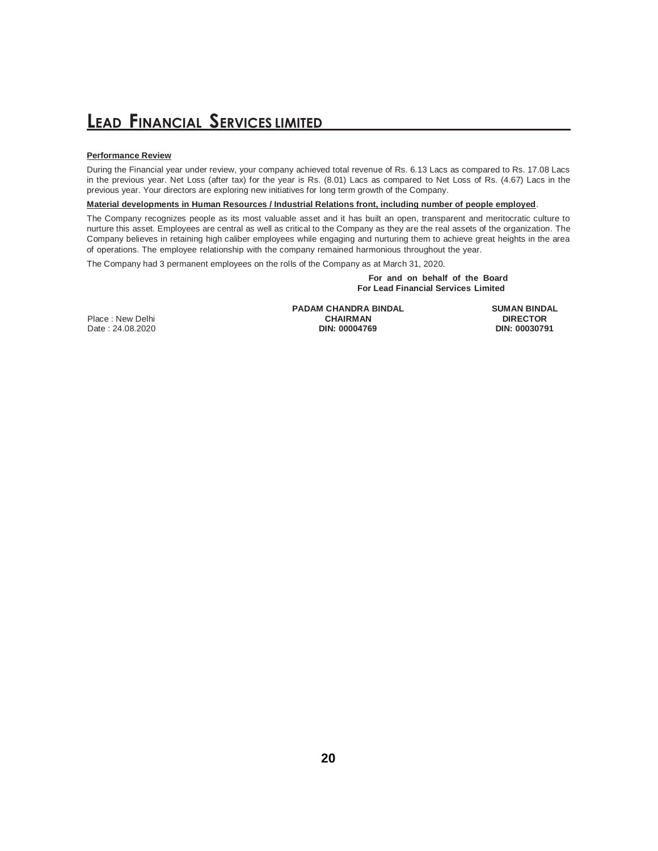#### **Performance Review**

During the Financial year under review, your company achieved total revenue of Rs. 6.13 Lacs as compared to Rs. 17.08 Lacs in the previous year. Net Loss (after tax) for the year is Rs. (8.01) Lacs as compared to Net Loss of Rs. (4.67) Lacs in the previous year. Your directors are exploring new initiatives for long term growth of the Company.

**Material developments in Human Resources / Industrial Relations front, including number of people employed**.

The Company recognizes people as its most valuable asset and it has built an open, transparent and meritocratic culture to nurture this asset. Employees are central as well as critical to the Company as they are the real assets of the organization. The Company believes in retaining high caliber employees while engaging and nurturing them to achieve great heights in the area of operations. The employee relationship with the company remained harmonious throughout the year.

The Company had 3 permanent employees on the rolls of the Company as at March 31, 2020.

**For and on behalf of the Board For Lead Financial Services Limited**

Place : New Delhi Date: 24.08.2020 **PADAM CHANDRA BINDAL CHAIRMAN**<br>DIN: 00004769

**SUMAN BINDAL DIRECTOR**<br>DIN: 00030791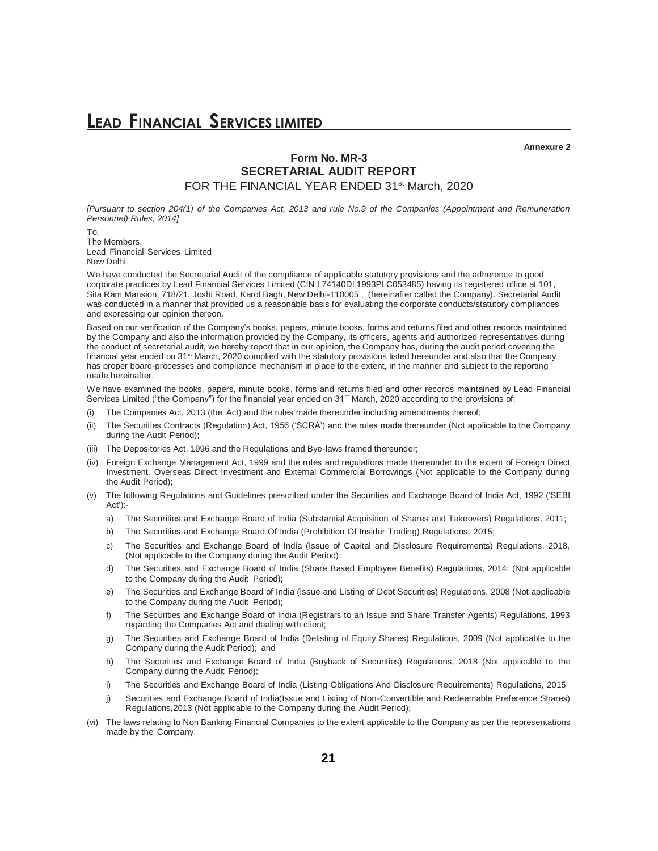**Annexure 2**

### **Form No. MR-3 SECRETARIAL AUDIT REPORT** FOR THE FINANCIAL YEAR ENDED 31<sup>st</sup> March, 2020

*[Pursuant to section 204(1) of the Companies Act, 2013 and rule No.9 of the Companies (Appointment and Remuneration Personnel) Rules, 2014]*

To, The Members, Lead Financial Services Limited New Delhi

We have conducted the Secretarial Audit of the compliance of applicable statutory provisions and the adherence to good corporate practices by Lead Financial Services Limited (CIN L74140DL1993PLC053485) having its registered office at 101, Sita Ram Mansion, 718/21, Joshi Road, Karol Bagh, New Delhi-110005 , (hereinafter called the Company). Secretarial Audit was conducted in a manner that provided us a reasonable basis for evaluating the corporate conducts/statutory compliances and expressing our opinion thereon.

Based on our verification of the Company's books, papers, minute books, forms and returns filed and other records maintained by the Company and also the information provided by the Company, its officers, agents and authorized representatives during the conduct of secretarial audit, we hereby report that in our opinion, the Company has, during the audit period covering the financial year ended on 31<sup>st</sup> March, 2020 complied with the statutory provisions listed hereunder and also that the Company has proper board-processes and compliance mechanism in place to the extent, in the manner and subject to the reporting made hereinafter.

We have examined the books, papers, minute books, forms and returns filed and other records maintained by Lead Financial Services Limited ("the Company") for the financial year ended on 31<sup>st</sup> March, 2020 according to the provisions of:

- (i) The Companies Act, 2013 (the Act) and the rules made thereunder including amendments thereof;
- (ii) The Securities Contracts (Regulation) Act, 1956 ('SCRA') and the rules made thereunder (Not applicable to the Company during the Audit Period);
- (iii) The Depositories Act, 1996 and the Regulations and Bye-laws framed thereunder;
- (iv) Foreign Exchange Management Act, 1999 and the rules and regulations made thereunder to the extent of Foreign Direct Investment, Overseas Direct Investment and External Commercial Borrowings (Not applicable to the Company during the Audit Period);
- (v) The following Regulations and Guidelines prescribed under the Securities and Exchange Board of India Act, 1992 ('SEBI Act'):
	- a) The Securities and Exchange Board of India (Substantial Acquisition of Shares and Takeovers) Regulations, 2011;
	- b) The Securities and Exchange Board Of India (Prohibition Of Insider Trading) Regulations, 2015;
	- c) The Securities and Exchange Board of India (Issue of Capital and Disclosure Requirements) Regulations, 2018, (Not applicable to the Company during the Audit Period);
	- d) The Securities and Exchange Board of India (Share Based Employee Benefits) Regulations, 2014; (Not applicable to the Company during the Audit Period);
	- e) The Securities and Exchange Board of India (Issue and Listing of Debt Securities) Regulations, 2008 (Not applicable to the Company during the Audit Period);
	- f) The Securities and Exchange Board of India (Registrars to an Issue and Share Transfer Agents) Regulations, 1993 regarding the Companies Act and dealing with client;
	- g) The Securities and Exchange Board of India (Delisting of Equity Shares) Regulations, 2009 (Not applicable to the Company during the Audit Period); and
	- h) The Securities and Exchange Board of India (Buyback of Securities) Regulations, 2018 (Not applicable to the Company during the Audit Period);
	- i) The Securities and Exchange Board of India (Listing Obligations And Disclosure Requirements) Regulations, 2015
	- Securities and Exchange Board of India(Issue and Listing of Non-Convertible and Redeemable Preference Shares) Regulations,2013 (Not applicable to the Company during the Audit Period);
- (vi) The laws relating to Non Banking Financial Companies to the extent applicable to the Company as per the representations made by the Company.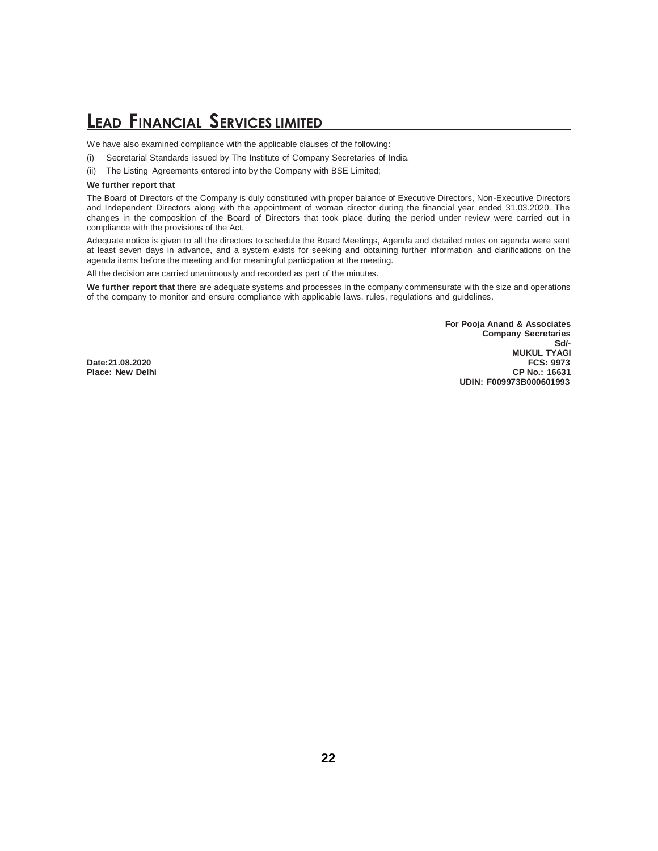We have also examined compliance with the applicable clauses of the following:

- (i) Secretarial Standards issued by The Institute of Company Secretaries of India.
- (ii) The Listing Agreements entered into by the Company with BSE Limited;

#### **We further report that**

The Board of Directors of the Company is duly constituted with proper balance of Executive Directors, Non-Executive Directors and Independent Directors along with the appointment of woman director during the financial year ended 31.03.2020. The changes in the composition of the Board of Directors that took place during the period under review were carried out in compliance with the provisions of the Act.

Adequate notice is given to all the directors to schedule the Board Meetings, Agenda and detailed notes on agenda were sent at least seven days in advance, and a system exists for seeking and obtaining further information and clarifications on the agenda items before the meeting and for meaningful participation at the meeting.

All the decision are carried unanimously and recorded as part of the minutes.

**We further report that** there are adequate systems and processes in the company commensurate with the size and operations of the company to monitor and ensure compliance with applicable laws, rules, regulations and guidelines.

**For Pooja Anand & Associates Company Secretaries Sd/- MUKUL TYAGI Date:21.08.2020 FCS: 9973 UDIN: F009973B000601993**

**Place: New Delhi**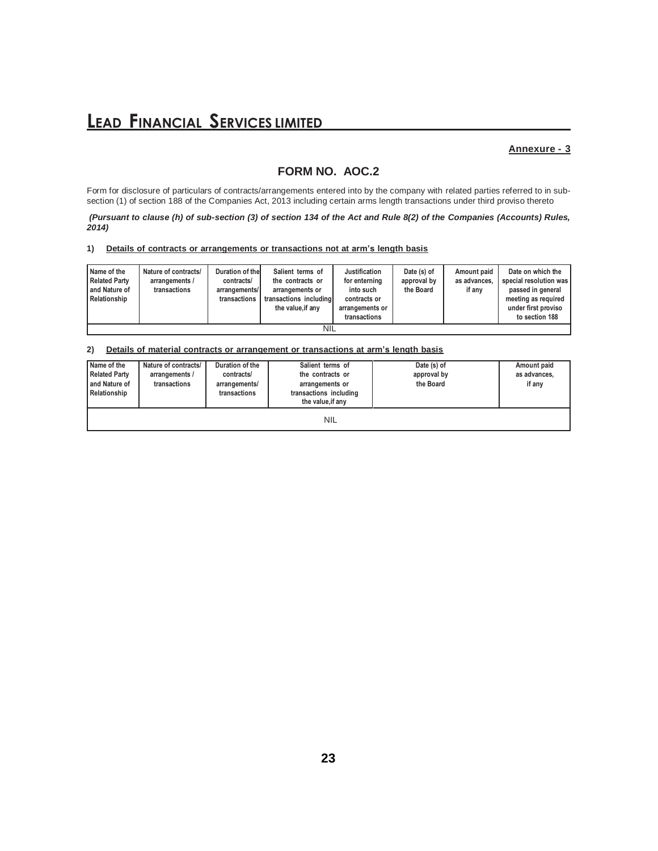### **Annexure - 3**

### **FORM NO. AOC.2**

Form for disclosure of particulars of contracts/arrangements entered into by the company with related parties referred to in subsection (1) of section 188 of the Companies Act, 2013 including certain arms length transactions under third proviso thereto

*(Pursuant to clause (h) of sub-section (3) of section 134 of the Act and Rule 8(2) of the Companies (Accounts) Rules, 2014)*

#### **1) Details of contracts or arrangements or transactions not at arm's length basis**

| Name of the<br><b>Related Party</b><br>and Nature of<br>Relationship | Nature of contracts/<br>arrangements /<br>transactions | Duration of the<br>contracts/<br>arrangements/<br>transactions | Salient terms of<br>the contracts or<br>arrangements or<br>transactions including<br>the value, if any | Justification<br>for enterning<br>into such<br>contracts or<br>arrangements or<br>transactions | Date (s) of<br>approval by<br>the Board | Amount paid<br>as advances,<br>if anv | Date on which the<br>special resolution was<br>passed in general<br>meeting as required<br>under first proviso<br>to section 188 |
|----------------------------------------------------------------------|--------------------------------------------------------|----------------------------------------------------------------|--------------------------------------------------------------------------------------------------------|------------------------------------------------------------------------------------------------|-----------------------------------------|---------------------------------------|----------------------------------------------------------------------------------------------------------------------------------|
| NIL                                                                  |                                                        |                                                                |                                                                                                        |                                                                                                |                                         |                                       |                                                                                                                                  |

#### **2) Details of material contracts or arrangement or transactions at arm's length basis**

| Name of the<br><b>Related Party</b><br>and Nature of<br>Relationship | Nature of contracts/<br>arrangements /<br>transactions | Duration of the<br>contracts/<br>arrangements/<br>transactions | Salient terms of<br>the contracts or<br>arrangements or<br>transactions including<br>the value, if any | Date (s) of<br>approval by<br>the Board | Amount paid<br>as advances,<br>if any |
|----------------------------------------------------------------------|--------------------------------------------------------|----------------------------------------------------------------|--------------------------------------------------------------------------------------------------------|-----------------------------------------|---------------------------------------|
|                                                                      |                                                        |                                                                | <b>NIL</b>                                                                                             |                                         |                                       |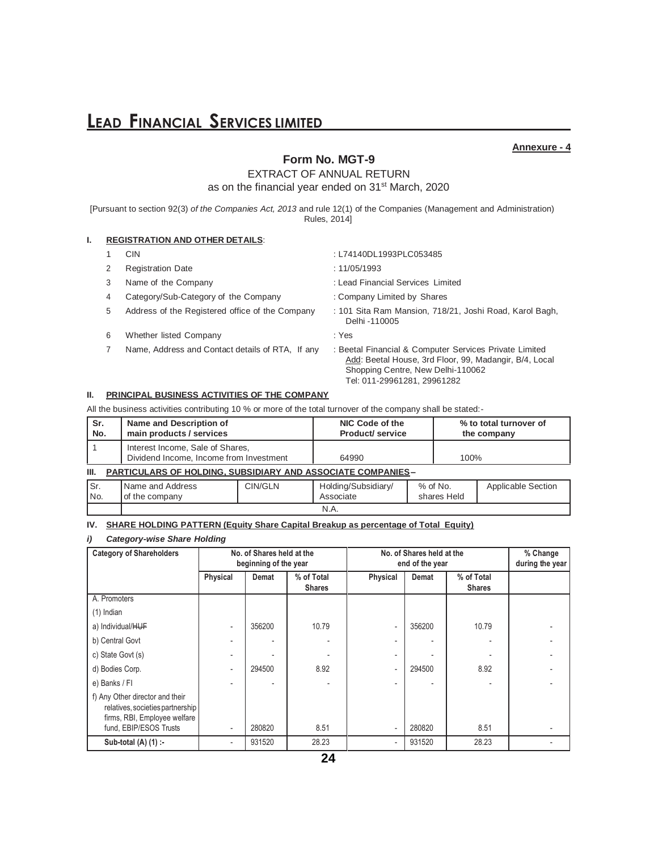#### **Annexure - 4**

### **Form No. MGT-9**

EXTRACT OF ANNUAL RETURN

as on the financial year ended on 31<sup>st</sup> March, 2020

[Pursuant to section 92(3) *of the Companies Act, 2013* and rule 12(1) of the Companies (Management and Administration) Rules, 2014]

#### **I. REGISTRATION AND OTHER DETAILS**:

- 
- 2 Registration Date : 11/05/1993
- 
- 4 Category/Sub-Category of the Company : Company Limited by Shares
- 
- 6 Whether listed Company : Yes
- 7 Name, Address and Contact details of RTA, If any : Beetal Financial & Computer Services Private Limited
- 1 CIN : L74140DL1993PLC053485
	-
- 3 Name of the Company **1992** : Lead Financial Services Limited

- 5 Address of the Registered office of the Company : 101 Sita Ram Mansion, 718/21, Joshi Road, Karol Bagh, Delhi -110005
	-
	- Add: Beetal House, 3rd Floor, 99, Madangir, B/4, Local Shopping Centre, New Delhi-110062 Tel: 011-29961281, 29961282

shares Held

#### **II. PRINCIPAL BUSINESS ACTIVITIES OF THE COMPANY**

All the business activities contributing 10 % or more of the total turnover of the company shall be stated:-

| Sr.<br>No.                                                                 | Name and Description of<br>main products / services                         | NIC Code of the |                     | <b>Product/service</b> | % to total turnover of<br>the company |
|----------------------------------------------------------------------------|-----------------------------------------------------------------------------|-----------------|---------------------|------------------------|---------------------------------------|
|                                                                            | Interest Income, Sale of Shares,<br>Dividend Income, Income from Investment |                 | 64990               | 100%                   |                                       |
| <b>PARTICULARS OF HOLDING, SUBSIDIARY AND ASSOCIATE COMPANIES-</b><br>III. |                                                                             |                 |                     |                        |                                       |
| Isr.                                                                       | Name and Address                                                            | CIN/GLN         | Holding/Subsidiary/ | $%$ of No.             | <b>Applicable Section</b>             |

Associate

N.A.

### **IV. SHARE HOLDING PATTERN (Equity Share Capital Breakup as percentage of Total Equity)**

#### *i) Category-wise Share Holding*

of the company

No.

| <b>Category of Shareholders</b>                                                                     |                          | No. of Shares held at the<br>beginning of the year |                             |          | No. of Shares held at the<br>end of the year | % Change<br>during the year |  |
|-----------------------------------------------------------------------------------------------------|--------------------------|----------------------------------------------------|-----------------------------|----------|----------------------------------------------|-----------------------------|--|
|                                                                                                     | Physical                 | Demat                                              | % of Total<br><b>Shares</b> | Physical | Demat                                        | % of Total<br><b>Shares</b> |  |
| A. Promoters                                                                                        |                          |                                                    |                             |          |                                              |                             |  |
| $(1)$ Indian                                                                                        |                          |                                                    |                             |          |                                              |                             |  |
| a) Individual/HUF                                                                                   | $\overline{\phantom{0}}$ | 356200                                             | 10.79                       |          | 356200                                       | 10.79                       |  |
| b) Central Govt                                                                                     | $\overline{\phantom{0}}$ |                                                    |                             |          |                                              |                             |  |
| c) State Govt (s)                                                                                   | -                        |                                                    |                             |          |                                              |                             |  |
| d) Bodies Corp.                                                                                     | $\overline{\phantom{a}}$ | 294500                                             | 8.92                        |          | 294500                                       | 8.92                        |  |
| e) Banks / FI                                                                                       | -                        |                                                    |                             |          |                                              |                             |  |
| f) Any Other director and their<br>relatives, societies partnership<br>firms, RBI, Employee welfare |                          |                                                    |                             |          |                                              |                             |  |
| fund, EBIP/ESOS Trusts                                                                              | $\overline{\phantom{a}}$ | 280820                                             | 8.51                        |          | 280820                                       | 8.51                        |  |
| Sub-total (A) (1) :-                                                                                | $\overline{\phantom{0}}$ | 931520                                             | 28.23                       |          | 931520                                       | 28.23                       |  |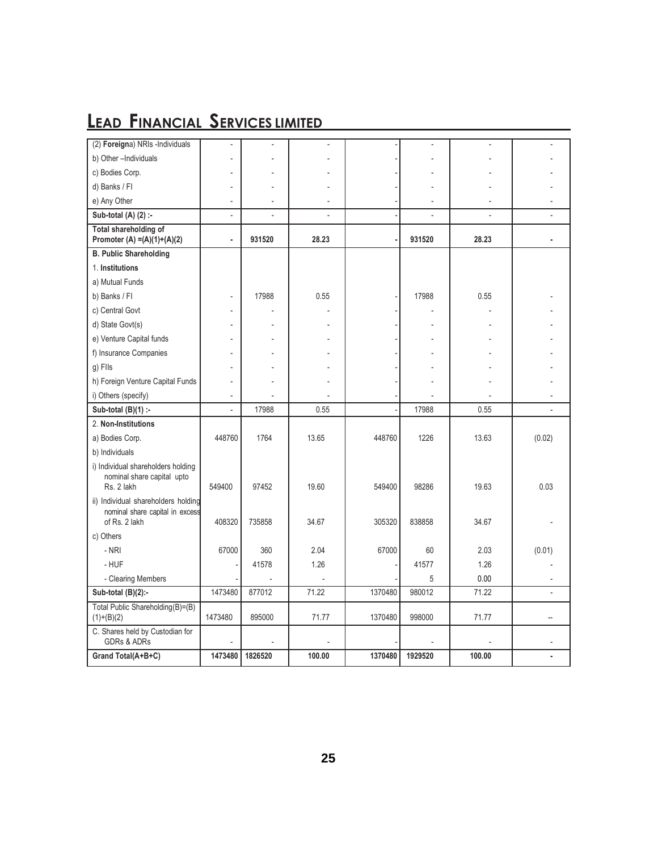| (2) Foreigna) NRIs -Individuals                                                         | $\overline{\phantom{a}}$ |         |        |         |         |        |        |
|-----------------------------------------------------------------------------------------|--------------------------|---------|--------|---------|---------|--------|--------|
| b) Other -Individuals                                                                   |                          |         |        |         |         |        |        |
| c) Bodies Corp.                                                                         |                          |         |        |         |         |        |        |
| d) Banks / Fl                                                                           |                          |         |        |         |         |        |        |
| e) Any Other                                                                            | $\overline{a}$           |         |        |         |         |        |        |
| Sub-total (A) (2) :-                                                                    | $\overline{a}$           |         |        |         |         |        |        |
| Total shareholding of<br>Promoter (A) = $(A)(1)+(A)(2)$                                 | $\blacksquare$           | 931520  | 28.23  |         | 931520  | 28.23  |        |
| <b>B. Public Shareholding</b>                                                           |                          |         |        |         |         |        |        |
| 1. Institutions                                                                         |                          |         |        |         |         |        |        |
| a) Mutual Funds                                                                         |                          |         |        |         |         |        |        |
| b) Banks / Fl                                                                           | $\overline{a}$           | 17988   | 0.55   |         | 17988   | 0.55   |        |
| c) Central Govt                                                                         |                          |         |        |         |         |        |        |
| d) State Govt(s)                                                                        |                          |         |        |         |         |        |        |
| e) Venture Capital funds                                                                |                          |         |        |         |         |        |        |
| f) Insurance Companies                                                                  |                          |         |        |         |         |        |        |
| g) Flls                                                                                 |                          |         |        |         |         |        |        |
| h) Foreign Venture Capital Funds                                                        |                          |         |        |         |         |        |        |
| i) Others (specify)                                                                     | $\overline{a}$           |         |        |         |         |        |        |
| Sub-total $(B)(1)$ :-                                                                   | $\overline{\phantom{a}}$ | 17988   | 0.55   |         | 17988   | 0.55   |        |
| 2. Non-Institutions                                                                     |                          |         |        |         |         |        |        |
| a) Bodies Corp.                                                                         | 448760                   | 1764    | 13.65  | 448760  | 1226    | 13.63  | (0.02) |
| b) Individuals                                                                          |                          |         |        |         |         |        |        |
| i) Individual shareholders holding<br>nominal share capital upto<br>Rs. 2 lakh          | 549400                   | 97452   | 19.60  | 549400  | 98286   | 19.63  | 0.03   |
| ii) Individual shareholders holding<br>nominal share capital in excess<br>of Rs. 2 lakh | 408320                   | 735858  | 34.67  | 305320  | 838858  | 34.67  |        |
| c) Others                                                                               |                          |         |        |         |         |        |        |
| - NRI                                                                                   | 67000                    | 360     | 2.04   | 67000   | 60      | 2.03   | (0.01) |
| - HUF                                                                                   |                          | 41578   | 1.26   |         | 41577   | 1.26   |        |
| - Clearing Members                                                                      |                          |         |        |         | 5       | 0.00   |        |
| Sub-total (B)(2):-                                                                      | 1473480                  | 877012  | 71.22  | 1370480 | 980012  | 71.22  |        |
| Total Public Shareholding(B)=(B)<br>$(1)+(B)(2)$                                        | 1473480                  | 895000  | 71.77  | 1370480 | 998000  | 71.77  |        |
| C. Shares held by Custodian for<br><b>GDRs &amp; ADRs</b>                               |                          |         |        |         |         |        |        |
| Grand Total(A+B+C)                                                                      | 1473480                  | 1826520 | 100.00 | 1370480 | 1929520 | 100.00 |        |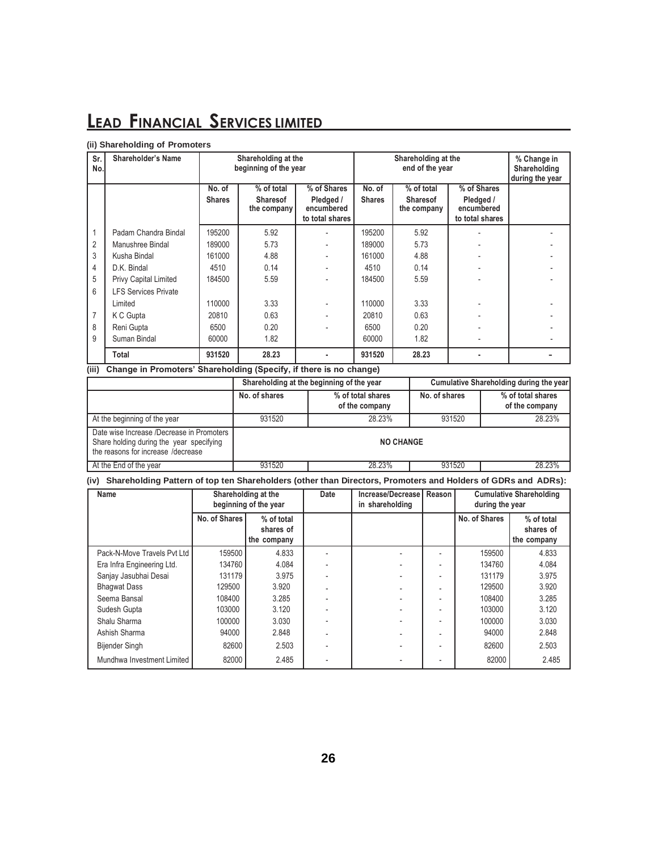#### **(ii) Shareholding of Promoters**

| Sr.<br>No.     | Shareholder's Name           |                                                                         | Shareholding at the<br>beginning of the year |                         | Shareholding at the<br>end of the year |                 |                         | % Change in<br>Shareholding |  |  |  |
|----------------|------------------------------|-------------------------------------------------------------------------|----------------------------------------------|-------------------------|----------------------------------------|-----------------|-------------------------|-----------------------------|--|--|--|
|                |                              |                                                                         |                                              |                         |                                        |                 |                         |                             |  |  |  |
|                |                              | No. of                                                                  | % of total                                   | % of Shares             | No. of                                 | % of total      | % of Shares             |                             |  |  |  |
|                |                              | <b>Shares</b>                                                           | <b>Sharesof</b>                              | Pledged /<br>encumbered | <b>Shares</b>                          | <b>Sharesof</b> | Pledged /<br>encumbered |                             |  |  |  |
|                |                              |                                                                         | the company                                  | to total shares         |                                        | the company     | to total shares         |                             |  |  |  |
|                | Padam Chandra Bindal         | 195200                                                                  | 5.92                                         |                         | 195200                                 | 5.92            |                         |                             |  |  |  |
| 2              | Manushree Bindal             | 189000                                                                  | 5.73                                         |                         | 189000                                 | 5.73            |                         |                             |  |  |  |
| 3              | Kusha Bindal                 | 161000                                                                  | 4.88                                         |                         | 161000                                 | 4.88            |                         |                             |  |  |  |
| 4              | D.K. Bindal                  | 4510                                                                    | 0.14                                         |                         | 4510                                   | 0.14            |                         |                             |  |  |  |
| 5              | <b>Privy Capital Limited</b> | 184500                                                                  | 5.59                                         |                         | 184500                                 | 5.59            |                         |                             |  |  |  |
| 6              | <b>LFS Services Private</b>  |                                                                         |                                              |                         |                                        |                 |                         |                             |  |  |  |
|                | Limited                      | 110000                                                                  | 3.33                                         |                         | 110000                                 | 3.33            |                         |                             |  |  |  |
| $\overline{7}$ | K C Gupta                    | 20810                                                                   | 0.63                                         |                         | 20810                                  | 0.63            |                         |                             |  |  |  |
| 8              | Reni Gupta                   | 6500                                                                    | 0.20                                         |                         | 6500                                   | 0.20            |                         |                             |  |  |  |
| 9              | Suman Bindal                 | 60000                                                                   | 1.82                                         |                         | 60000                                  | 1.82            |                         |                             |  |  |  |
|                | Total                        | 931520                                                                  | 28.23                                        |                         | 931520                                 | 28.23           |                         |                             |  |  |  |
|                |                              | (iii) Change in Promoters' Shareholding (Specify if there is no change) |                                              |                         |                                        |                 |                         |                             |  |  |  |

### **(iii) Change in Promoters' Shareholding (Specify, if there is no change)**

|                                                                                                                             |                            | Shareholding at the beginning of the year | Cumulative Shareholding during the year |                                     |  |  |  |
|-----------------------------------------------------------------------------------------------------------------------------|----------------------------|-------------------------------------------|-----------------------------------------|-------------------------------------|--|--|--|
|                                                                                                                             | No. of shares              | % of total shares<br>of the company       | No. of shares                           | % of total shares<br>of the company |  |  |  |
| At the beginning of the year                                                                                                | 931520                     | 28.23%                                    | 931520                                  | 28.23%                              |  |  |  |
| Date wise Increase /Decrease in Promoters<br>Share holding during the year specifying<br>the reasons for increase /decrease |                            | <b>NO CHANGE</b>                          |                                         |                                     |  |  |  |
| At the End of the year                                                                                                      | 931520<br>931520<br>28.23% |                                           |                                         |                                     |  |  |  |

### **(iv) Shareholding Pattern of top ten Shareholders (other than Directors, Promoters and Holders of GDRs and ADRs):**

| <b>Name</b>                 | Shareholding at the<br>beginning of the year |                                        | Date | Increase/Decrease<br>in shareholding | Reason | during the year | <b>Cumulative Shareholding</b>         |
|-----------------------------|----------------------------------------------|----------------------------------------|------|--------------------------------------|--------|-----------------|----------------------------------------|
|                             | No. of Shares                                | % of total<br>shares of<br>the company |      |                                      |        | No. of Shares   | % of total<br>shares of<br>the company |
| Pack-N-Move Travels Pyt Ltd | 159500                                       | 4.833                                  |      |                                      |        | 159500          | 4.833                                  |
| Era Infra Engineering Ltd.  | 134760                                       | 4.084                                  |      |                                      |        | 134760          | 4.084                                  |
| Sanjay Jasubhai Desai       | 131179                                       | 3.975                                  |      |                                      |        | 131179          | 3.975                                  |
| <b>Bhaqwat Dass</b>         | 129500                                       | 3.920                                  |      |                                      |        | 129500          | 3.920                                  |
| Seema Bansal                | 108400                                       | 3.285                                  |      |                                      |        | 108400          | 3.285                                  |
| Sudesh Gupta                | 103000                                       | 3.120                                  |      |                                      |        | 103000          | 3.120                                  |
| Shalu Sharma                | 100000                                       | 3.030                                  |      |                                      |        | 100000          | 3.030                                  |
| Ashish Sharma               | 94000                                        | 2.848                                  |      |                                      |        | 94000           | 2.848                                  |
| <b>Bijender Singh</b>       | 82600                                        | 2.503                                  |      |                                      |        | 82600           | 2.503                                  |
| Mundhwa Investment Limited  | 82000                                        | 2.485                                  |      |                                      |        | 82000           | 2.485                                  |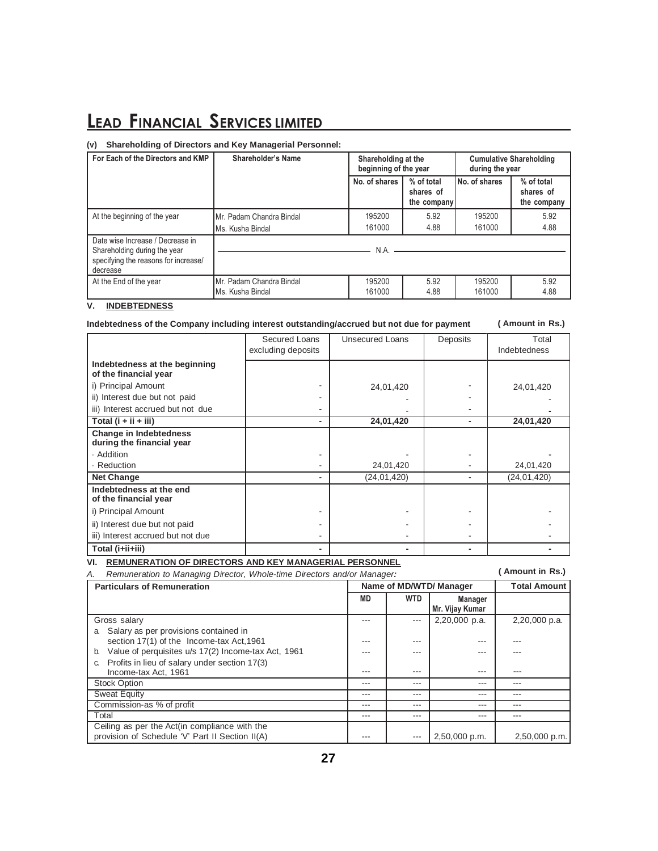#### **(v) Shareholding of Directors and Key Managerial Personnel:**

| For Each of the Directors and KMP                                                                                    | Shareholder's Name                           | Shareholding at the<br>beginning of the year |                                        | <b>Cumulative Shareholding</b><br>during the year |                                        |  |
|----------------------------------------------------------------------------------------------------------------------|----------------------------------------------|----------------------------------------------|----------------------------------------|---------------------------------------------------|----------------------------------------|--|
|                                                                                                                      |                                              | No. of shares                                | % of total<br>shares of<br>the company | No. of shares                                     | % of total<br>shares of<br>the company |  |
| At the beginning of the year                                                                                         | Mr. Padam Chandra Bindal<br>Ms. Kusha Bindal | 195200<br>161000                             | 5.92<br>4.88                           | 195200<br>161000                                  | 5.92<br>4.88                           |  |
| Date wise Increase / Decrease in<br>Shareholding during the year<br>specifying the reasons for increase/<br>decrease |                                              | N.A.                                         |                                        |                                                   |                                        |  |
| At the End of the year                                                                                               | Mr. Padam Chandra Bindal<br>Ms. Kusha Bindal | 195200<br>161000                             | 5.92<br>4.88                           | 195200<br>161000                                  | 5.92<br>4.88                           |  |

### **V. INDEBTEDNESS**

#### **Indebtedness of the Company including interest outstanding/accrued but not due for payment**

**( Amount in Rs.)**

|                                                            | Secured Loans<br>excluding deposits | Unsecured Loans | Deposits       | Total<br>Indebtedness |
|------------------------------------------------------------|-------------------------------------|-----------------|----------------|-----------------------|
| Indebtedness at the beginning<br>of the financial year     |                                     |                 |                |                       |
| i) Principal Amount                                        |                                     | 24,01,420       |                | 24,01,420             |
| ii) Interest due but not paid                              |                                     |                 |                |                       |
| iii) Interest accrued but not due                          |                                     |                 |                |                       |
| Total $(i + ii + iii)$                                     | ٠                                   | 24,01,420       | $\blacksquare$ | 24,01,420             |
| <b>Change in Indebtedness</b><br>during the financial year |                                     |                 |                |                       |
| · Addition                                                 |                                     |                 |                |                       |
| · Reduction                                                |                                     | 24,01,420       |                | 24,01,420             |
| <b>Net Change</b>                                          | ٠                                   | (24, 01, 420)   |                | (24, 01, 420)         |
| Indebtedness at the end<br>of the financial year           |                                     |                 |                |                       |
| i) Principal Amount                                        |                                     |                 |                |                       |
| ii) Interest due but not paid                              |                                     |                 |                |                       |
| iii) Interest accrued but not due                          |                                     |                 |                |                       |
| Total (i+ii+iii)                                           |                                     |                 |                |                       |

### **VI. REMUNERATION OF DIRECTORS AND KEY MANAGERIAL PERSONNEL**

**( Amount in Rs.)**

| Remuneration to Managing Director, Whole-time Directors and/or Manager:<br>А.                     | Amount in Rs.) |            |                                   |                     |
|---------------------------------------------------------------------------------------------------|----------------|------------|-----------------------------------|---------------------|
| <b>Particulars of Remuneration</b>                                                                |                |            | Name of MD/WTD/ Manager           | <b>Total Amount</b> |
|                                                                                                   | MD             | <b>WTD</b> | <b>Manager</b><br>Mr. Vijay Kumar |                     |
| Gross salary                                                                                      |                |            | 2,20,000 p.a.                     | 2,20,000 p.a.       |
| Salary as per provisions contained in<br>a.                                                       |                |            |                                   |                     |
| section 17(1) of the Income-tax Act, 1961                                                         | ---            | $- - -$    |                                   |                     |
| Value of perquisites u/s 17(2) Income-tax Act, 1961<br>b.                                         |                | ---        |                                   |                     |
| Profits in lieu of salary under section 17(3)<br>C.                                               |                |            |                                   |                     |
| Income-tax Act, 1961                                                                              | ---            | ---        | ---                               | ---                 |
| <b>Stock Option</b>                                                                               | ---            | ---        | ---                               | ---                 |
| <b>Sweat Equity</b>                                                                               | ---            | ---        | ---                               | ---                 |
| Commission-as % of profit                                                                         | ---            | ---        | ---                               | ---                 |
| Total                                                                                             | ---            | ---        | ---                               | ---                 |
| Ceiling as per the Act (in compliance with the<br>provision of Schedule 'V' Part II Section II(A) |                | ---        | 2,50,000 p.m.                     | 2,50,000 p.m.       |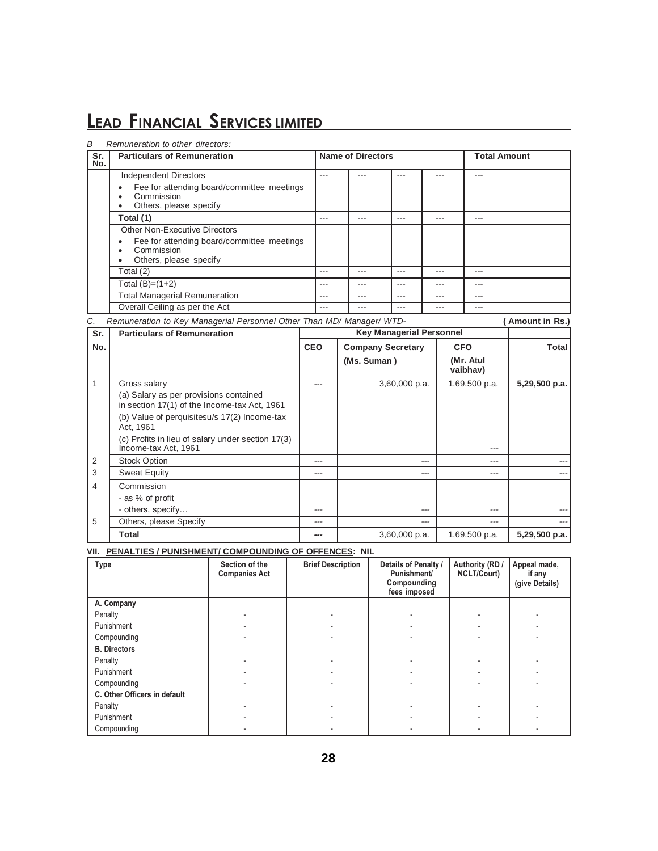| В              | Remuneration to other directors:                                                                                                                                                                                                                 |            |                |                          |                                 |     |                |                       |                 |
|----------------|--------------------------------------------------------------------------------------------------------------------------------------------------------------------------------------------------------------------------------------------------|------------|----------------|--------------------------|---------------------------------|-----|----------------|-----------------------|-----------------|
| Sr.<br>No.     | <b>Particulars of Remuneration</b>                                                                                                                                                                                                               |            |                | <b>Name of Directors</b> |                                 |     |                | <b>Total Amount</b>   |                 |
|                | <b>Independent Directors</b><br>Fee for attending board/committee meetings<br>Commission<br>Others, please specify                                                                                                                               |            |                |                          |                                 |     |                |                       |                 |
|                | Total (1)                                                                                                                                                                                                                                        |            |                | $\overline{a}$           | $\overline{a}$                  |     | $\overline{a}$ | $\overline{a}$        |                 |
|                | Other Non-Executive Directors<br>Fee for attending board/committee meetings<br>Commission<br>Others, please specify<br>$\bullet$                                                                                                                 |            |                |                          |                                 |     |                |                       |                 |
|                | Total $(2)$                                                                                                                                                                                                                                      |            | $---$          | $---$                    | $\overline{a}$                  |     | ---            | $---$                 |                 |
|                | Total $(B)=(1+2)$                                                                                                                                                                                                                                |            | $\overline{a}$ | ---                      | $---$                           |     | $- - -$        | ---                   |                 |
|                | <b>Total Managerial Remuneration</b>                                                                                                                                                                                                             |            | ---            |                          |                                 |     |                |                       |                 |
|                | Overall Ceiling as per the Act                                                                                                                                                                                                                   |            |                |                          |                                 |     |                |                       |                 |
| C.             | Remuneration to Key Managerial Personnel Other Than MD/ Manager/ WTD-                                                                                                                                                                            |            |                |                          |                                 |     |                |                       | (Amount in Rs.) |
| Sr.            | <b>Particulars of Remuneration</b>                                                                                                                                                                                                               |            |                |                          | <b>Key Managerial Personnel</b> |     |                |                       |                 |
| No.            |                                                                                                                                                                                                                                                  | <b>CEO</b> |                |                          | <b>Company Secretary</b>        |     | <b>CFO</b>     |                       | Total           |
|                |                                                                                                                                                                                                                                                  |            |                | (Ms. Suman)              |                                 |     |                | (Mr. Atul<br>vaibhav) |                 |
| 1              | Gross salary<br>(a) Salary as per provisions contained<br>in section 17(1) of the Income-tax Act, 1961<br>(b) Value of perquisitesu/s 17(2) Income-tax<br>Act, 1961<br>(c) Profits in lieu of salary under section 17(3)<br>Income-tax Act, 1961 |            | ---            |                          | 3,60,000 p.a.                   |     |                | 1,69,500 p.a.         | 5,29,500 p.a.   |
| $\overline{2}$ | <b>Stock Option</b>                                                                                                                                                                                                                              |            | ---            |                          |                                 | --- |                | ---                   |                 |
| 3              | <b>Sweat Equity</b>                                                                                                                                                                                                                              |            | ---            |                          |                                 | --- |                | $---$                 |                 |
| 4              | Commission                                                                                                                                                                                                                                       |            |                |                          |                                 |     |                |                       |                 |
|                | - as % of profit<br>- others, specify                                                                                                                                                                                                            |            |                |                          |                                 | --- |                |                       |                 |
| 5              | Others, please Specify                                                                                                                                                                                                                           |            | $-$ --         |                          |                                 |     |                | $- - -$               |                 |
|                | <b>Total</b>                                                                                                                                                                                                                                     |            | ---            |                          | 3,60,000 p.a.                   |     |                | 1,69,500 p.a.         | 5,29,500 p.a.   |

**VII. PENALTIES / PUNISHMENT/ COMPOUNDING OF OFFENCES: NIL**

| <b>Type</b>                  | Section of the<br><b>Companies Act</b> | <b>Brief Description</b> | Details of Penalty /<br>Punishment/<br>Compounding<br>fees imposed | Authority (RD /<br><b>NCLT/Court)</b> | Appeal made,<br>if any<br>(give Details) |
|------------------------------|----------------------------------------|--------------------------|--------------------------------------------------------------------|---------------------------------------|------------------------------------------|
| A. Company                   |                                        |                          |                                                                    |                                       |                                          |
| Penalty                      |                                        |                          |                                                                    |                                       |                                          |
| Punishment                   |                                        |                          |                                                                    |                                       |                                          |
| Compounding                  |                                        |                          |                                                                    |                                       |                                          |
| <b>B.</b> Directors          |                                        |                          |                                                                    |                                       |                                          |
| Penalty                      |                                        |                          |                                                                    |                                       |                                          |
| Punishment                   |                                        |                          |                                                                    |                                       |                                          |
| Compounding                  |                                        |                          |                                                                    |                                       |                                          |
| C. Other Officers in default |                                        |                          |                                                                    |                                       |                                          |
| Penalty                      |                                        |                          |                                                                    |                                       |                                          |
| Punishment                   |                                        |                          |                                                                    |                                       |                                          |
| Compounding                  |                                        |                          |                                                                    |                                       |                                          |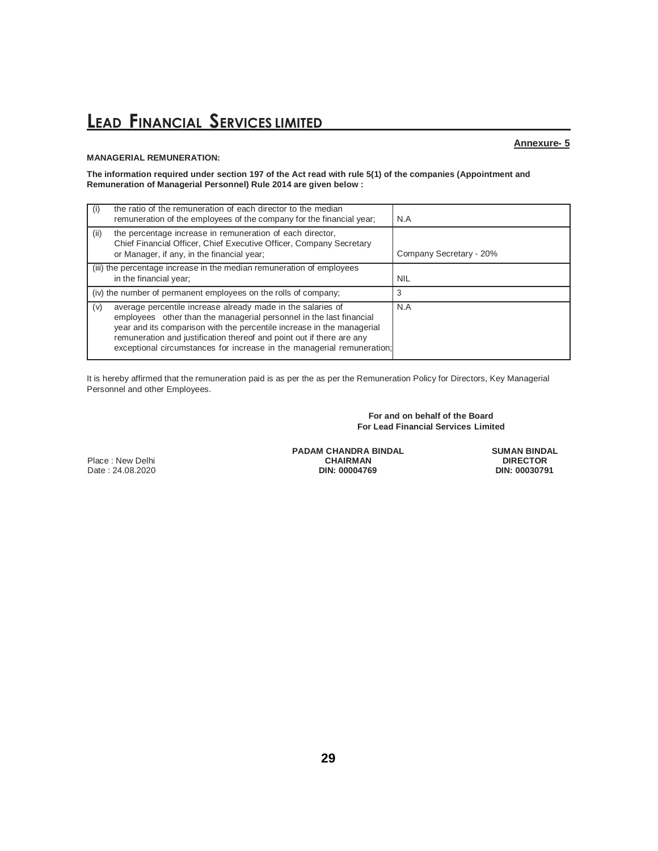#### **MANAGERIAL REMUNERATION:**

#### **Annexure- 5**

**The information required under section 197 of the Act read with rule 5(1) of the companies (Appointment and Remuneration of Managerial Personnel) Rule 2014 are given below :**

| the ratio of the remuneration of each director to the median<br>$\left( 1\right)$<br>remuneration of the employees of the company for the financial year;                                                                                                                                                                                                              | N.A                     |
|------------------------------------------------------------------------------------------------------------------------------------------------------------------------------------------------------------------------------------------------------------------------------------------------------------------------------------------------------------------------|-------------------------|
| the percentage increase in remuneration of each director,<br>(ii)<br>Chief Financial Officer, Chief Executive Officer, Company Secretary<br>or Manager, if any, in the financial year;                                                                                                                                                                                 | Company Secretary - 20% |
| (iii) the percentage increase in the median remuneration of employees<br>in the financial year;                                                                                                                                                                                                                                                                        | <b>NIL</b>              |
| (iv) the number of permanent employees on the rolls of company;                                                                                                                                                                                                                                                                                                        | 3                       |
| average percentile increase already made in the salaries of<br>(v)<br>employees other than the managerial personnel in the last financial<br>year and its comparison with the percentile increase in the managerial<br>remuneration and justification thereof and point out if there are any<br>exceptional circumstances for increase in the managerial remuneration; | N.A                     |

It is hereby affirmed that the remuneration paid is as per the as per the Remuneration Policy for Directors, Key Managerial Personnel and other Employees.

> **For and on behalf of the Board For Lead Financial Services Limited**

Place : New Delhi Date : 24.08.2020 **DIN: 00004769 DIN: 00030791** **PADAM CHANDRA BINDAL CHAIRMAN**<br>DIN: 00004769

**SUMAN BINDAL DIRECTOR**<br>DIN: 00030791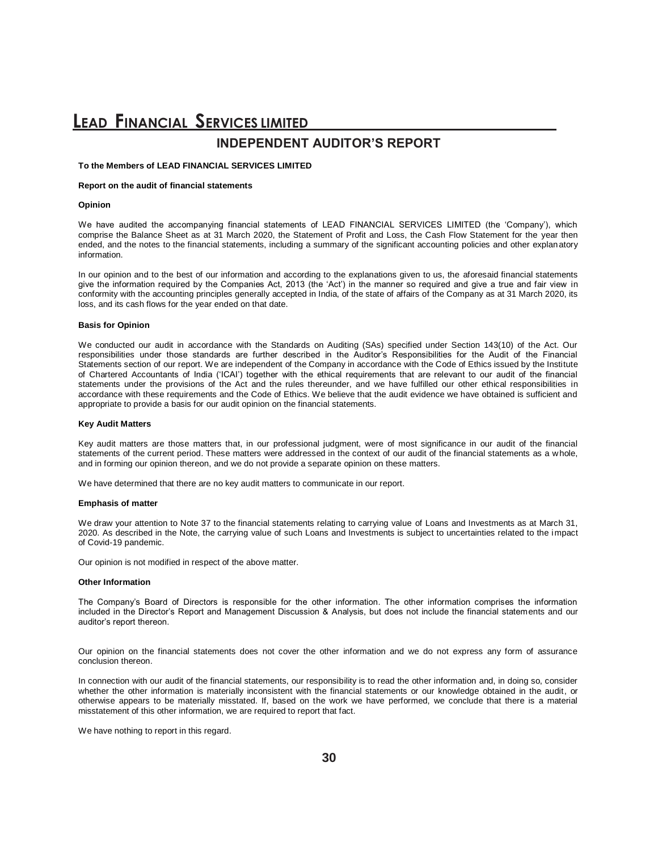### **LEAD FINANCIAL SERVICES LIMITED INDEPENDENT AUDITOR'S REPORT**

#### **To the Members of LEAD FINANCIAL SERVICES LIMITED**

#### **Report on the audit of financial statements**

#### **Opinion**

We have audited the accompanying financial statements of LEAD FINANCIAL SERVICES LIMITED (the 'Company'), which comprise the Balance Sheet as at 31 March 2020, the Statement of Profit and Loss, the Cash Flow Statement for the year then ended, and the notes to the financial statements, including a summary of the significant accounting policies and other explanatory information.

In our opinion and to the best of our information and according to the explanations given to us, the aforesaid financial statements give the information required by the Companies Act, 2013 (the 'Act') in the manner so required and give a true and fair view in conformity with the accounting principles generally accepted in India, of the state of affairs of the Company as at 31 March 2020, its loss, and its cash flows for the year ended on that date.

#### **Basis for Opinion**

We conducted our audit in accordance with the Standards on Auditing (SAs) specified under Section 143(10) of the Act. Our responsibilities under those standards are further described in the Auditor's Responsibilities for the Audit of the Financial Statements section of our report. We are independent of the Company in accordance with the Code of Ethics issued by the Institute of Chartered Accountants of India ('ICAI') together with the ethical requirements that are relevant to our audit of the financial statements under the provisions of the Act and the rules thereunder, and we have fulfilled our other ethical responsibilities in accordance with these requirements and the Code of Ethics. We believe that the audit evidence we have obtained is sufficient and appropriate to provide a basis for our audit opinion on the financial statements.

#### **Key Audit Matters**

Key audit matters are those matters that, in our professional judgment, were of most significance in our audit of the financial statements of the current period. These matters were addressed in the context of our audit of the financial statements as a whole, and in forming our opinion thereon, and we do not provide a separate opinion on these matters.

We have determined that there are no key audit matters to communicate in our report.

#### **Emphasis of matter**

We draw your attention to Note 37 to the financial statements relating to carrying value of Loans and Investments as at March 31, 2020. As described in the Note, the carrying value of such Loans and Investments is subject to uncertainties related to the impact of Covid-19 pandemic.

Our opinion is not modified in respect of the above matter.

#### **Other Information**

The Company's Board of Directors is responsible for the other information. The other information comprises the information included in the Director's Report and Management Discussion & Analysis, but does not include the financial statements and our auditor's report thereon.

Our opinion on the financial statements does not cover the other information and we do not express any form of assurance conclusion thereon.

In connection with our audit of the financial statements, our responsibility is to read the other information and, in doing so, consider whether the other information is materially inconsistent with the financial statements or our knowledge obtained in the audit, or otherwise appears to be materially misstated. If, based on the work we have performed, we conclude that there is a material misstatement of this other information, we are required to report that fact.

We have nothing to report in this regard.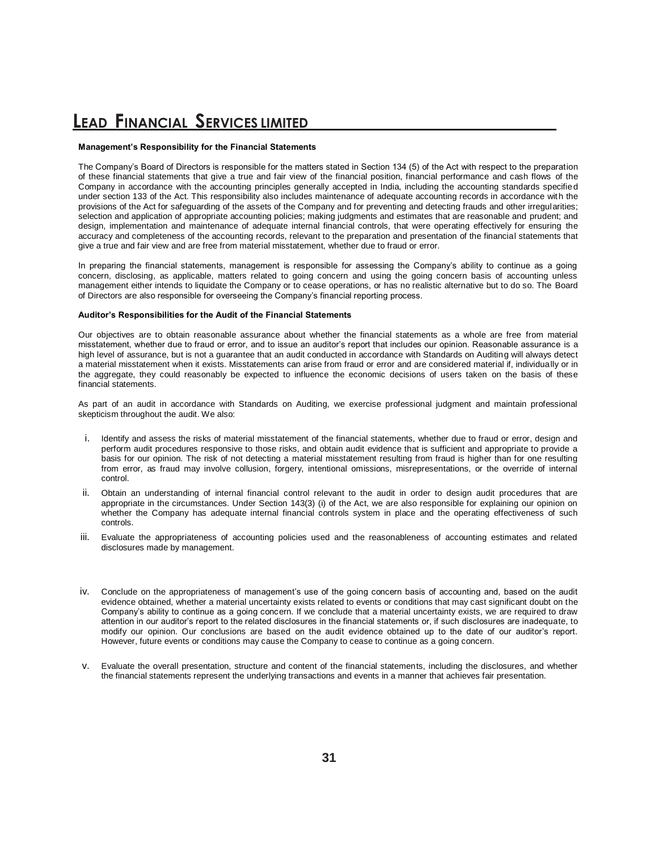#### **Management's Responsibility for the Financial Statements**

The Company's Board of Directors is responsible for the matters stated in Section 134 (5) of the Act with respect to the preparation of these financial statements that give a true and fair view of the financial position, financial performance and cash flows of the Company in accordance with the accounting principles generally accepted in India, including the accounting standards specified under section 133 of the Act. This responsibility also includes maintenance of adequate accounting records in accordance with the provisions of the Act for safeguarding of the assets of the Company and for preventing and detecting frauds and other irregularities; selection and application of appropriate accounting policies; making judgments and estimates that are reasonable and prudent; and design, implementation and maintenance of adequate internal financial controls, that were operating effectively for ensuring the accuracy and completeness of the accounting records, relevant to the preparation and presentation of the financial statements that give a true and fair view and are free from material misstatement, whether due to fraud or error.

In preparing the financial statements, management is responsible for assessing the Company's ability to continue as a going concern, disclosing, as applicable, matters related to going concern and using the going concern basis of accounting unless management either intends to liquidate the Company or to cease operations, or has no realistic alternative but to do so. The Board of Directors are also responsible for overseeing the Company's financial reporting process.

#### **Auditor's Responsibilities for the Audit of the Financial Statements**

Our objectives are to obtain reasonable assurance about whether the financial statements as a whole are free from material misstatement, whether due to fraud or error, and to issue an auditor's report that includes our opinion. Reasonable assurance is a high level of assurance, but is not a guarantee that an audit conducted in accordance with Standards on Auditing will always detect a material misstatement when it exists. Misstatements can arise from fraud or error and are considered material if, individually or in the aggregate, they could reasonably be expected to influence the economic decisions of users taken on the basis of these financial statements.

As part of an audit in accordance with Standards on Auditing, we exercise professional judgment and maintain professional skepticism throughout the audit. We also:

- i. Identify and assess the risks of material misstatement of the financial statements, whether due to fraud or error, design and perform audit procedures responsive to those risks, and obtain audit evidence that is sufficient and appropriate to provide a basis for our opinion. The risk of not detecting a material misstatement resulting from fraud is higher than for one resulting from error, as fraud may involve collusion, forgery, intentional omissions, misrepresentations, or the override of internal control.
- ii. Obtain an understanding of internal financial control relevant to the audit in order to design audit procedures that are appropriate in the circumstances. Under Section 143(3) (i) of the Act, we are also responsible for explaining our opinion on whether the Company has adequate internal financial controls system in place and the operating effectiveness of such controls.
- iii. Evaluate the appropriateness of accounting policies used and the reasonableness of accounting estimates and related disclosures made by management.
- iv. Conclude on the appropriateness of management's use of the going concern basis of accounting and, based on the audit evidence obtained, whether a material uncertainty exists related to events or conditions that may cast significant doubt on the Company's ability to continue as a going concern. If we conclude that a material uncertainty exists, we are required to draw attention in our auditor's report to the related disclosures in the financial statements or, if such disclosures are inadequate, to modify our opinion. Our conclusions are based on the audit evidence obtained up to the date of our auditor's report. However, future events or conditions may cause the Company to cease to continue as a going concern.
- v. Evaluate the overall presentation, structure and content of the financial statements, including the disclosures, and whether the financial statements represent the underlying transactions and events in a manner that achieves fair presentation.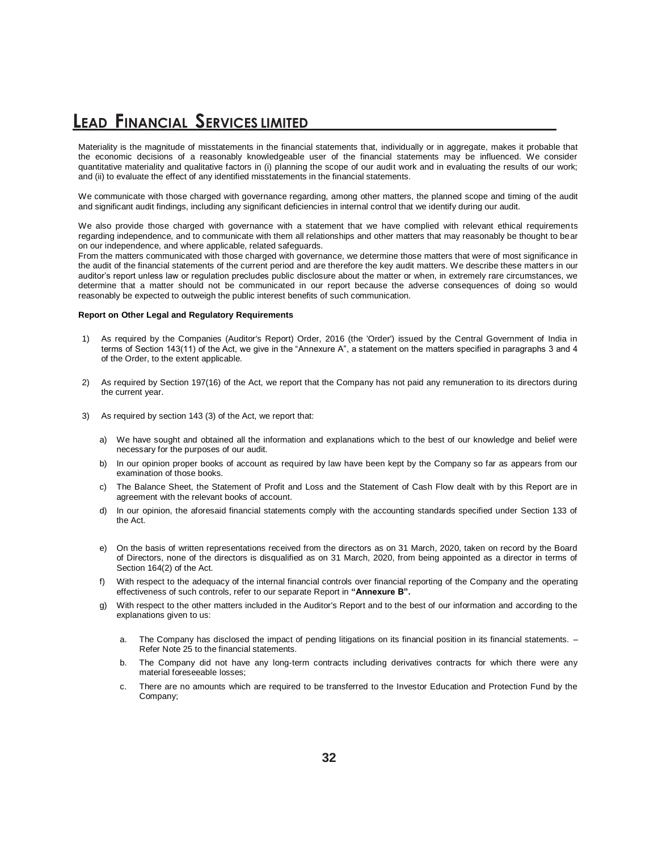Materiality is the magnitude of misstatements in the financial statements that, individually or in aggregate, makes it probable that the economic decisions of a reasonably knowledgeable user of the financial statements may be influenced. We consider quantitative materiality and qualitative factors in (i) planning the scope of our audit work and in evaluating the results of our work; and (ii) to evaluate the effect of any identified misstatements in the financial statements.

We communicate with those charged with governance regarding, among other matters, the planned scope and timing of the audit and significant audit findings, including any significant deficiencies in internal control that we identify during our audit.

We also provide those charged with governance with a statement that we have complied with relevant ethical requirements regarding independence, and to communicate with them all relationships and other matters that may reasonably be thought to bear on our independence, and where applicable, related safeguards.

From the matters communicated with those charged with governance, we determine those matters that were of most significance in the audit of the financial statements of the current period and are therefore the key audit matters. We describe these matters in our auditor's report unless law or regulation precludes public disclosure about the matter or when, in extremely rare circumstances, we determine that a matter should not be communicated in our report because the adverse consequences of doing so would reasonably be expected to outweigh the public interest benefits of such communication.

#### **Report on Other Legal and Regulatory Requirements**

- 1) As required by the Companies (Auditor's Report) Order, 2016 (the 'Order') issued by the Central Government of India in terms of Section 143(11) of the Act, we give in the "Annexure A", a statement on the matters specified in paragraphs 3 and 4 of the Order, to the extent applicable.
- 2) As required by Section 197(16) of the Act, we report that the Company has not paid any remuneration to its directors during the current year.
- 3) As required by section 143 (3) of the Act, we report that:
	- a) We have sought and obtained all the information and explanations which to the best of our knowledge and belief were necessary for the purposes of our audit.
	- b) In our opinion proper books of account as required by law have been kept by the Company so far as appears from our examination of those books.
	- c) The Balance Sheet, the Statement of Profit and Loss and the Statement of Cash Flow dealt with by this Report are in agreement with the relevant books of account.
	- d) In our opinion, the aforesaid financial statements comply with the accounting standards specified under Section 133 of the Act.
	- e) On the basis of written representations received from the directors as on 31 March, 2020, taken on record by the Board of Directors, none of the directors is disqualified as on 31 March, 2020, from being appointed as a director in terms of Section 164(2) of the Act.
	- f) With respect to the adequacy of the internal financial controls over financial reporting of the Company and the operating effectiveness of such controls, refer to our separate Report in **"Annexure B".**
	- g) With respect to the other matters included in the Auditor's Report and to the best of our information and according to the explanations given to us:
		- a. The Company has disclosed the impact of pending litigations on its financial position in its financial statements. Refer Note 25 to the financial statements.
		- b. The Company did not have any long-term contracts including derivatives contracts for which there were any material foreseeable losses;
		- c. There are no amounts which are required to be transferred to the Investor Education and Protection Fund by the Company;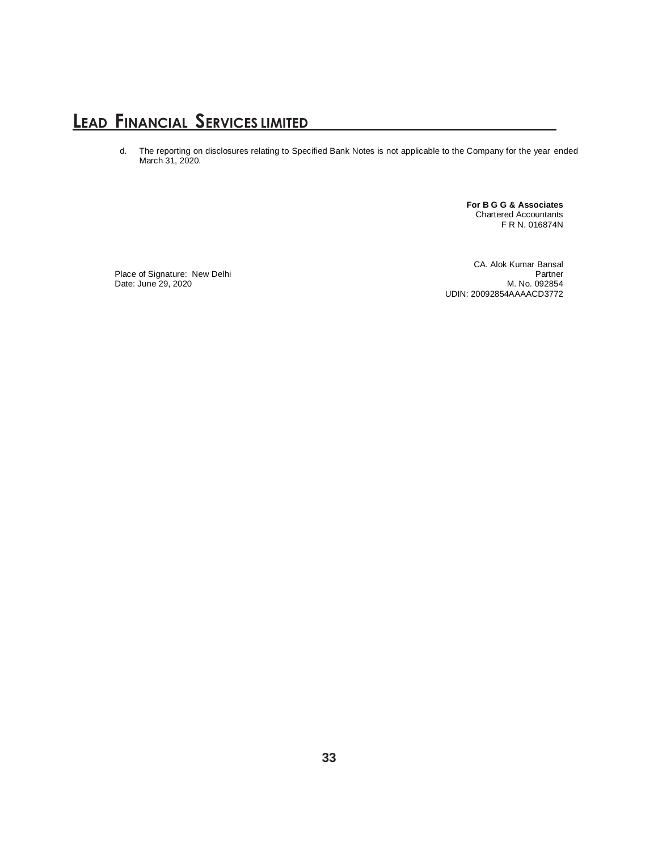d. The reporting on disclosures relating to Specified Bank Notes is not applicable to the Company for the year ended March 31, 2020.

> **For B G G & Associates** Chartered Accountants F R N. 016874N

Place of Signature: New Delhi **Partner** Partner and the Second Partner and the Partner of Signature: New Delhi Date: June 29, 2020 M. No. 092854

CA. Alok Kumar Bansal UDIN: 20092854AAAACD3772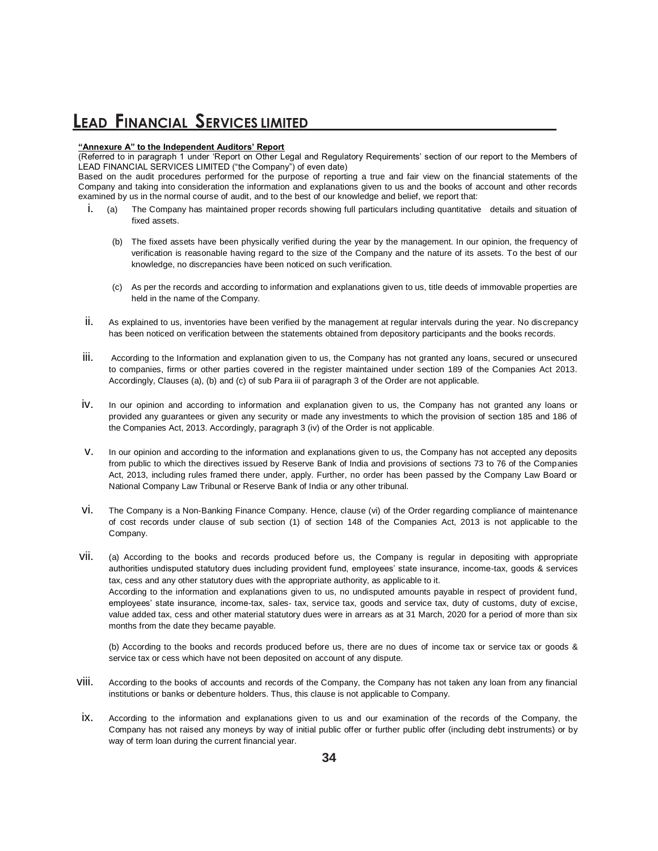#### **"Annexure A" to the Independent Auditors' Report**

(Referred to in paragraph 1 under 'Report on Other Legal and Regulatory Requirements' section of our report to the Members of LEAD FINANCIAL SERVICES LIMITED ("the Company") of even date)

Based on the audit procedures performed for the purpose of reporting a true and fair view on the financial statements of the Company and taking into consideration the information and explanations given to us and the books of account and other records examined by us in the normal course of audit, and to the best of our knowledge and belief, we report that:

- i. (a) The Company has maintained proper records showing full particulars including quantitative details and situation of fixed assets.
	- (b) The fixed assets have been physically verified during the year by the management. In our opinion, the frequency of verification is reasonable having regard to the size of the Company and the nature of its assets. To the best of our knowledge, no discrepancies have been noticed on such verification.
	- (c) As per the records and according to information and explanations given to us, title deeds of immovable properties are held in the name of the Company.
- ii. As explained to us, inventories have been verified by the management at regular intervals during the year. No discrepancy has been noticed on verification between the statements obtained from depository participants and the books records.
- iii. According to the Information and explanation given to us, the Company has not granted any loans, secured or unsecured to companies, firms or other parties covered in the register maintained under section 189 of the Companies Act 2013. Accordingly, Clauses (a), (b) and (c) of sub Para iii of paragraph 3 of the Order are not applicable.
- iv. In our opinion and according to information and explanation given to us, the Company has not granted any loans or provided any guarantees or given any security or made any investments to which the provision of section 185 and 186 of the Companies Act, 2013. Accordingly, paragraph 3 (iv) of the Order is not applicable.
- v. In our opinion and according to the information and explanations given to us, the Company has not accepted any deposits from public to which the directives issued by Reserve Bank of India and provisions of sections 73 to 76 of the Companies Act, 2013, including rules framed there under, apply. Further, no order has been passed by the Company Law Board or National Company Law Tribunal or Reserve Bank of India or any other tribunal.
- vi. The Company is a Non-Banking Finance Company. Hence, clause (vi) of the Order regarding compliance of maintenance of cost records under clause of sub section (1) of section 148 of the Companies Act, 2013 is not applicable to the Company.
- vii. (a) According to the books and records produced before us, the Company is regular in depositing with appropriate authorities undisputed statutory dues including provident fund, employees' state insurance, income-tax, goods & services tax, cess and any other statutory dues with the appropriate authority, as applicable to it. According to the information and explanations given to us, no undisputed amounts payable in respect of provident fund, employees' state insurance, income-tax, sales- tax, service tax, goods and service tax, duty of customs, duty of excise, value added tax, cess and other material statutory dues were in arrears as at 31 March, 2020 for a period of more than six months from the date they became payable.

(b) According to the books and records produced before us, there are no dues of income tax or service tax or goods & service tax or cess which have not been deposited on account of any dispute.

- viii. According to the books of accounts and records of the Company, the Company has not taken any loan from any financial institutions or banks or debenture holders. Thus, this clause is not applicable to Company.
- ix. According to the information and explanations given to us and our examination of the records of the Company, the Company has not raised any moneys by way of initial public offer or further public offer (including debt instruments) or by way of term loan during the current financial year.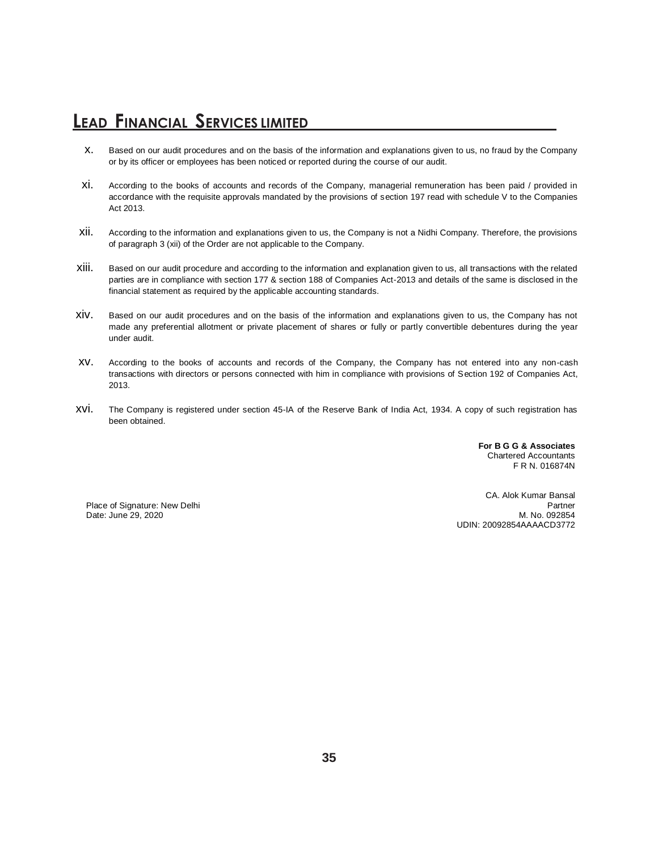- x. Based on our audit procedures and on the basis of the information and explanations given to us, no fraud by the Company or by its officer or employees has been noticed or reported during the course of our audit.
- xi. According to the books of accounts and records of the Company, managerial remuneration has been paid / provided in accordance with the requisite approvals mandated by the provisions of section 197 read with schedule V to the Companies Act 2013.
- xii. According to the information and explanations given to us, the Company is not a Nidhi Company. Therefore, the provisions of paragraph 3 (xii) of the Order are not applicable to the Company.
- xiii. Based on our audit procedure and according to the information and explanation given to us, all transactions with the related parties are in compliance with section 177 & section 188 of Companies Act-2013 and details of the same is disclosed in the financial statement as required by the applicable accounting standards.
- xiv. Based on our audit procedures and on the basis of the information and explanations given to us, the Company has not made any preferential allotment or private placement of shares or fully or partly convertible debentures during the year under audit.
- xv. According to the books of accounts and records of the Company, the Company has not entered into any non-cash transactions with directors or persons connected with him in compliance with provisions of Section 192 of Companies Act, 2013.
- xvi. The Company is registered under section 45-IA of the Reserve Bank of India Act, 1934. A copy of such registration has been obtained.

**For B G G & Associates** Chartered Accountants F R N. 016874N

Date: June 29, 2020

CA. Alok Kumar Bansal Place of Signature: New Delhi Partner<br>
Date: June 29. 2020 M. No. 092854 UDIN: 20092854AAAACD3772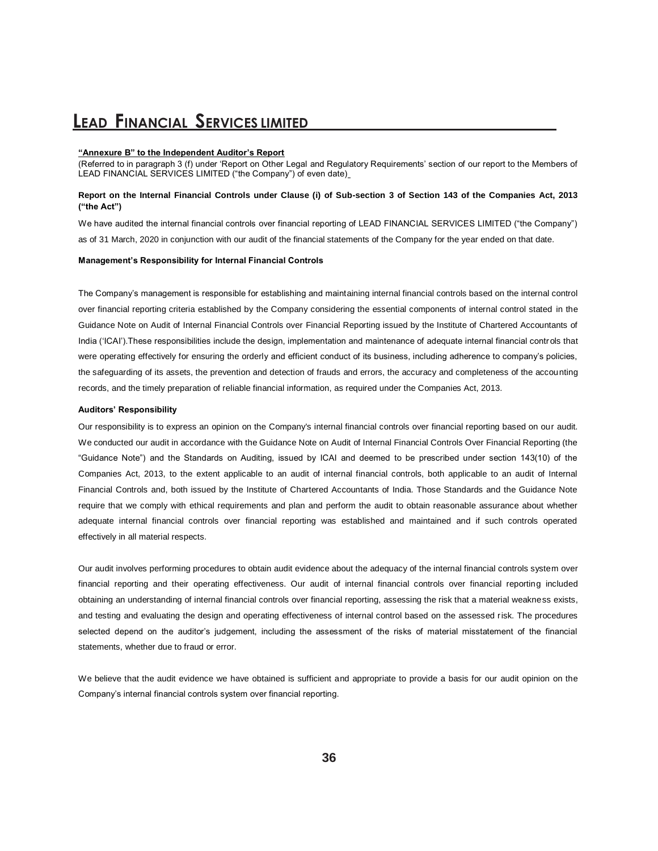#### **"Annexure B" to the Independent Auditor's Report**

(Referred to in paragraph 3 (f) under 'Report on Other Legal and Regulatory Requirements' section of our report to the Members of LEAD FINANCIAL SERVICES LIMITED ("the Company") of even date)

#### **Report on the Internal Financial Controls under Clause (i) of Sub-section 3 of Section 143 of the Companies Act, 2013 ("the Act")**

We have audited the internal financial controls over financial reporting of LEAD FINANCIAL SERVICES LIMITED ("the Company") as of 31 March, 2020 in conjunction with our audit of the financial statements of the Company for the year ended on that date.

#### **Management's Responsibility for Internal Financial Controls**

The Company's management is responsible for establishing and maintaining internal financial controls based on the internal control over financial reporting criteria established by the Company considering the essential components of internal control stated in the Guidance Note on Audit of Internal Financial Controls over Financial Reporting issued by the Institute of Chartered Accountants of India ('ICAI').These responsibilities include the design, implementation and maintenance of adequate internal financial controls that were operating effectively for ensuring the orderly and efficient conduct of its business, including adherence to company's policies, the safeguarding of its assets, the prevention and detection of frauds and errors, the accuracy and completeness of the accounting records, and the timely preparation of reliable financial information, as required under the Companies Act, 2013.

#### **Auditors' Responsibility**

Our responsibility is to express an opinion on the Company's internal financial controls over financial reporting based on our audit. We conducted our audit in accordance with the Guidance Note on Audit of Internal Financial Controls Over Financial Reporting (the "Guidance Note") and the Standards on Auditing, issued by ICAI and deemed to be prescribed under section 143(10) of the Companies Act, 2013, to the extent applicable to an audit of internal financial controls, both applicable to an audit of Internal Financial Controls and, both issued by the Institute of Chartered Accountants of India. Those Standards and the Guidance Note require that we comply with ethical requirements and plan and perform the audit to obtain reasonable assurance about whether adequate internal financial controls over financial reporting was established and maintained and if such controls operated effectively in all material respects.

Our audit involves performing procedures to obtain audit evidence about the adequacy of the internal financial controls system over financial reporting and their operating effectiveness. Our audit of internal financial controls over financial reporting included obtaining an understanding of internal financial controls over financial reporting, assessing the risk that a material weakness exists, and testing and evaluating the design and operating effectiveness of internal control based on the assessed risk. The procedures selected depend on the auditor's judgement, including the assessment of the risks of material misstatement of the financial statements, whether due to fraud or error.

We believe that the audit evidence we have obtained is sufficient and appropriate to provide a basis for our audit opinion on the Company's internal financial controls system over financial reporting.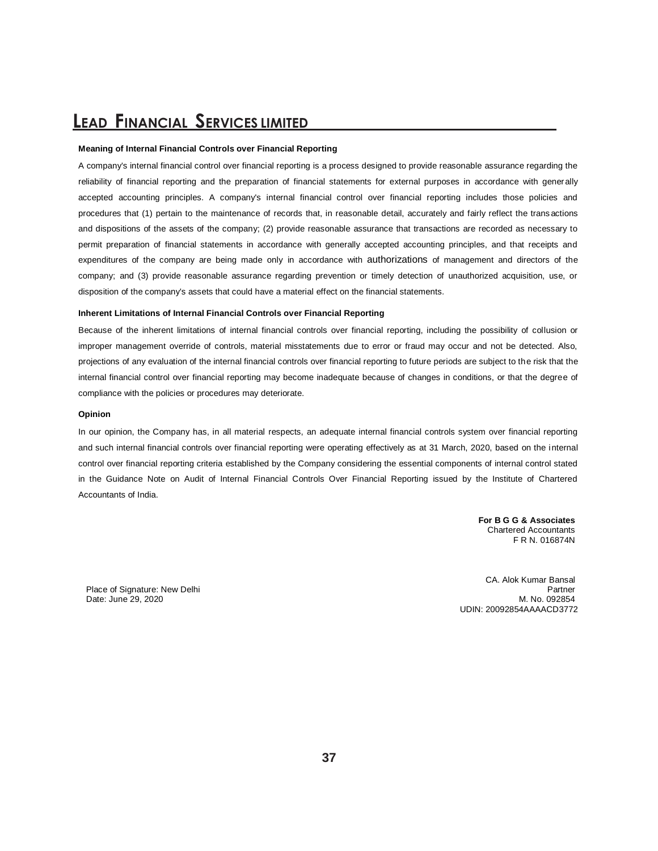#### **Meaning of Internal Financial Controls over Financial Reporting**

A company's internal financial control over financial reporting is a process designed to provide reasonable assurance regarding the reliability of financial reporting and the preparation of financial statements for external purposes in accordance with generally accepted accounting principles. A company's internal financial control over financial reporting includes those policies and procedures that (1) pertain to the maintenance of records that, in reasonable detail, accurately and fairly reflect the trans actions and dispositions of the assets of the company; (2) provide reasonable assurance that transactions are recorded as necessary to permit preparation of financial statements in accordance with generally accepted accounting principles, and that receipts and expenditures of the company are being made only in accordance with authorizations of management and directors of the company; and (3) provide reasonable assurance regarding prevention or timely detection of unauthorized acquisition, use, or disposition of the company's assets that could have a material effect on the financial statements.

#### **Inherent Limitations of Internal Financial Controls over Financial Reporting**

Because of the inherent limitations of internal financial controls over financial reporting, including the possibility of collusion or improper management override of controls, material misstatements due to error or fraud may occur and not be detected. Also, projections of any evaluation of the internal financial controls over financial reporting to future periods are subject to the risk that the internal financial control over financial reporting may become inadequate because of changes in conditions, or that the degree of compliance with the policies or procedures may deteriorate.

#### **Opinion**

In our opinion, the Company has, in all material respects, an adequate internal financial controls system over financial reporting and such internal financial controls over financial reporting were operating effectively as at 31 March, 2020, based on the internal control over financial reporting criteria established by the Company considering the essential components of internal control stated in the Guidance Note on Audit of Internal Financial Controls Over Financial Reporting issued by the Institute of Chartered Accountants of India.

> **For B G G & Associates** Chartered Accountants F R N. 016874N

Date: June 29, 2020

CA. Alok Kumar Bansal Place of Signature: New Delhi Partner<br>
Date: June 29. 2020 M. No. 092854 UDIN: 20092854AAAACD3772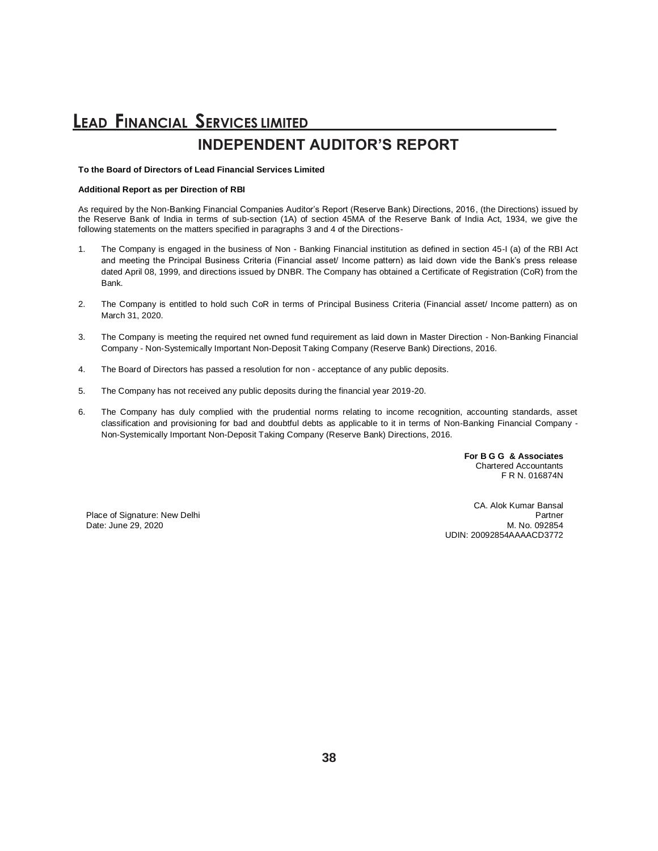### **LEAD FINANCIAL SERVICES LIMITED INDEPENDENT AUDITOR'S REPORT**

#### **To the Board of Directors of Lead Financial Services Limited**

#### **Additional Report as per Direction of RBI**

As required by the Non-Banking Financial Companies Auditor's Report (Reserve Bank) Directions, 2016, (the Directions) issued by the Reserve Bank of India in terms of sub-section (1A) of section 45MA of the Reserve Bank of India Act, 1934, we give the following statements on the matters specified in paragraphs 3 and 4 of the Directions-

- 1. The Company is engaged in the business of Non Banking Financial institution as defined in section 45-I (a) of the RBI Act and meeting the Principal Business Criteria (Financial asset/ Income pattern) as laid down vide the Bank's press release dated April 08, 1999, and directions issued by DNBR. The Company has obtained a Certificate of Registration (CoR) from the Bank.
- 2. The Company is entitled to hold such CoR in terms of Principal Business Criteria (Financial asset/ Income pattern) as on March 31, 2020.
- 3. The Company is meeting the required net owned fund requirement as laid down in Master Direction Non-Banking Financial Company - Non-Systemically Important Non-Deposit Taking Company (Reserve Bank) Directions, 2016.
- 4. The Board of Directors has passed a resolution for non acceptance of any public deposits.
- 5. The Company has not received any public deposits during the financial year 2019-20.
- 6. The Company has duly complied with the prudential norms relating to income recognition, accounting standards, asset classification and provisioning for bad and doubtful debts as applicable to it in terms of Non-Banking Financial Company - Non-Systemically Important Non-Deposit Taking Company (Reserve Bank) Directions, 2016.

**For B G G & Associates** Chartered Accountants F R N. 016874N

Date: June 29, 2020

CA. Alok Kumar Bansal Place of Signature: New Delhi Partner<br>
Date: June 29, 2020 M. No. 092854 UDIN: 20092854AAAACD3772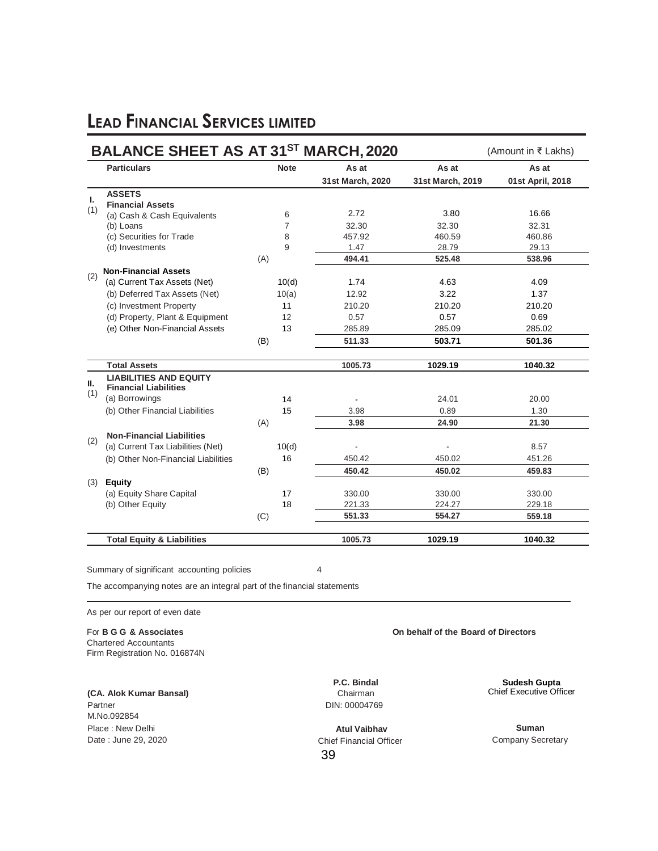|     | <b>BALANCE SHEET AS AT 31ST MARCH, 2020</b> |                |                  |                  | (Amount in ₹ Lakhs) |
|-----|---------------------------------------------|----------------|------------------|------------------|---------------------|
|     | <b>Particulars</b>                          | <b>Note</b>    | As at            | As at            | As at               |
|     |                                             |                | 31st March, 2020 | 31st March, 2019 | 01st April, 2018    |
| L.  | <b>ASSETS</b>                               |                |                  |                  |                     |
| (1) | <b>Financial Assets</b>                     |                |                  |                  |                     |
|     | (a) Cash & Cash Equivalents                 | 6              | 2.72             | 3.80             | 16.66               |
|     | (b) Loans                                   | $\overline{7}$ | 32.30            | 32.30            | 32.31               |
|     | (c) Securities for Trade                    | 8              | 457.92           | 460.59           | 460.86              |
|     | (d) Investments                             | 9              | 1.47             | 28.79            | 29.13               |
|     |                                             | (A)            | 494.41           | 525.48           | 538.96              |
| (2) | <b>Non-Financial Assets</b>                 |                |                  |                  |                     |
|     | (a) Current Tax Assets (Net)                | 10(d)          | 1.74             | 4.63             | 4.09                |
|     | (b) Deferred Tax Assets (Net)               | 10(a)          | 12.92            | 3.22             | 1.37                |
|     | (c) Investment Property                     | 11             | 210.20           | 210.20           | 210.20              |
|     | (d) Property, Plant & Equipment             | 12             | 0.57             | 0.57             | 0.69                |
|     | (e) Other Non-Financial Assets              | 13             | 285.89           | 285.09           | 285.02              |
|     |                                             | (B)            | 511.33           | 503.71           | 501.36              |
|     | <b>Total Assets</b>                         |                | 1005.73          | 1029.19          | 1040.32             |
|     | <b>LIABILITIES AND EQUITY</b>               |                |                  |                  |                     |
| Ш.  | <b>Financial Liabilities</b>                |                |                  |                  |                     |
| (1) | (a) Borrowings                              | 14             |                  | 24.01            | 20.00               |
|     | (b) Other Financial Liabilities             | 15             | 3.98             | 0.89             | 1.30                |
|     |                                             | (A)            | 3.98             | 24.90            | 21.30               |
|     | <b>Non-Financial Liabilities</b>            |                |                  |                  |                     |
| (2) | (a) Current Tax Liabilities (Net)           | 10(d)          |                  |                  | 8.57                |
|     | (b) Other Non-Financial Liabilities         | 16             | 450.42           | 450.02           | 451.26              |
|     |                                             | (B)            | 450.42           | 450.02           | 459.83              |
| (3) | <b>Equity</b>                               |                |                  |                  |                     |
|     | (a) Equity Share Capital                    | 17             | 330.00           | 330.00           | 330.00              |
|     | (b) Other Equity                            | 18             | 221.33           | 224.27           | 229.18              |
|     |                                             | (C)            | 551.33           | 554.27           | 559.18              |
|     | <b>Total Equity &amp; Liabilities</b>       |                | 1005.73          | 1029.19          | 1040.32             |

Summary of significant accounting policies 4

The accompanying notes are an integral part of the financial statements

As per our report of even date

For **B G G & Associates On behalf of the Board of Directors** Chartered Accountants Firm Registration No. 016874N

**(CA. Alok Kumar Bansal)** Partner M.No.092854 Place : New Delhi Date : June 29, 2020

**P.C. Bindal** Chairman DIN: 00004769

39 **Atul Vaibhav** Chief Financial Officer

**Sudesh Gupta** Chief Executive Officer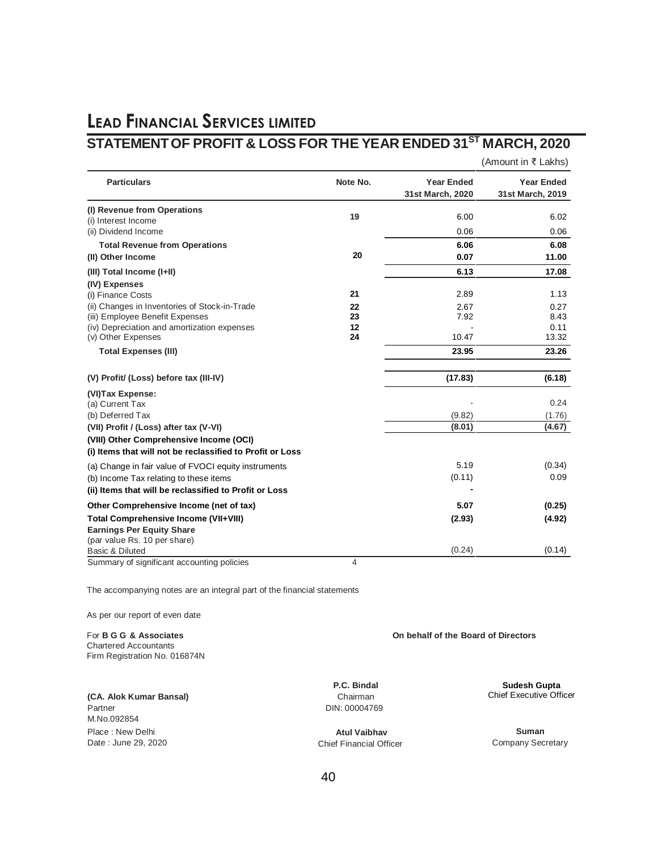### **LEAD FINANCIAL SERVICES LIMITED STATEMENTOF PROFIT & LOSS FOR THE YEAR ENDED 31ST MARCH, 2020**

(Amount in ₹ Lakhs)

| <b>Particulars</b>                                                                                                                                    | Note No.             | <b>Year Ended</b><br>31st March, 2020 | <b>Year Ended</b><br>31st March, 2019 |
|-------------------------------------------------------------------------------------------------------------------------------------------------------|----------------------|---------------------------------------|---------------------------------------|
| (I) Revenue from Operations<br>(i) Interest Income                                                                                                    | 19                   | 6.00                                  | 6.02                                  |
| (ii) Dividend Income                                                                                                                                  |                      | 0.06                                  | 0.06                                  |
| <b>Total Revenue from Operations</b>                                                                                                                  |                      | 6.06                                  | 6.08                                  |
| (II) Other Income                                                                                                                                     | 20                   | 0.07                                  | 11.00                                 |
| (III) Total Income (I+II)                                                                                                                             |                      | 6.13                                  | 17.08                                 |
| (IV) Expenses<br>(i) Finance Costs                                                                                                                    | 21                   | 2.89                                  | 1.13                                  |
| (ii) Changes in Inventories of Stock-in-Trade<br>(iii) Employee Benefit Expenses<br>(iv) Depreciation and amortization expenses<br>(v) Other Expenses | 22<br>23<br>12<br>24 | 2.67<br>7.92<br>10.47                 | 0.27<br>8.43<br>0.11<br>13.32         |
| <b>Total Expenses (III)</b>                                                                                                                           |                      | 23.95                                 | 23.26                                 |
| (V) Profit/ (Loss) before tax (III-IV)                                                                                                                |                      | (17.83)                               | (6.18)                                |
| (VI)Tax Expense:<br>(a) Current Tax                                                                                                                   |                      |                                       | 0.24                                  |
| (b) Deferred Tax                                                                                                                                      |                      | (9.82)                                | (1.76)                                |
| (VII) Profit / (Loss) after tax (V-VI)                                                                                                                |                      | (8.01)                                | (4.67)                                |
| (VIII) Other Comprehensive Income (OCI)<br>(i) Items that will not be reclassified to Profit or Loss                                                  |                      |                                       |                                       |
| (a) Change in fair value of FVOCI equity instruments                                                                                                  |                      | 5.19                                  | (0.34)                                |
| (b) Income Tax relating to these items                                                                                                                |                      | (0.11)                                | 0.09                                  |
| (ii) Items that will be reclassified to Profit or Loss                                                                                                |                      |                                       |                                       |
| Other Comprehensive Income (net of tax)                                                                                                               |                      | 5.07                                  | (0.25)                                |
| <b>Total Comprehensive Income (VII+VIII)</b><br><b>Earnings Per Equity Share</b><br>(par value Rs. 10 per share)                                      |                      | (2.93)                                | (4.92)                                |
| Basic & Diluted                                                                                                                                       |                      | (0.24)                                | (0.14)                                |
| Cummany of gianificant accounting policies                                                                                                            | $\overline{A}$       |                                       |                                       |

Summary of significant accounting policies 4

The accompanying notes are an integral part of the financial statements

As per our report of even date

For **B G G & Associates On behalf of the Board of Directors** Chartered Accountants Firm Registration No. 016874N

**(CA. Alok Kumar Bansal)** Partner M.No.092854 Place : New Delhi Date : June 29, 2020

**P.C. Bindal** Chairman DIN: 00004769

**Atul Vaibhav** Chief Financial Officer **Sudesh Gupta**

Chief Executive Officer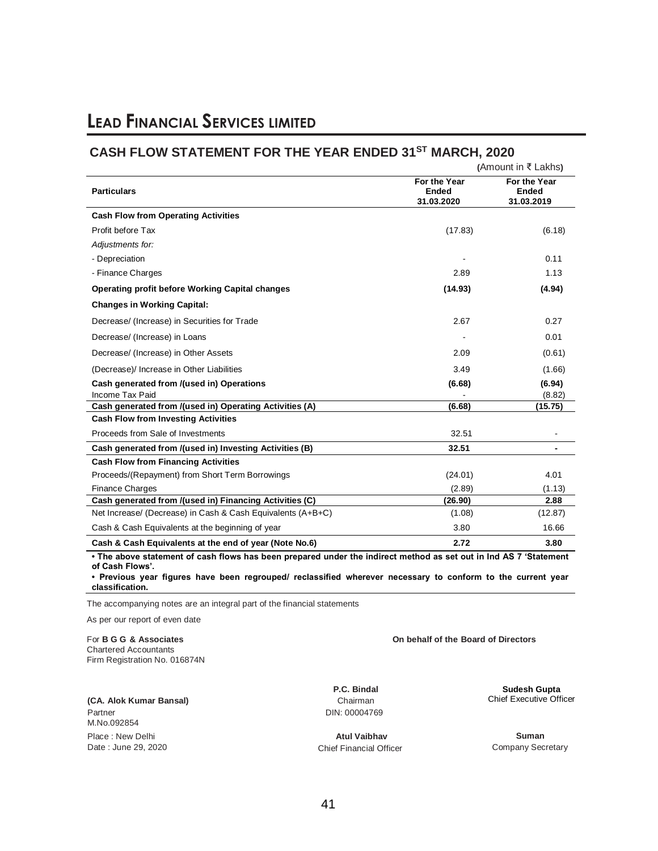### **CASH FLOW STATEMENT FOR THE YEAR ENDED 31ST MARCH, 2020**

|                                                                                                                   | (Amount in $\bar{\tau}$ Lakhs)             |                                            |  |
|-------------------------------------------------------------------------------------------------------------------|--------------------------------------------|--------------------------------------------|--|
| <b>Particulars</b>                                                                                                | For the Year<br><b>Ended</b><br>31.03.2020 | For the Year<br><b>Ended</b><br>31.03.2019 |  |
| <b>Cash Flow from Operating Activities</b>                                                                        |                                            |                                            |  |
| Profit before Tax                                                                                                 | (17.83)                                    | (6.18)                                     |  |
| Adjustments for:                                                                                                  |                                            |                                            |  |
| - Depreciation                                                                                                    |                                            | 0.11                                       |  |
| - Finance Charges                                                                                                 | 2.89                                       | 1.13                                       |  |
| <b>Operating profit before Working Capital changes</b>                                                            | (14.93)                                    | (4.94)                                     |  |
| <b>Changes in Working Capital:</b>                                                                                |                                            |                                            |  |
| Decrease/ (Increase) in Securities for Trade                                                                      | 2.67                                       | 0.27                                       |  |
| Decrease/ (Increase) in Loans                                                                                     |                                            | 0.01                                       |  |
| Decrease/ (Increase) in Other Assets                                                                              | 2.09                                       | (0.61)                                     |  |
| (Decrease)/ Increase in Other Liabilities                                                                         | 3.49                                       | (1.66)                                     |  |
| Cash generated from /(used in) Operations                                                                         | (6.68)                                     | (6.94)                                     |  |
| Income Tax Paid                                                                                                   |                                            | (8.82)                                     |  |
| Cash generated from /(used in) Operating Activities (A)                                                           | (6.68)                                     | (15.75)                                    |  |
| <b>Cash Flow from Investing Activities</b>                                                                        |                                            |                                            |  |
| Proceeds from Sale of Investments                                                                                 | 32.51                                      |                                            |  |
| Cash generated from /(used in) Investing Activities (B)                                                           | 32.51                                      |                                            |  |
| <b>Cash Flow from Financing Activities</b>                                                                        |                                            |                                            |  |
| Proceeds/(Repayment) from Short Term Borrowings                                                                   | (24.01)                                    | 4.01                                       |  |
| <b>Finance Charges</b>                                                                                            | (2.89)                                     | (1.13)                                     |  |
| Cash generated from /(used in) Financing Activities (C)                                                           | (26.90)                                    | 2.88                                       |  |
| Net Increase/ (Decrease) in Cash & Cash Equivalents (A+B+C)                                                       | (1.08)                                     | (12.87)                                    |  |
| Cash & Cash Equivalents at the beginning of year                                                                  | 3.80                                       | 16.66                                      |  |
| Cash & Cash Equivalents at the end of year (Note No.6)                                                            | 2.72                                       | 3.80                                       |  |
| • The above statement of cash flows has been prepared under the indirect method as set out in Ind AS 7 'Statement |                                            |                                            |  |

**of Cash Flows'. • Previous year figures have been regrouped/ reclassified wherever necessary to conform to the current year classification.**

The accompanying notes are an integral part of the financial statements

As per our report of even date

For **B G G & Associates On behalf of the Board of Directors** Chartered Accountants Firm Registration No. 016874N

**(CA. Alok Kumar Bansal)** Partner M.No.092854 Place : New Delhi Date : June 29, 2020

**P.C. Bindal** Chairman

DIN: 00004769

**Sudesh Gupta** Chief Executive Officer

**Atul Vaibhav** Chief Financial Officer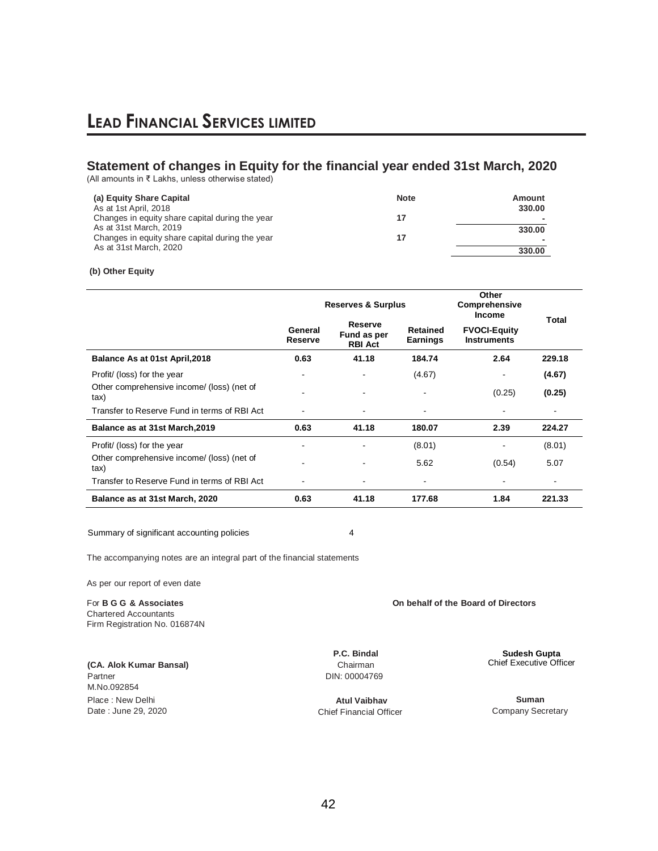### **Statement of changes in Equity for the financial year ended 31st March, 2020**

(All amounts in ₹ Lakhs, unless otherwise stated)

| (a) Equity Share Capital<br>As at 1st April, 2018                         | <b>Note</b> | Amount<br>330.00         |
|---------------------------------------------------------------------------|-------------|--------------------------|
| Changes in equity share capital during the year                           | 17          | $\overline{\phantom{a}}$ |
| As at 31st March, 2019<br>Changes in equity share capital during the year | 17          | 330.00                   |
| As at 31st March, 2020                                                    |             | 330.00                   |

### **(b) Other Equity**

|                                                    | <b>Reserves &amp; Surplus</b> |                                                                                | Other<br>Comprehensive<br><b>Income</b> |                                           |                          |
|----------------------------------------------------|-------------------------------|--------------------------------------------------------------------------------|-----------------------------------------|-------------------------------------------|--------------------------|
|                                                    | General<br>Reserve            | Reserve<br><b>Retained</b><br>Fund as per<br><b>Earnings</b><br><b>RBI Act</b> |                                         | <b>FVOCI-Equity</b><br><b>Instruments</b> | Total                    |
| Balance As at 01st April, 2018                     | 0.63                          | 41.18                                                                          | 184.74                                  | 2.64                                      | 229.18                   |
| Profit/ (loss) for the year                        | $\blacksquare$                |                                                                                | (4.67)                                  | $\blacksquare$                            | (4.67)                   |
| Other comprehensive income/ (loss) (net of<br>tax) |                               |                                                                                |                                         | (0.25)                                    | (0.25)                   |
| Transfer to Reserve Fund in terms of RBI Act       | $\blacksquare$                | $\overline{\phantom{a}}$                                                       |                                         | ٠                                         |                          |
| Balance as at 31st March, 2019                     | 0.63                          | 41.18                                                                          | 180.07                                  | 2.39                                      | 224.27                   |
| Profit/ (loss) for the year                        | $\blacksquare$                | -                                                                              | (8.01)                                  | $\overline{\phantom{a}}$                  | (8.01)                   |
| Other comprehensive income/ (loss) (net of<br>tax) | $\blacksquare$                |                                                                                | 5.62                                    | (0.54)                                    | 5.07                     |
| Transfer to Reserve Fund in terms of RBI Act       | $\overline{\phantom{a}}$      | ۰                                                                              | $\overline{\phantom{a}}$                | $\overline{\phantom{a}}$                  | $\overline{\phantom{a}}$ |
| Balance as at 31st March, 2020                     | 0.63                          | 41.18                                                                          | 177.68                                  | 1.84                                      | 221.33                   |

Summary of significant accounting policies 4

The accompanying notes are an integral part of the financial statements

As per our report of even date

For **B G G & Associates On behalf of the Board of Directors** Chartered Accountants Firm Registration No. 016874N

**(CA. Alok Kumar Bansal)** Partner M.No.092854 Place : New Delhi Date : June 29, 2020

**P.C. Bindal** Chairman DIN: 00004769

**Atul Vaibhav** Chief Financial Officer **Sudesh Gupta**

Chief Executive Officer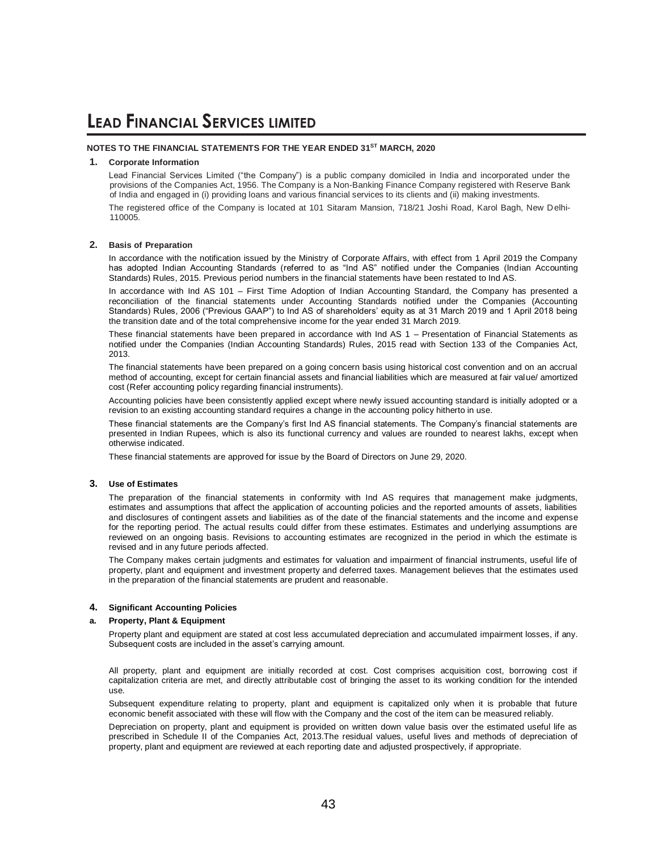#### **NOTES TO THE FINANCIAL STATEMENTS FOR THE YEAR ENDED 31ST MARCH, 2020**

#### **1. Corporate Information**

Lead Financial Services Limited ("the Company") is a public company domiciled in India and incorporated under the provisions of the Companies Act, 1956. The Company is a Non-Banking Finance Company registered with Reserve Bank of India and engaged in (i) providing loans and various financial services to its clients and (ii) making investments.

The registered office of the Company is located at 101 Sitaram Mansion, 718/21 Joshi Road, Karol Bagh, New Delhi-110005.

#### **2. Basis of Preparation**

In accordance with the notification issued by the Ministry of Corporate Affairs, with effect from 1 April 2019 the Company has adopted Indian Accounting Standards (referred to as "Ind AS" notified under the Companies (Indian Accounting Standards) Rules, 2015. Previous period numbers in the financial statements have been restated to Ind AS.

In accordance with Ind AS 101 – First Time Adoption of Indian Accounting Standard, the Company has presented a reconciliation of the financial statements under Accounting Standards notified under the Companies (Accounting Standards) Rules, 2006 ("Previous GAAP") to Ind AS of shareholders' equity as at 31 March 2019 and 1 April 2018 being the transition date and of the total comprehensive income for the year ended 31 March 2019.

These financial statements have been prepared in accordance with Ind AS 1 – Presentation of Financial Statements as notified under the Companies (Indian Accounting Standards) Rules, 2015 read with Section 133 of the Companies Act, 2013.

The financial statements have been prepared on a going concern basis using historical cost convention and on an accrual method of accounting, except for certain financial assets and financial liabilities which are measured at fair value/ amortized cost (Refer accounting policy regarding financial instruments).

Accounting policies have been consistently applied except where newly issued accounting standard is initially adopted or a revision to an existing accounting standard requires a change in the accounting policy hitherto in use.

These financial statements are the Company's first Ind AS financial statements. The Company's financial statements are presented in Indian Rupees, which is also its functional currency and values are rounded to nearest lakhs, except when otherwise indicated.

These financial statements are approved for issue by the Board of Directors on June 29, 2020.

#### **3. Use of Estimates**

The preparation of the financial statements in conformity with Ind AS requires that management make judgments, estimates and assumptions that affect the application of accounting policies and the reported amounts of assets, liabilities and disclosures of contingent assets and liabilities as of the date of the financial statements and the income and expense for the reporting period. The actual results could differ from these estimates. Estimates and underlying assumptions are reviewed on an ongoing basis. Revisions to accounting estimates are recognized in the period in which the estimate is revised and in any future periods affected.

The Company makes certain judgments and estimates for valuation and impairment of financial instruments, useful life of property, plant and equipment and investment property and deferred taxes. Management believes that the estimates used in the preparation of the financial statements are prudent and reasonable.

#### **4. Significant Accounting Policies**

#### **a. Property, Plant & Equipment**

Property plant and equipment are stated at cost less accumulated depreciation and accumulated impairment losses, if any. Subsequent costs are included in the asset's carrying amount.

All property, plant and equipment are initially recorded at cost. Cost comprises acquisition cost, borrowing cost if capitalization criteria are met, and directly attributable cost of bringing the asset to its working condition for the intended use.

Subsequent expenditure relating to property, plant and equipment is capitalized only when it is probable that future economic benefit associated with these will flow with the Company and the cost of the item can be measured reliably.

Depreciation on property, plant and equipment is provided on written down value basis over the estimated useful life as prescribed in Schedule II of the Companies Act, 2013.The residual values, useful lives and methods of depreciation of property, plant and equipment are reviewed at each reporting date and adjusted prospectively, if appropriate.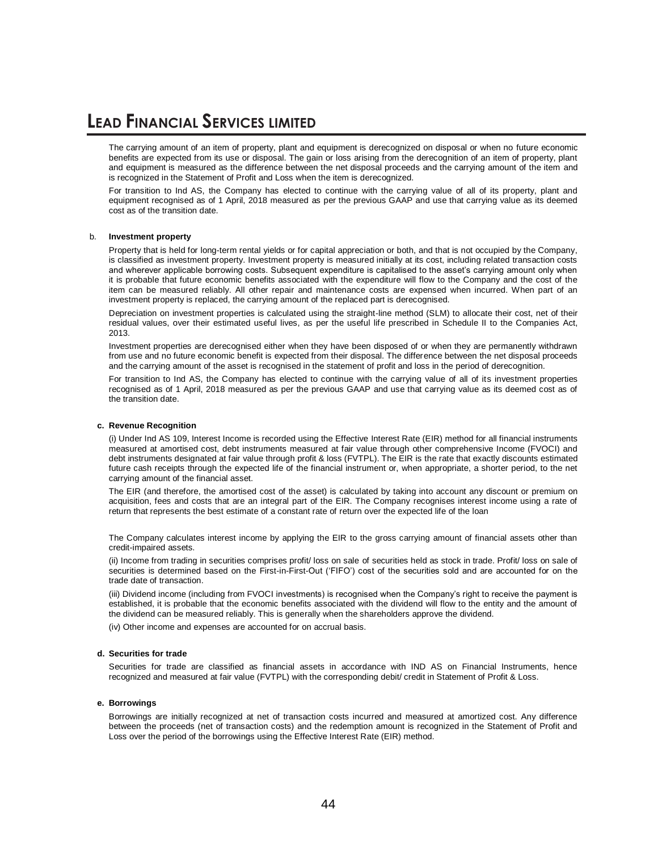The carrying amount of an item of property, plant and equipment is derecognized on disposal or when no future economic benefits are expected from its use or disposal. The gain or loss arising from the derecognition of an item of property, plant and equipment is measured as the difference between the net disposal proceeds and the carrying amount of the item and is recognized in the Statement of Profit and Loss when the item is derecognized.

For transition to Ind AS, the Company has elected to continue with the carrying value of all of its property, plant and equipment recognised as of 1 April, 2018 measured as per the previous GAAP and use that carrying value as its deemed cost as of the transition date.

#### b. **Investment property**

Property that is held for long-term rental yields or for capital appreciation or both, and that is not occupied by the Company, is classified as investment property. Investment property is measured initially at its cost, including related transaction costs and wherever applicable borrowing costs. Subsequent expenditure is capitalised to the asset's carrying amount only when it is probable that future economic benefits associated with the expenditure will flow to the Company and the cost of the item can be measured reliably. All other repair and maintenance costs are expensed when incurred. When part of an investment property is replaced, the carrying amount of the replaced part is derecognised.

Depreciation on investment properties is calculated using the straight-line method (SLM) to allocate their cost, net of their residual values, over their estimated useful lives, as per the useful life prescribed in Schedule II to the Companies Act, 2013.

Investment properties are derecognised either when they have been disposed of or when they are permanently withdrawn from use and no future economic benefit is expected from their disposal. The difference between the net disposal proceeds and the carrying amount of the asset is recognised in the statement of profit and loss in the period of derecognition.

For transition to Ind AS, the Company has elected to continue with the carrying value of all of its investment properties recognised as of 1 April, 2018 measured as per the previous GAAP and use that carrying value as its deemed cost as of the transition date.

#### **c. Revenue Recognition**

(i) Under Ind AS 109, Interest Income is recorded using the Effective Interest Rate (EIR) method for all financial instruments measured at amortised cost, debt instruments measured at fair value through other comprehensive Income (FVOCI) and debt instruments designated at fair value through profit & loss (FVTPL). The EIR is the rate that exactly discounts estimated future cash receipts through the expected life of the financial instrument or, when appropriate, a shorter period, to the net carrying amount of the financial asset.

The EIR (and therefore, the amortised cost of the asset) is calculated by taking into account any discount or premium on acquisition, fees and costs that are an integral part of the EIR. The Company recognises interest income using a rate of return that represents the best estimate of a constant rate of return over the expected life of the loan

The Company calculates interest income by applying the EIR to the gross carrying amount of financial assets other than credit-impaired assets.

(ii) Income from trading in securities comprises profit/ loss on sale of securities held as stock in trade. Profit/ loss on sale of securities is determined based on the First-in-First-Out ('FIFO') cost of the securities sold and are accounted for on the trade date of transaction.

(iii) Dividend income (including from FVOCI investments) is recognised when the Company's right to receive the payment is established, it is probable that the economic benefits associated with the dividend will flow to the entity and the amount of the dividend can be measured reliably. This is generally when the shareholders approve the dividend.

(iv) Other income and expenses are accounted for on accrual basis.

#### **d. Securities for trade**

Securities for trade are classified as financial assets in accordance with IND AS on Financial Instruments, hence recognized and measured at fair value (FVTPL) with the corresponding debit/ credit in Statement of Profit & Loss.

#### **e. Borrowings**

Borrowings are initially recognized at net of transaction costs incurred and measured at amortized cost. Any difference between the proceeds (net of transaction costs) and the redemption amount is recognized in the Statement of Profit and Loss over the period of the borrowings using the Effective Interest Rate (EIR) method.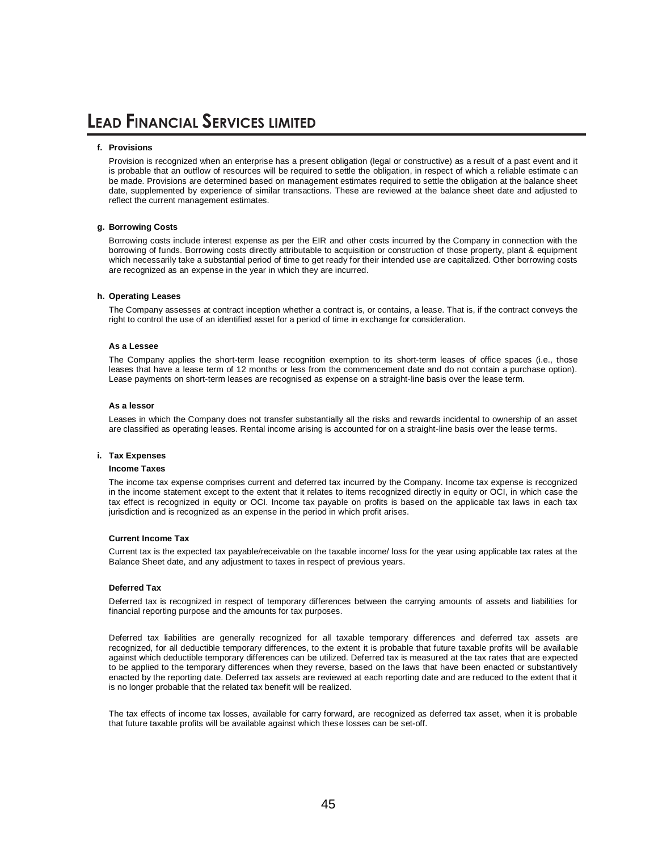#### **f. Provisions**

Provision is recognized when an enterprise has a present obligation (legal or constructive) as a result of a past event and it is probable that an outflow of resources will be required to settle the obligation, in respect of which a reliable estimate can be made. Provisions are determined based on management estimates required to settle the obligation at the balance sheet date, supplemented by experience of similar transactions. These are reviewed at the balance sheet date and adjusted to reflect the current management estimates.

#### **g. Borrowing Costs**

Borrowing costs include interest expense as per the EIR and other costs incurred by the Company in connection with the borrowing of funds. Borrowing costs directly attributable to acquisition or construction of those property, plant & equipment which necessarily take a substantial period of time to get ready for their intended use are capitalized. Other borrowing costs are recognized as an expense in the year in which they are incurred.

#### **h. Operating Leases**

The Company assesses at contract inception whether a contract is, or contains, a lease. That is, if the contract conveys the right to control the use of an identified asset for a period of time in exchange for consideration.

#### **As a Lessee**

The Company applies the short-term lease recognition exemption to its short-term leases of office spaces (i.e., those leases that have a lease term of 12 months or less from the commencement date and do not contain a purchase option). Lease payments on short-term leases are recognised as expense on a straight-line basis over the lease term.

#### **As a lessor**

Leases in which the Company does not transfer substantially all the risks and rewards incidental to ownership of an asset are classified as operating leases. Rental income arising is accounted for on a straight-line basis over the lease terms.

#### **i. Tax Expenses**

#### **Income Taxes**

The income tax expense comprises current and deferred tax incurred by the Company. Income tax expense is recognized in the income statement except to the extent that it relates to items recognized directly in equity or OCI, in which case the tax effect is recognized in equity or OCI. Income tax payable on profits is based on the applicable tax laws in each tax jurisdiction and is recognized as an expense in the period in which profit arises.

#### **Current Income Tax**

Current tax is the expected tax payable/receivable on the taxable income/ loss for the year using applicable tax rates at the Balance Sheet date, and any adjustment to taxes in respect of previous years.

#### **Deferred Tax**

Deferred tax is recognized in respect of temporary differences between the carrying amounts of assets and liabilities for financial reporting purpose and the amounts for tax purposes.

Deferred tax liabilities are generally recognized for all taxable temporary differences and deferred tax assets are recognized, for all deductible temporary differences, to the extent it is probable that future taxable profits will be available against which deductible temporary differences can be utilized. Deferred tax is measured at the tax rates that are expected to be applied to the temporary differences when they reverse, based on the laws that have been enacted or substantively enacted by the reporting date. Deferred tax assets are reviewed at each reporting date and are reduced to the extent that it is no longer probable that the related tax benefit will be realized.

The tax effects of income tax losses, available for carry forward, are recognized as deferred tax asset, when it is probable that future taxable profits will be available against which these losses can be set-off.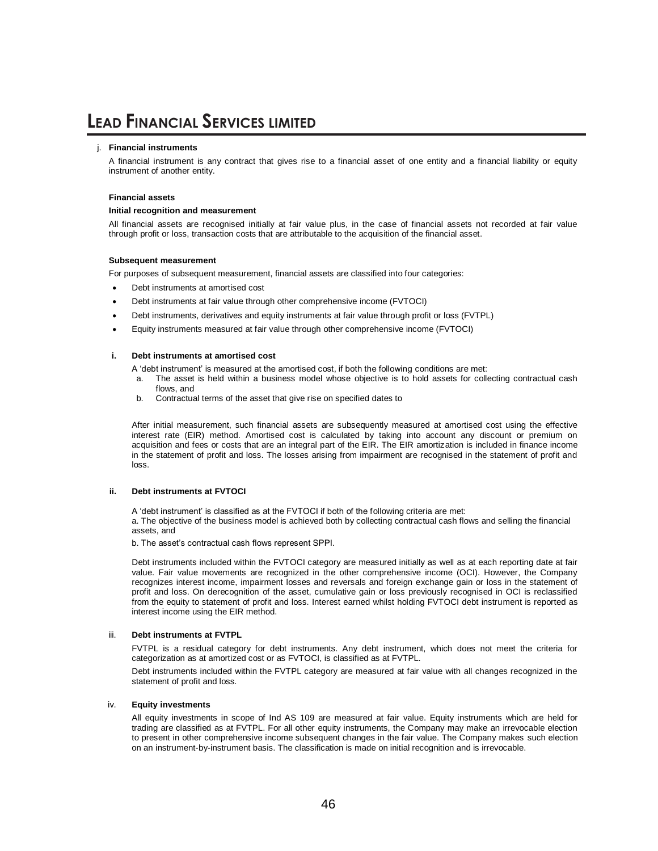#### j. **Financial instruments**

A financial instrument is any contract that gives rise to a financial asset of one entity and a financial liability or equity instrument of another entity.

#### **Financial assets**

#### **Initial recognition and measurement**

All financial assets are recognised initially at fair value plus, in the case of financial assets not recorded at fair value through profit or loss, transaction costs that are attributable to the acquisition of the financial asset.

#### **Subsequent measurement**

For purposes of subsequent measurement, financial assets are classified into four categories:

- Debt instruments at amortised cost
- Debt instruments at fair value through other comprehensive income (FVTOCI)
- Debt instruments, derivatives and equity instruments at fair value through profit or loss (FVTPL)
- Equity instruments measured at fair value through other comprehensive income (FVTOCI)

#### **i. Debt instruments at amortised cost**

- A 'debt instrument' is measured at the amortised cost, if both the following conditions are met:
- a. The asset is held within a business model whose objective is to hold assets for collecting contractual cash flows, and
- b. Contractual terms of the asset that give rise on specified dates to

After initial measurement, such financial assets are subsequently measured at amortised cost using the effective interest rate (EIR) method. Amortised cost is calculated by taking into account any discount or premium on acquisition and fees or costs that are an integral part of the EIR. The EIR amortization is included in finance income in the statement of profit and loss. The losses arising from impairment are recognised in the statement of profit and loss.

#### **ii. Debt instruments at FVTOCI**

A 'debt instrument' is classified as at the FVTOCI if both of the following criteria are met: a. The objective of the business model is achieved both by collecting contractual cash flows and selling the financial assets, and

b. The asset's contractual cash flows represent SPPI.

Debt instruments included within the FVTOCI category are measured initially as well as at each reporting date at fair value. Fair value movements are recognized in the other comprehensive income (OCI). However, the Company recognizes interest income, impairment losses and reversals and foreign exchange gain or loss in the statement of profit and loss. On derecognition of the asset, cumulative gain or loss previously recognised in OCI is reclassified from the equity to statement of profit and loss. Interest earned whilst holding FVTOCI debt instrument is reported as interest income using the EIR method.

#### iii. **Debt instruments at FVTPL**

FVTPL is a residual category for debt instruments. Any debt instrument, which does not meet the criteria for categorization as at amortized cost or as FVTOCI, is classified as at FVTPL.

Debt instruments included within the FVTPL category are measured at fair value with all changes recognized in the statement of profit and loss.

#### iv. **Equity investments**

All equity investments in scope of Ind AS 109 are measured at fair value. Equity instruments which are held for trading are classified as at FVTPL. For all other equity instruments, the Company may make an irrevocable election to present in other comprehensive income subsequent changes in the fair value. The Company makes such election on an instrument-by-instrument basis. The classification is made on initial recognition and is irrevocable.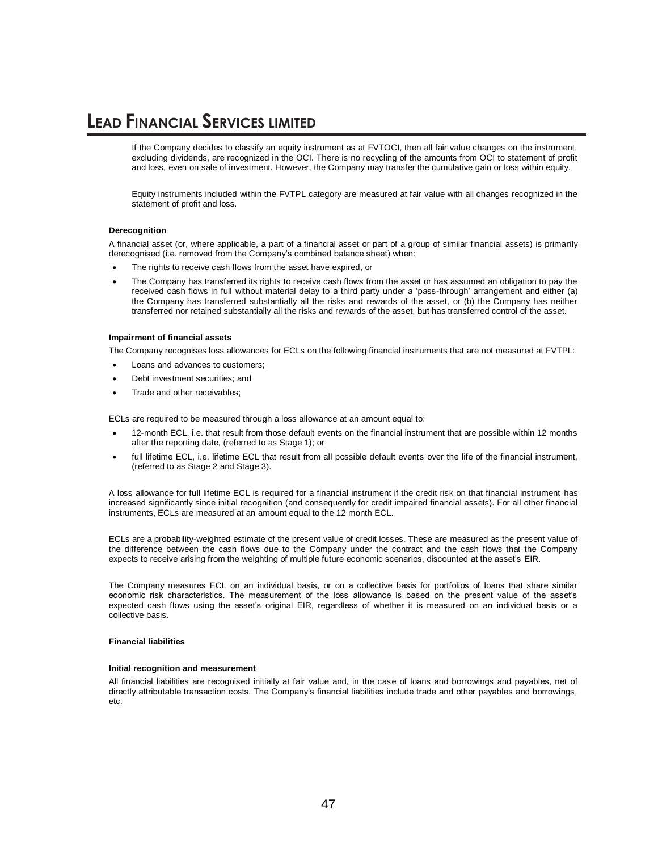If the Company decides to classify an equity instrument as at FVTOCI, then all fair value changes on the instrument, excluding dividends, are recognized in the OCI. There is no recycling of the amounts from OCI to statement of profit and loss, even on sale of investment. However, the Company may transfer the cumulative gain or loss within equity.

Equity instruments included within the FVTPL category are measured at fair value with all changes recognized in the statement of profit and loss.

#### **Derecognition**

A financial asset (or, where applicable, a part of a financial asset or part of a group of similar financial assets) is primarily derecognised (i.e. removed from the Company's combined balance sheet) when:

- The rights to receive cash flows from the asset have expired, or
- The Company has transferred its rights to receive cash flows from the asset or has assumed an obligation to pay the received cash flows in full without material delay to a third party under a 'pass-through' arrangement and either (a) the Company has transferred substantially all the risks and rewards of the asset, or (b) the Company has neither transferred nor retained substantially all the risks and rewards of the asset, but has transferred control of the asset.

#### **Impairment of financial assets**

The Company recognises loss allowances for ECLs on the following financial instruments that are not measured at FVTPL:

- Loans and advances to customers;
- Debt investment securities; and
- Trade and other receivables;

ECLs are required to be measured through a loss allowance at an amount equal to:

- 12-month ECL, i.e. that result from those default events on the financial instrument that are possible within 12 months after the reporting date, (referred to as Stage 1); or
- full lifetime ECL, i.e. lifetime ECL that result from all possible default events over the life of the financial instrument, (referred to as Stage 2 and Stage 3).

A loss allowance for full lifetime ECL is required for a financial instrument if the credit risk on that financial instrument has increased significantly since initial recognition (and consequently for credit impaired financial assets). For all other financial instruments, ECLs are measured at an amount equal to the 12 month ECL.

ECLs are a probability-weighted estimate of the present value of credit losses. These are measured as the present value of the difference between the cash flows due to the Company under the contract and the cash flows that the Company expects to receive arising from the weighting of multiple future economic scenarios, discounted at the asset's EIR.

The Company measures ECL on an individual basis, or on a collective basis for portfolios of loans that share similar economic risk characteristics. The measurement of the loss allowance is based on the present value of the asset's expected cash flows using the asset's original EIR, regardless of whether it is measured on an individual basis or a collective basis.

#### **Financial liabilities**

#### **Initial recognition and measurement**

All financial liabilities are recognised initially at fair value and, in the case of loans and borrowings and payables, net of directly attributable transaction costs. The Company's financial liabilities include trade and other payables and borrowings, etc.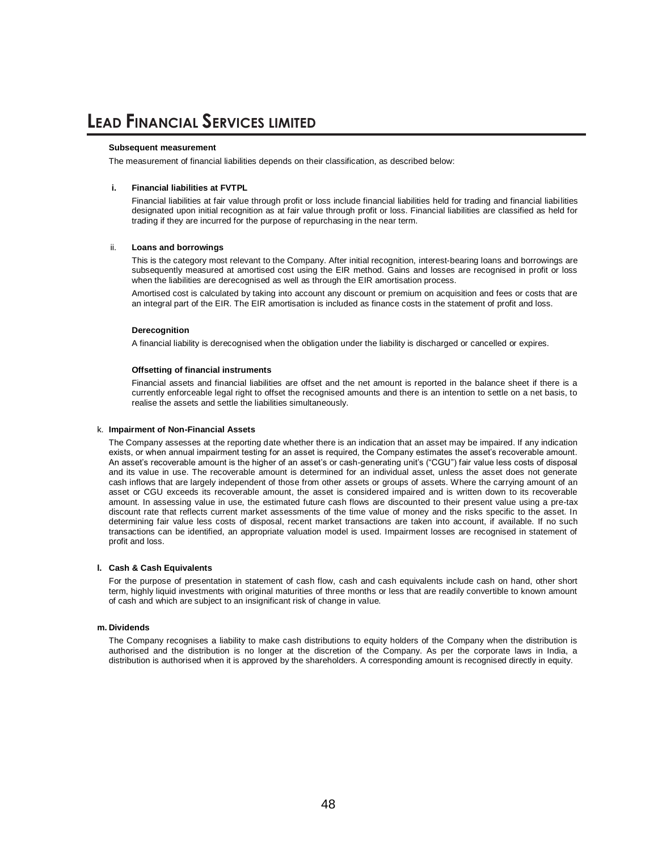#### **Subsequent measurement**

The measurement of financial liabilities depends on their classification, as described below:

#### **i. Financial liabilities at FVTPL**

Financial liabilities at fair value through profit or loss include financial liabilities held for trading and financial liabilities designated upon initial recognition as at fair value through profit or loss. Financial liabilities are classified as held for trading if they are incurred for the purpose of repurchasing in the near term.

#### ii. **Loans and borrowings**

This is the category most relevant to the Company. After initial recognition, interest-bearing loans and borrowings are subsequently measured at amortised cost using the EIR method. Gains and losses are recognised in profit or loss when the liabilities are derecognised as well as through the EIR amortisation process.

Amortised cost is calculated by taking into account any discount or premium on acquisition and fees or costs that are an integral part of the EIR. The EIR amortisation is included as finance costs in the statement of profit and loss.

#### **Derecognition**

A financial liability is derecognised when the obligation under the liability is discharged or cancelled or expires.

#### **Offsetting of financial instruments**

Financial assets and financial liabilities are offset and the net amount is reported in the balance sheet if there is a currently enforceable legal right to offset the recognised amounts and there is an intention to settle on a net basis, to realise the assets and settle the liabilities simultaneously.

#### k. **Impairment of Non-Financial Assets**

The Company assesses at the reporting date whether there is an indication that an asset may be impaired. If any indication exists, or when annual impairment testing for an asset is required, the Company estimates the asset's recoverable amount. An asset's recoverable amount is the higher of an asset's or cash-generating unit's ("CGU") fair value less costs of disposal and its value in use. The recoverable amount is determined for an individual asset, unless the asset does not generate cash inflows that are largely independent of those from other assets or groups of assets. Where the carrying amount of an asset or CGU exceeds its recoverable amount, the asset is considered impaired and is written down to its recoverable amount. In assessing value in use, the estimated future cash flows are discounted to their present value using a pre-tax discount rate that reflects current market assessments of the time value of money and the risks specific to the asset. In determining fair value less costs of disposal, recent market transactions are taken into account, if available. If no such transactions can be identified, an appropriate valuation model is used. Impairment losses are recognised in statement of profit and loss.

#### **l. Cash & Cash Equivalents**

For the purpose of presentation in statement of cash flow, cash and cash equivalents include cash on hand, other short term, highly liquid investments with original maturities of three months or less that are readily convertible to known amount of cash and which are subject to an insignificant risk of change in value.

#### **m. Dividends**

The Company recognises a liability to make cash distributions to equity holders of the Company when the distribution is authorised and the distribution is no longer at the discretion of the Company. As per the corporate laws in India, a distribution is authorised when it is approved by the shareholders. A corresponding amount is recognised directly in equity.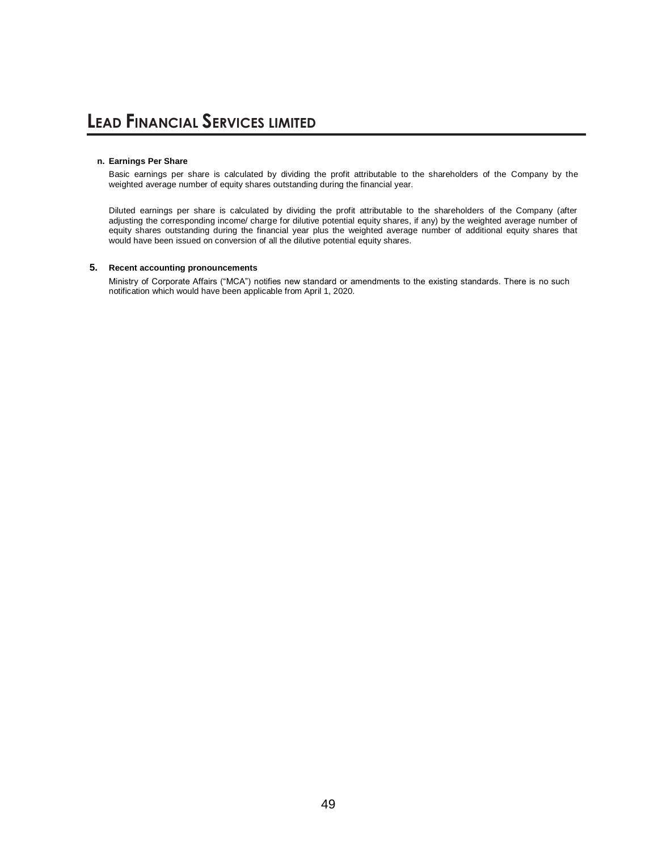#### **n. Earnings Per Share**

Basic earnings per share is calculated by dividing the profit attributable to the shareholders of the Company by the weighted average number of equity shares outstanding during the financial year.

Diluted earnings per share is calculated by dividing the profit attributable to the shareholders of the Company (after adjusting the corresponding income/ charge for dilutive potential equity shares, if any) by the weighted average number of equity shares outstanding during the financial year plus the weighted average number of additional equity shares that would have been issued on conversion of all the dilutive potential equity shares.

### **5. Recent accounting pronouncements**

Ministry of Corporate Affairs ("MCA") notifies new standard or amendments to the existing standards. There is no such notification which would have been applicable from April 1, 2020.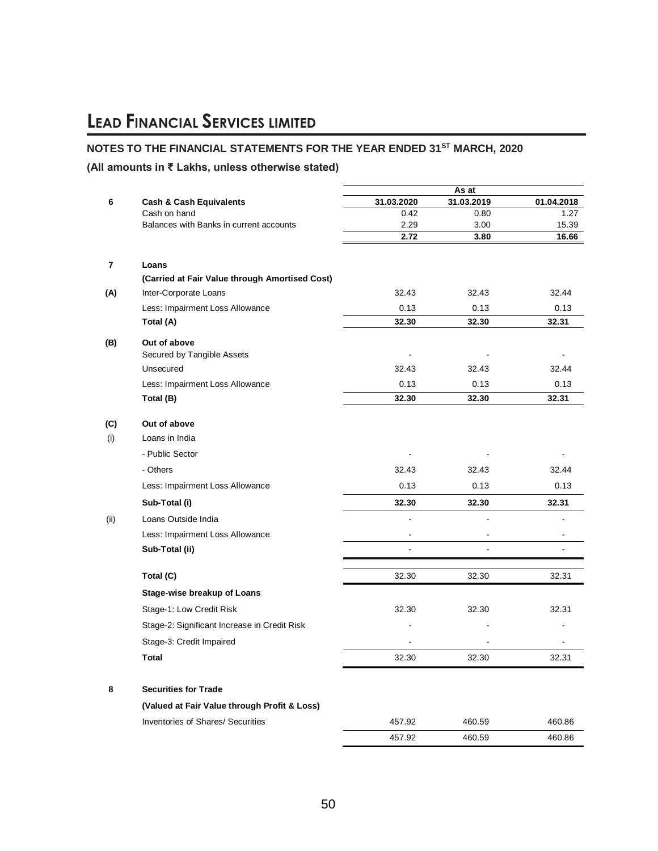### **NOTES TO THE FINANCIAL STATEMENTS FOR THE YEAR ENDED 31ST MARCH, 2020**

### **(All amounts in ₹ Lakhs, unless otherwise stated)**

|      |                                                |                | As at        |                |
|------|------------------------------------------------|----------------|--------------|----------------|
| 6    | <b>Cash &amp; Cash Equivalents</b>             | 31.03.2020     | 31.03.2019   | 01.04.2018     |
|      | Cash on hand                                   | 0.42           | 0.80         | 1.27           |
|      | Balances with Banks in current accounts        | 2.29<br>2.72   | 3.00<br>3.80 | 15.39<br>16.66 |
|      |                                                |                |              |                |
| 7    | Loans                                          |                |              |                |
|      | (Carried at Fair Value through Amortised Cost) |                |              |                |
| (A)  | Inter-Corporate Loans                          | 32.43          | 32.43        | 32.44          |
|      | Less: Impairment Loss Allowance                | 0.13           | 0.13         | 0.13           |
|      | Total (A)                                      | 32.30          | 32.30        | 32.31          |
| (B)  | Out of above                                   |                |              |                |
|      | Secured by Tangible Assets                     | $\blacksquare$ |              |                |
|      | Unsecured                                      | 32.43          | 32.43        | 32.44          |
|      | Less: Impairment Loss Allowance                | 0.13           | 0.13         | 0.13           |
|      | Total (B)                                      | 32.30          | 32.30        | 32.31          |
| (C)  | Out of above                                   |                |              |                |
| (i)  | Loans in India                                 |                |              |                |
|      | - Public Sector                                |                |              |                |
|      | - Others                                       | 32.43          | 32.43        | 32.44          |
|      | Less: Impairment Loss Allowance                | 0.13           | 0.13         | 0.13           |
|      | Sub-Total (i)                                  | 32.30          | 32.30        | 32.31          |
| (ii) | Loans Outside India                            | $\overline{a}$ | L,           |                |
|      | Less: Impairment Loss Allowance                |                |              |                |
|      | Sub-Total (ii)                                 |                |              |                |
|      | Total (C)                                      | 32.30          | 32.30        | 32.31          |
|      | <b>Stage-wise breakup of Loans</b>             |                |              |                |
|      | Stage-1: Low Credit Risk                       | 32.30          | 32.30        | 32.31          |
|      | Stage-2: Significant Increase in Credit Risk   |                |              |                |
|      | Stage-3: Credit Impaired                       |                |              |                |
|      | <b>Total</b>                                   |                |              |                |
|      |                                                | 32.30          | 32.30        | 32.31          |
| 8    | <b>Securities for Trade</b>                    |                |              |                |
|      | (Valued at Fair Value through Profit & Loss)   |                |              |                |
|      | Inventories of Shares/ Securities              | 457.92         | 460.59       | 460.86         |
|      |                                                | 457.92         | 460.59       | 460.86         |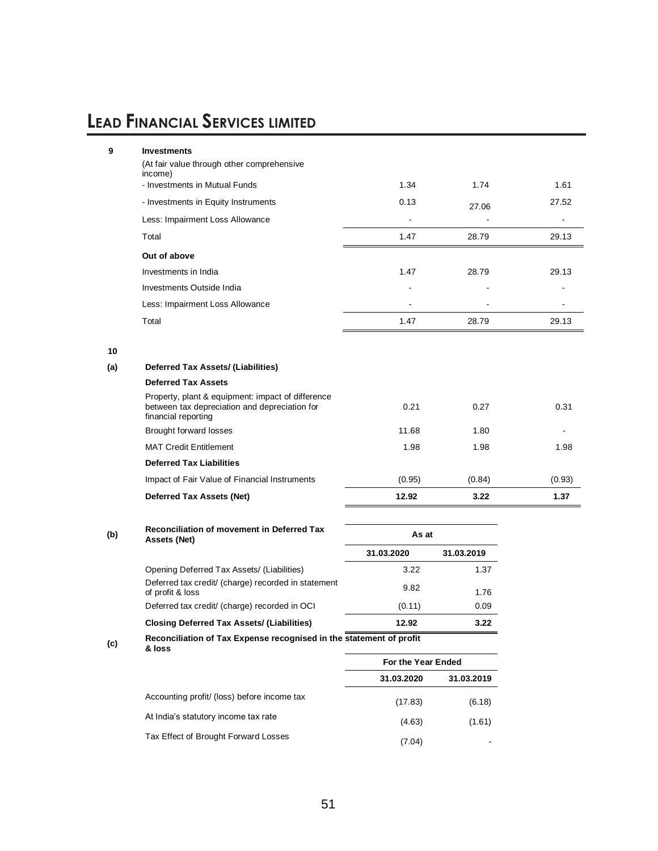| Opening Deferred Tay Assate (Il inhibition)                                                                               | ר מ                              | 1. 27      |               |
|---------------------------------------------------------------------------------------------------------------------------|----------------------------------|------------|---------------|
|                                                                                                                           | 31.03.2020                       | 31.03.2019 |               |
| <b>Reconciliation of movement in Deferred Tax</b><br>Assets (Net)                                                         |                                  |            |               |
|                                                                                                                           |                                  |            | 1.37          |
| Impact of Fair Value of Financial Instruments                                                                             | (0.95)                           | (0.84)     | (0.93)        |
| <b>Deferred Tax Liabilities</b>                                                                                           |                                  |            |               |
| <b>MAT Credit Entitlement</b>                                                                                             | 1.98                             | 1.98       | 1.98          |
| <b>Brought forward losses</b>                                                                                             | 11.68                            | 1.80       |               |
| Property, plant & equipment: impact of difference<br>between tax depreciation and depreciation for<br>financial reporting | 0.21                             | 0.27       | 0.31          |
| <b>Deferred Tax Assets</b>                                                                                                |                                  |            |               |
| <b>Deferred Tax Assets/ (Liabilities)</b>                                                                                 |                                  |            |               |
|                                                                                                                           |                                  |            |               |
| Total                                                                                                                     | 1.47                             | 28.79      | 29.13         |
| Less: Impairment Loss Allowance                                                                                           |                                  |            |               |
| Investments Outside India                                                                                                 |                                  |            |               |
| Investments in India                                                                                                      | 1.47                             | 28.79      | 29.13         |
| Out of above                                                                                                              |                                  |            |               |
| Total                                                                                                                     | 1.47                             | 28.79      | 29.13         |
| Less: Impairment Loss Allowance                                                                                           |                                  |            |               |
| - Investments in Equity Instruments                                                                                       | 0.13                             | 27.06      | 27.52         |
| income)<br>- Investments in Mutual Funds                                                                                  | 1.34                             | 1.74       | 1.61          |
| (At fair value through other comprehensive                                                                                |                                  |            |               |
|                                                                                                                           | <b>Deferred Tax Assets (Net)</b> | 12.92      | 3.22<br>As at |

| Opening Deferred Tax Assets/ (Liabilities)                              | 3.22   | 1.37 |
|-------------------------------------------------------------------------|--------|------|
| Deferred tax credit/ (charge) recorded in statement<br>of profit & loss | 9.82   | 1.76 |
| Deferred tax credit/ (charge) recorded in OCI                           | (0.11) | 0.09 |
| <b>Closing Deferred Tax Assets/ (Liabilities)</b>                       | 12.92  | 3.22 |

#### **(c) Reconciliation of Tax Expense recognised in the statement of profit & loss**

| J |  |  | ٥<br>w |
|---|--|--|--------|
|   |  |  |        |

|                                             | For the Year Ended |            |  |
|---------------------------------------------|--------------------|------------|--|
|                                             | 31.03.2020         | 31.03.2019 |  |
| Accounting profit/ (loss) before income tax | (17.83)            | (6.18)     |  |
| At India's statutory income tax rate        | (4.63)             | (1.61)     |  |
| Tax Effect of Brought Forward Losses        | (7.04)             |            |  |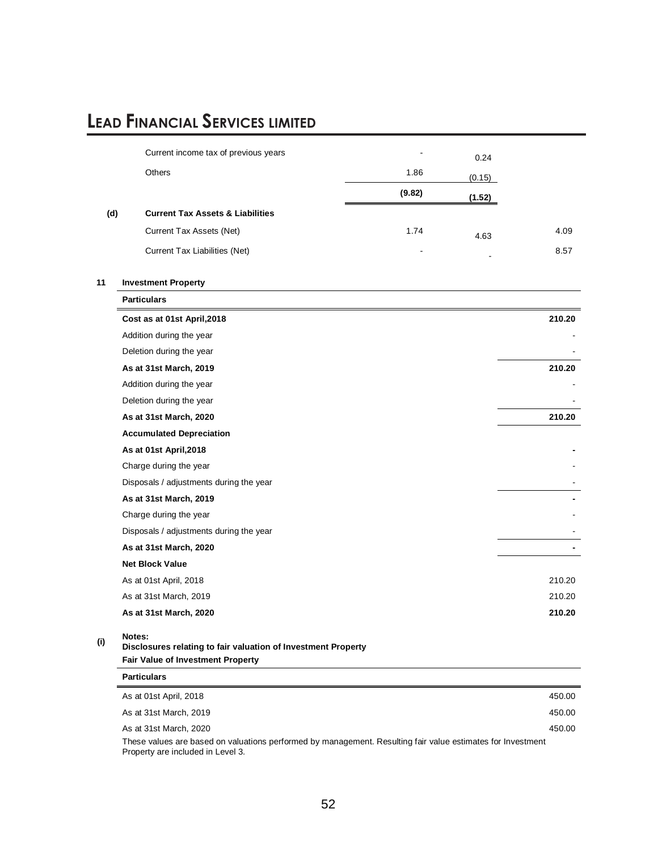|     | Current income tax of previous years                                                                         |        | 0.24   |        |
|-----|--------------------------------------------------------------------------------------------------------------|--------|--------|--------|
|     | <b>Others</b>                                                                                                | 1.86   | (0.15) |        |
|     |                                                                                                              | (9.82) | (1.52) |        |
| (d) | <b>Current Tax Assets &amp; Liabilities</b>                                                                  |        |        |        |
|     | Current Tax Assets (Net)                                                                                     | 1.74   | 4.63   | 4.09   |
|     | Current Tax Liabilities (Net)                                                                                |        |        | 8.57   |
|     |                                                                                                              |        |        |        |
| 11  | <b>Investment Property</b>                                                                                   |        |        |        |
|     | <b>Particulars</b>                                                                                           |        |        |        |
|     | Cost as at 01st April, 2018                                                                                  |        |        | 210.20 |
|     | Addition during the year                                                                                     |        |        |        |
|     | Deletion during the year                                                                                     |        |        |        |
|     | As at 31st March, 2019                                                                                       |        |        | 210.20 |
|     | Addition during the year                                                                                     |        |        |        |
|     | Deletion during the year                                                                                     |        |        |        |
|     | As at 31st March, 2020                                                                                       |        |        | 210.20 |
|     | <b>Accumulated Depreciation</b>                                                                              |        |        |        |
|     | As at 01st April, 2018                                                                                       |        |        |        |
|     | Charge during the year                                                                                       |        |        |        |
|     | Disposals / adjustments during the year                                                                      |        |        |        |
|     | As at 31st March, 2019                                                                                       |        |        |        |
|     | Charge during the year                                                                                       |        |        |        |
|     | Disposals / adjustments during the year                                                                      |        |        |        |
|     | As at 31st March, 2020                                                                                       |        |        |        |
|     | <b>Net Block Value</b>                                                                                       |        |        |        |
|     | As at 01st April, 2018                                                                                       |        |        | 210.20 |
|     | As at 31st March, 2019                                                                                       |        |        | 210.20 |
|     | As at 31st March, 2020                                                                                       |        |        | 210.20 |
| (i) | Notes:<br>Disclosures relating to fair valuation of Investment Property<br>Fair Value of Investment Property |        |        |        |
|     | <b>Particulars</b>                                                                                           |        |        |        |
|     | As at 01st April, 2018                                                                                       |        |        | 450.00 |
|     | As at 31st March, 2019                                                                                       |        |        | 450.00 |
|     | As at 31st March, 2020                                                                                       |        |        | 450.00 |

These values are based on valuations performed by management. Resulting fair value estimates for Investment Property are included in Level 3.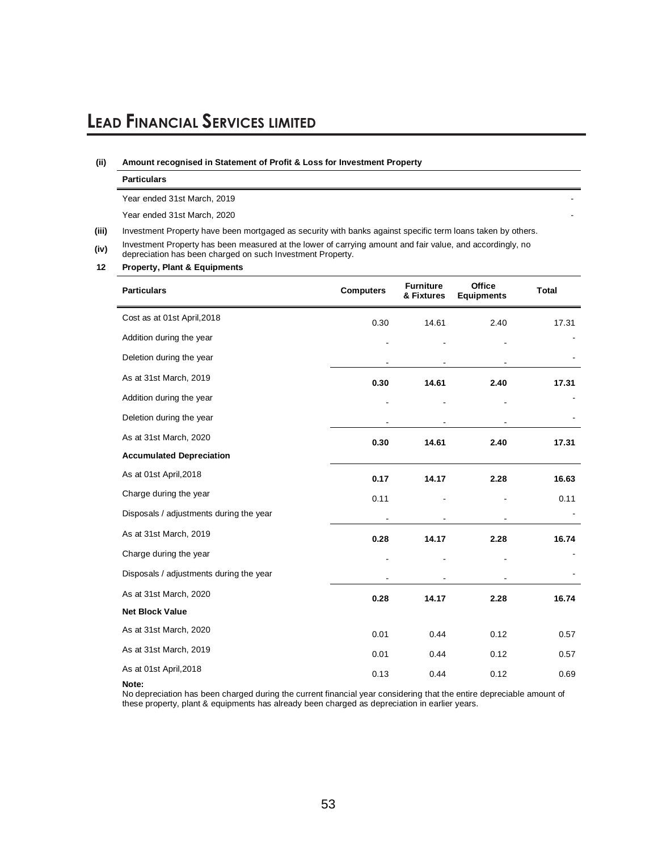#### **(ii) Amount recognised in Statement of Profit & Loss for Investment Property**

Year ended 31st March, 2019

Year ended 31st March, 2020

**(iii)** Investment Property have been mortgaged as security with banks against specific term loans taken by others.

**(iv)** Investment Property has been measured at the lower of carrying amount and fair value, and accordingly, no depreciation has been charged on such Investment Property.

#### **12 Property, Plant & Equipments**

| <b>Particulars</b>                      | <b>Computers</b> | <b>Furniture</b><br>& Fixtures | <b>Office</b><br><b>Equipments</b> | <b>Total</b> |
|-----------------------------------------|------------------|--------------------------------|------------------------------------|--------------|
| Cost as at 01st April, 2018             | 0.30             | 14.61                          | 2.40                               | 17.31        |
| Addition during the year                |                  |                                |                                    |              |
| Deletion during the year                |                  |                                |                                    |              |
| As at 31st March, 2019                  | 0.30             | 14.61                          | 2.40                               | 17.31        |
| Addition during the year                |                  |                                |                                    |              |
| Deletion during the year                |                  |                                |                                    |              |
| As at 31st March, 2020                  | 0.30             | 14.61                          | 2.40                               | 17.31        |
| <b>Accumulated Depreciation</b>         |                  |                                |                                    |              |
| As at 01st April, 2018                  | 0.17             | 14.17                          | 2.28                               | 16.63        |
| Charge during the year                  | 0.11             |                                |                                    | 0.11         |
| Disposals / adjustments during the year |                  |                                |                                    |              |
| As at 31st March, 2019                  | 0.28             | 14.17                          | 2.28                               | 16.74        |
| Charge during the year                  |                  |                                |                                    |              |
| Disposals / adjustments during the year |                  |                                |                                    |              |
| As at 31st March, 2020                  | 0.28             | 14.17                          | 2.28                               | 16.74        |
| <b>Net Block Value</b>                  |                  |                                |                                    |              |
| As at 31st March, 2020                  | 0.01             | 0.44                           | 0.12                               | 0.57         |
| As at 31st March, 2019                  | 0.01             | 0.44                           | 0.12                               | 0.57         |
| As at 01st April, 2018                  | 0.13             | 0.44                           | 0.12                               | 0.69         |

#### **Note:**

No depreciation has been charged during the current financial year considering that the entire depreciable amount of these property, plant & equipments has already been charged as depreciation in earlier years.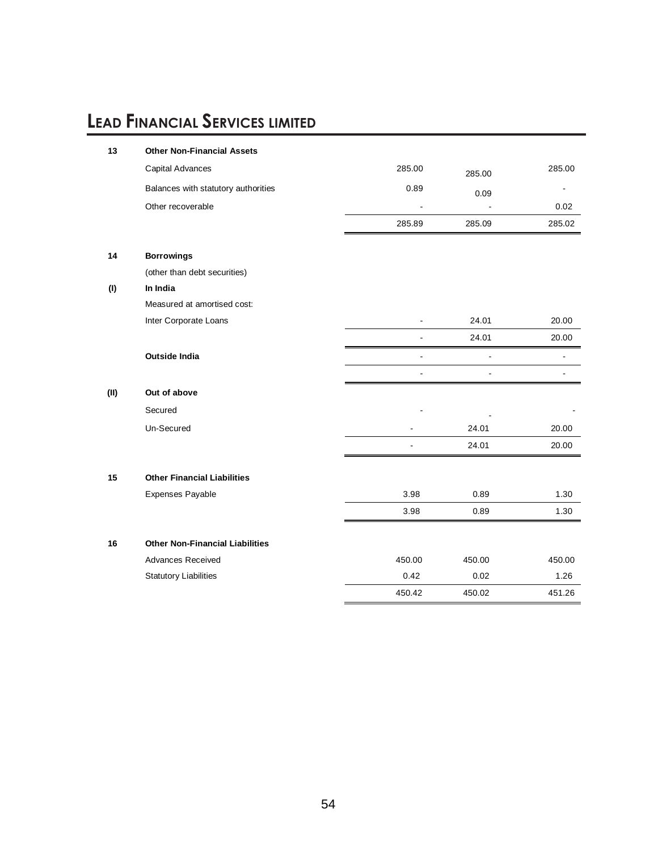| 13   | <b>Other Non-Financial Assets</b>      |                          |                |        |
|------|----------------------------------------|--------------------------|----------------|--------|
|      | Capital Advances                       | 285.00                   | 285.00         | 285.00 |
|      | Balances with statutory authorities    | 0.89                     | 0.09           |        |
|      | Other recoverable                      | $\blacksquare$           | $\overline{a}$ | 0.02   |
|      |                                        | 285.89                   | 285.09         | 285.02 |
| 14   | <b>Borrowings</b>                      |                          |                |        |
|      | (other than debt securities)           |                          |                |        |
| (1)  | In India                               |                          |                |        |
|      | Measured at amortised cost:            |                          |                |        |
|      | Inter Corporate Loans                  | ٠                        | 24.01          | 20.00  |
|      |                                        | ä,                       | 24.01          | 20.00  |
|      | <b>Outside India</b>                   | $\overline{\phantom{0}}$ | L,             |        |
|      |                                        | $\overline{a}$           | $\overline{a}$ |        |
| (II) | Out of above                           |                          |                |        |
|      | Secured                                |                          |                |        |
|      | Un-Secured                             |                          | 24.01          | 20.00  |
|      |                                        |                          | 24.01          | 20.00  |
| 15   | <b>Other Financial Liabilities</b>     |                          |                |        |
|      | Expenses Payable                       | 3.98                     | 0.89           | 1.30   |
|      |                                        | 3.98                     | 0.89           | 1.30   |
|      |                                        |                          |                |        |
| 16   | <b>Other Non-Financial Liabilities</b> |                          |                |        |
|      | <b>Advances Received</b>               | 450.00                   | 450.00         | 450.00 |
|      | <b>Statutory Liabilities</b>           | 0.42                     | 0.02           | 1.26   |
|      |                                        | 450.42                   | 450.02         | 451.26 |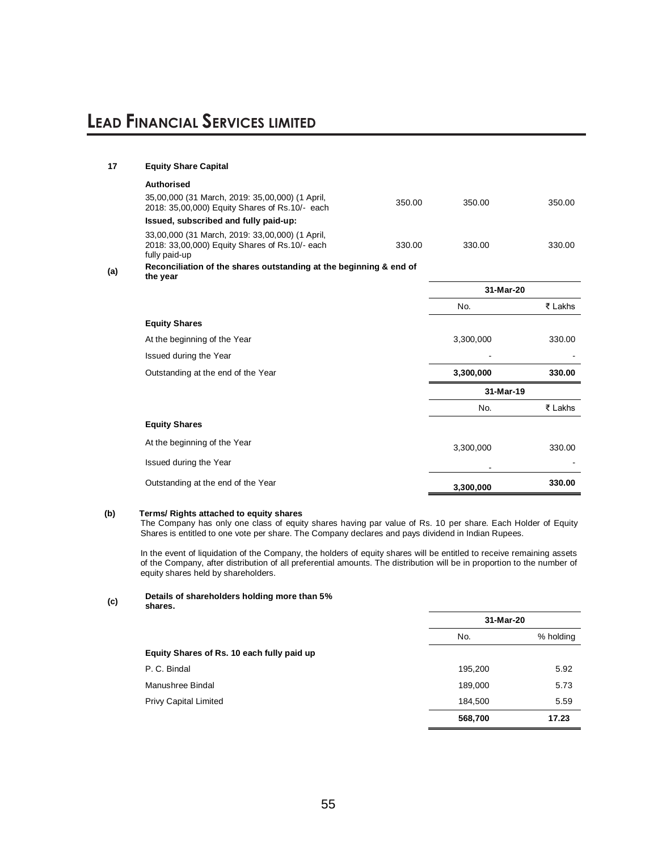### **17 Equity Share Capital Authorised**  35,00,000 (31 March, 2019: 35,00,000) (1 April, 35,00,000 (31 March, 2019: 35,00,000) (1 April,<br>2018: 35,00,000) Equity Shares of Rs.10/- each 350.00 350.00 350.00 350.00 **Issued, subscribed and fully paid-up:** 33,00,000 (31 March, 2019: 33,00,000) (1 April, 2018: 33,00,000) Equity Shares of Rs.10/- each fully paid-up 330.00 330.00 330.00 **(a) Reconciliation of the shares outstanding at the beginning & end of the year 31-Mar-20** No. ₹ Lakhs **Equity Shares** At the beginning of the Year 3,300,000 330.00 Issued during the Year Outstanding at the end of the Year **3,300,000 330.00 31-Mar-19** No. ₹ Lakhs **Equity Shares** At the beginning of the Year 3,300,000 330.00 Issued during the Year - - 1990 - 1990 - 1990 - 1990 - 1990 - 1990 - 1990 - 1990 - 1990 - 1990 - 1990 - 1990 - 1990 - 1990 - 1990 - 199 Outstanding at the end of the Year **3,300,000 330.00**

#### **(b) Terms/ Rights attached to equity shares**

The Company has only one class of equity shares having par value of Rs. 10 per share. Each Holder of Equity Shares is entitled to one vote per share. The Company declares and pays dividend in Indian Rupees.

In the event of liquidation of the Company, the holders of equity shares will be entitled to receive remaining assets of the Company, after distribution of all preferential amounts. The distribution will be in proportion to the number of equity shares held by shareholders.

**(c) Details of shareholders holding more than 5% shares.**

| w<br>× | ٠<br>۰.<br>I |  |
|--------|--------------|--|
|        |              |  |

|                                            | 31-Mar-20 |           |  |
|--------------------------------------------|-----------|-----------|--|
|                                            | No.       | % holding |  |
| Equity Shares of Rs. 10 each fully paid up |           |           |  |
| P. C. Bindal                               | 195,200   | 5.92      |  |
| Manushree Bindal                           | 189,000   | 5.73      |  |
| <b>Privy Capital Limited</b>               | 184,500   | 5.59      |  |
|                                            | 568,700   | 17.23     |  |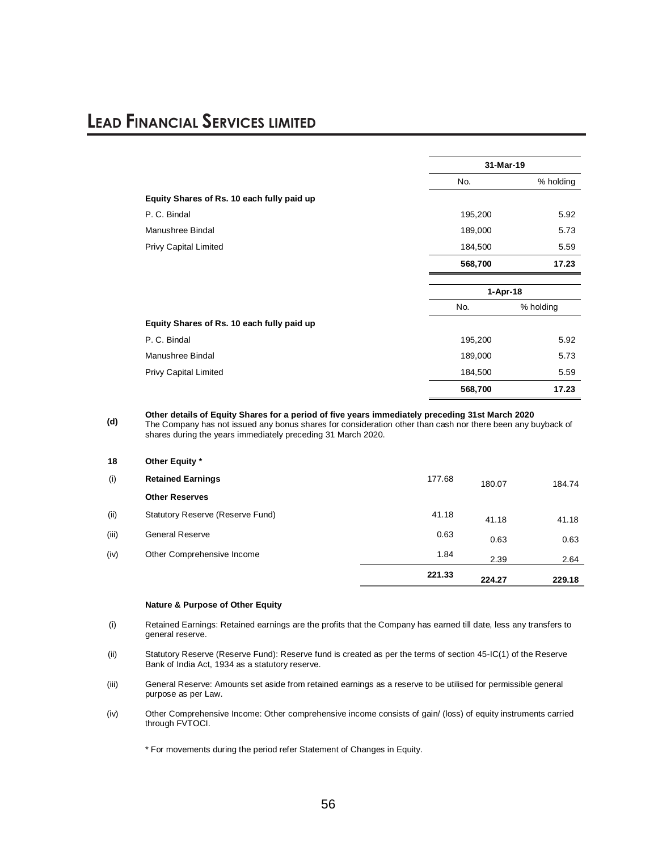|                                            | 31-Mar-19  |           |  |
|--------------------------------------------|------------|-----------|--|
|                                            | No.        | % holding |  |
| Equity Shares of Rs. 10 each fully paid up |            |           |  |
| P. C. Bindal                               | 195,200    | 5.92      |  |
| Manushree Bindal                           | 189,000    | 5.73      |  |
| Privy Capital Limited                      | 184,500    | 5.59      |  |
|                                            | 568,700    | 17.23     |  |
|                                            | $1-Apr-18$ |           |  |
|                                            | No.        | % holding |  |
| Equity Shares of Rs. 10 each fully paid up |            |           |  |
| P. C. Bindal                               | 195,200    | 5.92      |  |
| Manushree Bindal                           | 189,000    | 5.73      |  |
| Privy Capital Limited                      | 184,500    | 5.59      |  |
|                                            | 568,700    | 17.23     |  |

**(d) Other details of Equity Shares for a period of five years immediately preceding 31st March 2020**

The Company has not issued any bonus shares for consideration other than cash nor there been any buyback of shares during the years immediately preceding 31 March 2020.

|       |                                  | 221.33 | 224.27 | 229.18 |
|-------|----------------------------------|--------|--------|--------|
| (iv)  | Other Comprehensive Income       | 1.84   | 2.39   | 2.64   |
| (iii) | <b>General Reserve</b>           | 0.63   | 0.63   | 0.63   |
| (ii)  | Statutory Reserve (Reserve Fund) | 41.18  | 41.18  | 41.18  |
|       | <b>Other Reserves</b>            |        |        |        |
| (i)   | <b>Retained Earnings</b>         | 177.68 | 180.07 | 184.74 |
| 18    | Other Equity *                   |        |        |        |

#### **Nature & Purpose of Other Equity**

- (i) Retained Earnings: Retained earnings are the profits that the Company has earned till date, less any transfers to general reserve.
- (ii) Statutory Reserve (Reserve Fund): Reserve fund is created as per the terms of section 45-IC(1) of the Reserve Bank of India Act, 1934 as a statutory reserve.
- (iii) General Reserve: Amounts set aside from retained earnings as a reserve to be utilised for permissible general purpose as per Law.
- (iv) Other Comprehensive Income: Other comprehensive income consists of gain/ (loss) of equity instruments carried through FVTOCI.

\* For movements during the period refer Statement of Changes in Equity.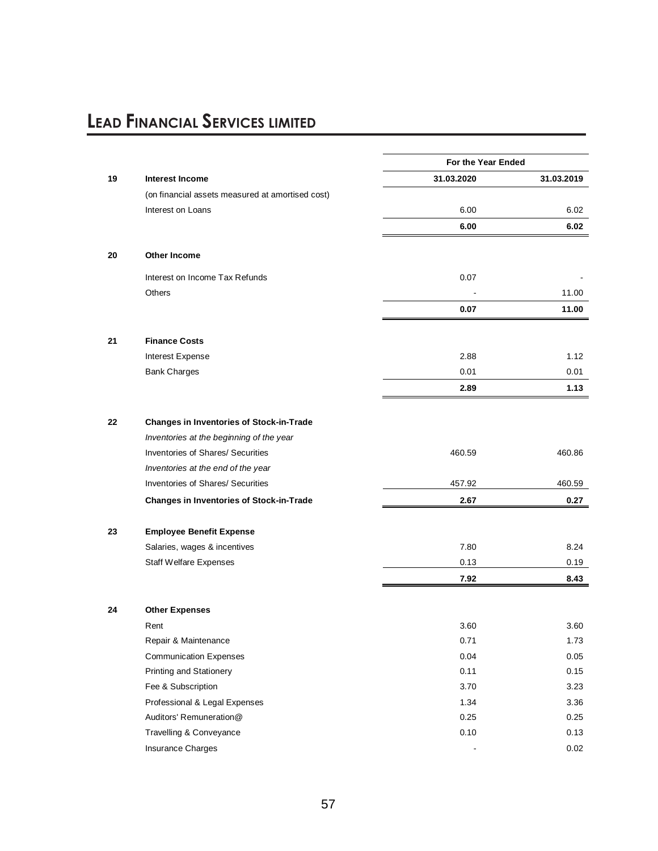|    |                                                  | For the Year Ended |            |
|----|--------------------------------------------------|--------------------|------------|
| 19 | <b>Interest Income</b>                           | 31.03.2020         | 31.03.2019 |
|    | (on financial assets measured at amortised cost) |                    |            |
|    | Interest on Loans                                | 6.00               | 6.02       |
|    |                                                  | 6.00               | 6.02       |
| 20 | <b>Other Income</b>                              |                    |            |
|    | Interest on Income Tax Refunds                   | 0.07               |            |
|    | <b>Others</b>                                    |                    | 11.00      |
|    |                                                  | 0.07               | 11.00      |
| 21 | <b>Finance Costs</b>                             |                    |            |
|    | <b>Interest Expense</b>                          | 2.88               | 1.12       |
|    | <b>Bank Charges</b>                              | 0.01               | 0.01       |
|    |                                                  | 2.89               | 1.13       |
|    |                                                  |                    |            |
| 22 | <b>Changes in Inventories of Stock-in-Trade</b>  |                    |            |
|    | Inventories at the beginning of the year         |                    |            |
|    | Inventories of Shares/ Securities                | 460.59             | 460.86     |
|    | Inventories at the end of the year               |                    |            |
|    | <b>Inventories of Shares/ Securities</b>         | 457.92             | 460.59     |
|    | <b>Changes in Inventories of Stock-in-Trade</b>  | 2.67               | 0.27       |
| 23 | <b>Employee Benefit Expense</b>                  |                    |            |
|    | Salaries, wages & incentives                     | 7.80               | 8.24       |
|    | Staff Welfare Expenses                           | 0.13               | 0.19       |
|    |                                                  | 7.92               | 8.43       |
| 24 | <b>Other Expenses</b>                            |                    |            |
|    | Rent                                             | 3.60               | 3.60       |
|    | Repair & Maintenance                             | 0.71               | 1.73       |
|    | <b>Communication Expenses</b>                    | 0.04               | 0.05       |
|    | Printing and Stationery                          | 0.11               | 0.15       |
|    | Fee & Subscription                               | 3.70               | 3.23       |
|    | Professional & Legal Expenses                    | 1.34               | 3.36       |
|    | Auditors' Remuneration@                          | 0.25               | 0.25       |
|    | Travelling & Conveyance                          | 0.10               | 0.13       |
|    | Insurance Charges                                |                    | 0.02       |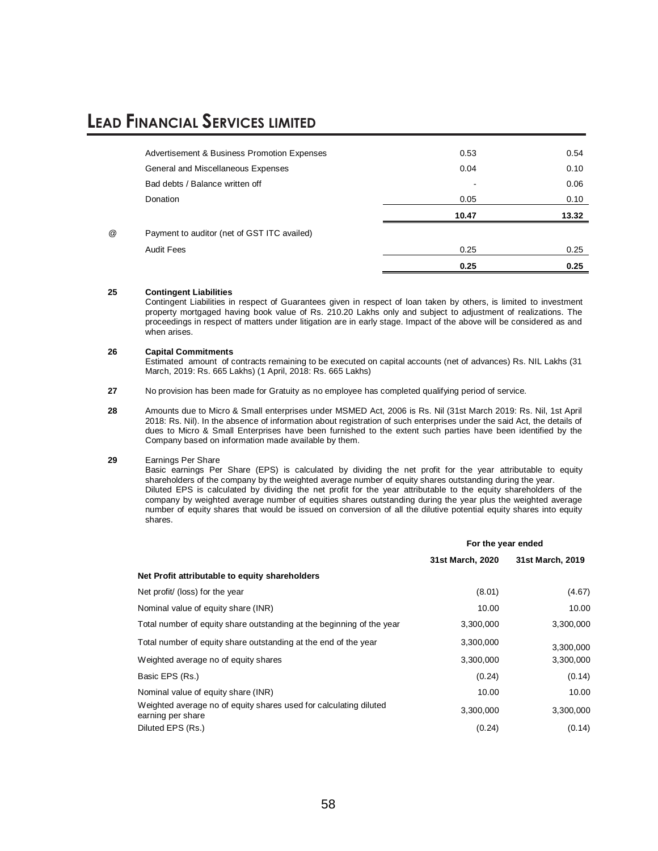|   |                                                        | 0.25  | 0.25  |
|---|--------------------------------------------------------|-------|-------|
|   | <b>Audit Fees</b>                                      | 0.25  | 0.25  |
| @ | Payment to auditor (net of GST ITC availed)            |       |       |
|   |                                                        | 10.47 | 13.32 |
|   | Donation                                               | 0.05  | 0.10  |
|   | Bad debts / Balance written off                        | -     | 0.06  |
|   | General and Miscellaneous Expenses                     | 0.04  | 0.10  |
|   | <b>Advertisement &amp; Business Promotion Expenses</b> | 0.53  | 0.54  |
|   |                                                        |       |       |

#### **25 Contingent Liabilities**

Contingent Liabilities in respect of Guarantees given in respect of loan taken by others, is limited to investment property mortgaged having book value of Rs. 210.20 Lakhs only and subject to adjustment of realizations. The proceedings in respect of matters under litigation are in early stage. Impact of the above will be considered as and when arises.

#### **26 Capital Commitments**

Estimated amount of contracts remaining to be executed on capital accounts (net of advances) Rs. NIL Lakhs (31 March, 2019: Rs. 665 Lakhs) (1 April, 2018: Rs. 665 Lakhs)

**27** No provision has been made for Gratuity as no employee has completed qualifying period of service.

**28** Amounts due to Micro & Small enterprises under MSMED Act, 2006 is Rs. Nil (31st March 2019: Rs. Nil, 1st April 2018: Rs. Nil). In the absence of information about registration of such enterprises under the said Act, the details of dues to Micro & Small Enterprises have been furnished to the extent such parties have been identified by the Company based on information made available by them.

#### **29** Earnings Per Share

Basic earnings Per Share (EPS) is calculated by dividing the net profit for the year attributable to equity shareholders of the company by the weighted average number of equity shares outstanding during the year. Diluted EPS is calculated by dividing the net profit for the year attributable to the equity shareholders of the company by weighted average number of equities shares outstanding during the year plus the weighted average number of equity shares that would be issued on conversion of all the dilutive potential equity shares into equity shares.

|                                                                                        | For the year ended |                  |  |
|----------------------------------------------------------------------------------------|--------------------|------------------|--|
|                                                                                        | 31st March, 2020   | 31st March, 2019 |  |
| Net Profit attributable to equity shareholders                                         |                    |                  |  |
| Net profit/ (loss) for the year                                                        | (8.01)             | (4.67)           |  |
| Nominal value of equity share (INR)                                                    | 10.00              | 10.00            |  |
| Total number of equity share outstanding at the beginning of the year                  | 3,300,000          | 3,300,000        |  |
| Total number of equity share outstanding at the end of the year                        | 3,300,000          | 3,300,000        |  |
| Weighted average no of equity shares                                                   | 3,300,000          | 3,300,000        |  |
| Basic EPS (Rs.)                                                                        | (0.24)             | (0.14)           |  |
| Nominal value of equity share (INR)                                                    | 10.00              | 10.00            |  |
| Weighted average no of equity shares used for calculating diluted<br>earning per share | 3,300,000          | 3,300,000        |  |
| Diluted EPS (Rs.)                                                                      | (0.24)             | (0.14)           |  |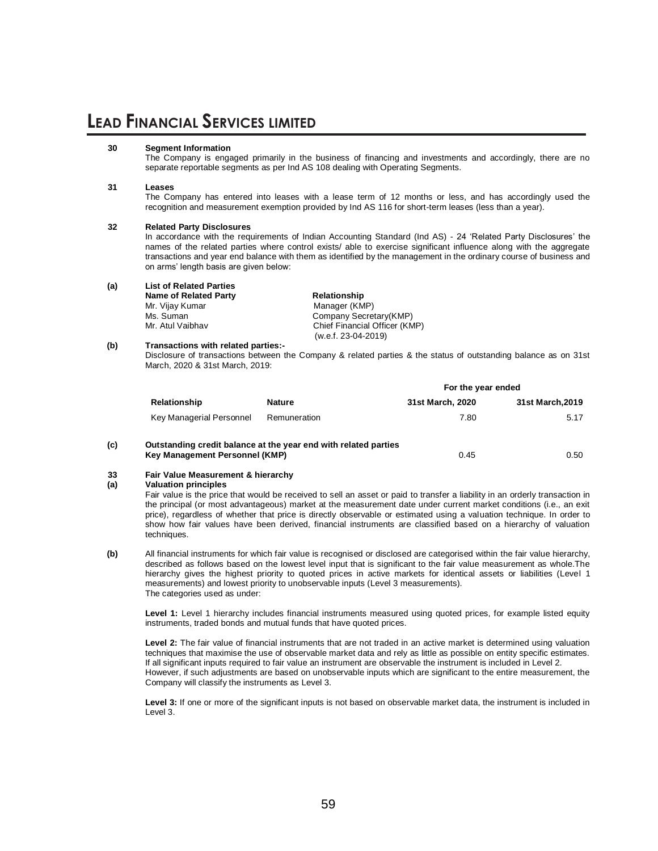#### **30 Segment Information**

The Company is engaged primarily in the business of financing and investments and accordingly, there are no separate reportable segments as per Ind AS 108 dealing with Operating Segments.

#### **31 Leases**

The Company has entered into leases with a lease term of 12 months or less, and has accordingly used the recognition and measurement exemption provided by Ind AS 116 for short-term leases (less than a year).

#### **32 Related Party Disclosures**

In accordance with the requirements of Indian Accounting Standard (Ind AS) - 24 'Related Party Disclosures' the names of the related parties where control exists/ able to exercise significant influence along with the aggregate transactions and year end balance with them as identified by the management in the ordinary course of business and on arms' length basis are given below:

| (a) | <b>List of Related Parties</b> |                               |  |  |  |
|-----|--------------------------------|-------------------------------|--|--|--|
|     | <b>Name of Related Party</b>   | Relationship                  |  |  |  |
|     | Mr. Vijay Kumar                | Manager (KMP)                 |  |  |  |
|     | Ms. Suman                      | Company Secretary (KMP)       |  |  |  |
|     | Mr. Atul Vaibhav               | Chief Financial Officer (KMP) |  |  |  |
|     |                                | (w.e.f. 23-04-2019)           |  |  |  |

### **(b) Transactions with related parties:-**

Disclosure of transactions between the Company & related parties & the status of outstanding balance as on 31st March, 2020 & 31st March, 2019:

|     |                                |                                                                 | For the year ended |                  |  |
|-----|--------------------------------|-----------------------------------------------------------------|--------------------|------------------|--|
|     | Relationship                   | <b>Nature</b>                                                   | 31st March, 2020   | 31st March, 2019 |  |
|     | Key Managerial Personnel       | Remuneration                                                    | 7.80               | 5.17             |  |
| (c) | Key Management Personnel (KMP) | Outstanding credit balance at the year end with related parties | 0.45               | 0.50             |  |

#### **33 Fair Value Measurement & hierarchy**

#### **(a) Valuation principles**

Fair value is the price that would be received to sell an asset or paid to transfer a liability in an orderly transaction in the principal (or most advantageous) market at the measurement date under current market conditions (i.e., an exit price), regardless of whether that price is directly observable or estimated using a valuation technique. In order to show how fair values have been derived, financial instruments are classified based on a hierarchy of valuation techniques.

**(b)** All financial instruments for which fair value is recognised or disclosed are categorised within the fair value hierarchy, described as follows based on the lowest level input that is significant to the fair value measurement as whole.The hierarchy gives the highest priority to quoted prices in active markets for identical assets or liabilities (Level 1 measurements) and lowest priority to unobservable inputs (Level 3 measurements). The categories used as under:

**Level 1:** Level 1 hierarchy includes financial instruments measured using quoted prices, for example listed equity instruments, traded bonds and mutual funds that have quoted prices.

**Level 2:** The fair value of financial instruments that are not traded in an active market is determined using valuation techniques that maximise the use of observable market data and rely as little as possible on entity specific estimates. If all significant inputs required to fair value an instrument are observable the instrument is included in Level 2. However, if such adjustments are based on unobservable inputs which are significant to the entire measurement, the Company will classify the instruments as Level 3.

**Level 3:** If one or more of the significant inputs is not based on observable market data, the instrument is included in Level 3.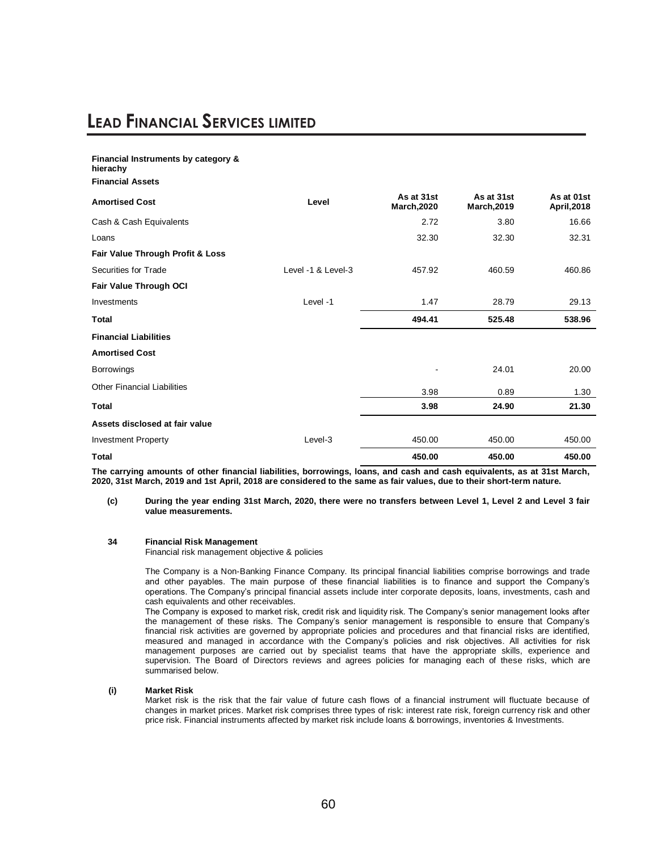#### **Financial Instruments by category & hierachy Financial Assets Amortised Cost Level As at 31st March,2020 As at 31st March,2019 As at 01st April,2018** Cash & Cash Equivalents 2.72 3.80 16.66 Loans 32.30 32.30 32.31 **Fair Value Through Profit & Loss** Securities for Trade  $\sim$  18 Level -1 & Level-3 457.92 460.59 460.86 **Fair Value Through OCI** Investments 29.13 29.13 **Total 494.41 525.48 538.96 Financial Liabilities Amortised Cost**  Borrowings - 24.01 20.00 Other Financial Liabilities 3.98 0.89 1.30 **Total 3.98 24.90 21.30 Assets disclosed at fair value**  Investment Property Level-3 450.00 450.00 450.00 **Total 450.00 450.00 450.00**

**The carrying amounts of other financial liabilities, borrowings, loans, and cash and cash equivalents, as at 31st March, 2020, 31st March, 2019 and 1st April, 2018 are considered to the same as fair values, due to their short-term nature.**

#### **(c) During the year ending 31st March, 2020, there were no transfers between Level 1, Level 2 and Level 3 fair value measurements.**

#### **34 Financial Risk Management**

Financial risk management objective & policies

The Company is a Non-Banking Finance Company. Its principal financial liabilities comprise borrowings and trade and other payables. The main purpose of these financial liabilities is to finance and support the Company's operations. The Company's principal financial assets include inter corporate deposits, loans, investments, cash and cash equivalents and other receivables.

The Company is exposed to market risk, credit risk and liquidity risk. The Company's senior management looks after the management of these risks. The Company's senior management is responsible to ensure that Company's financial risk activities are governed by appropriate policies and procedures and that financial risks are identified, measured and managed in accordance with the Company's policies and risk objectives. All activities for risk management purposes are carried out by specialist teams that have the appropriate skills, experience and supervision. The Board of Directors reviews and agrees policies for managing each of these risks, which are summarised below.

#### **(i) Market Risk**

Market risk is the risk that the fair value of future cash flows of a financial instrument will fluctuate because of changes in market prices. Market risk comprises three types of risk: interest rate risk, foreign currency risk and other price risk. Financial instruments affected by market risk include loans & borrowings, inventories & Investments.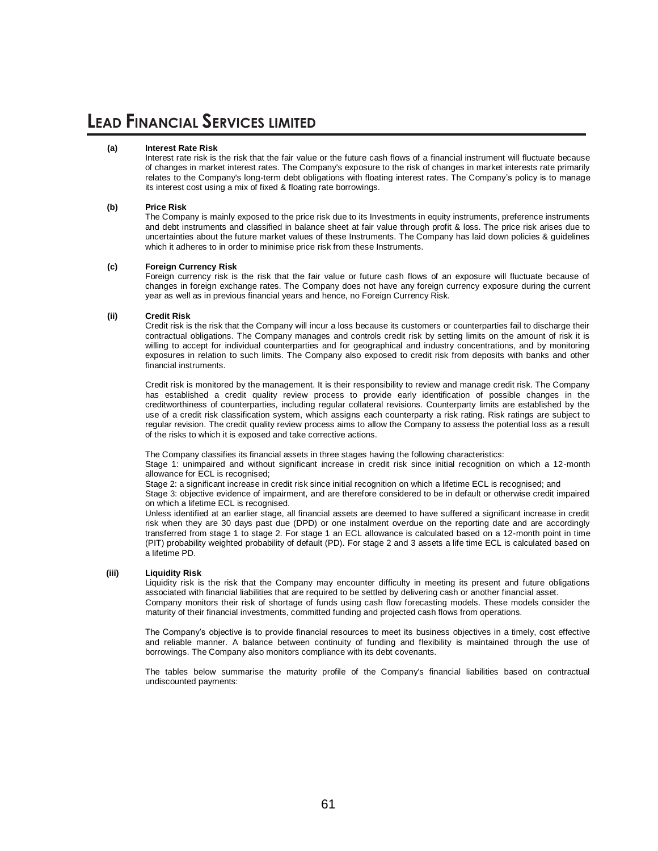#### **(a) Interest Rate Risk**

Interest rate risk is the risk that the fair value or the future cash flows of a financial instrument will fluctuate because of changes in market interest rates. The Company's exposure to the risk of changes in market interests rate primarily relates to the Company's long-term debt obligations with floating interest rates. The Company's policy is to manage its interest cost using a mix of fixed & floating rate borrowings.

#### **(b) Price Risk**

The Company is mainly exposed to the price risk due to its Investments in equity instruments, preference instruments and debt instruments and classified in balance sheet at fair value through profit & loss. The price risk arises due to uncertainties about the future market values of these Instruments. The Company has laid down policies & guidelines which it adheres to in order to minimise price risk from these Instruments.

#### **(c) Foreign Currency Risk**

Foreign currency risk is the risk that the fair value or future cash flows of an exposure will fluctuate because of changes in foreign exchange rates. The Company does not have any foreign currency exposure during the current year as well as in previous financial years and hence, no Foreign Currency Risk.

#### **(ii) Credit Risk**

Credit risk is the risk that the Company will incur a loss because its customers or counterparties fail to discharge their contractual obligations. The Company manages and controls credit risk by setting limits on the amount of risk it is willing to accept for individual counterparties and for geographical and industry concentrations, and by monitoring exposures in relation to such limits. The Company also exposed to credit risk from deposits with banks and other financial instruments.

Credit risk is monitored by the management. It is their responsibility to review and manage credit risk. The Company has established a credit quality review process to provide early identification of possible changes in the creditworthiness of counterparties, including regular collateral revisions. Counterparty limits are established by the use of a credit risk classification system, which assigns each counterparty a risk rating. Risk ratings are subject to regular revision. The credit quality review process aims to allow the Company to assess the potential loss as a result of the risks to which it is exposed and take corrective actions.

The Company classifies its financial assets in three stages having the following characteristics:

Stage 1: unimpaired and without significant increase in credit risk since initial recognition on which a 12-month allowance for ECL is recognised;

Stage 2: a significant increase in credit risk since initial recognition on which a lifetime ECL is recognised; and

Stage 3: objective evidence of impairment, and are therefore considered to be in default or otherwise credit impaired on which a lifetime ECL is recognised.

Unless identified at an earlier stage, all financial assets are deemed to have suffered a significant increase in credit risk when they are 30 days past due (DPD) or one instalment overdue on the reporting date and are accordingly transferred from stage 1 to stage 2. For stage 1 an ECL allowance is calculated based on a 12-month point in time (PIT) probability weighted probability of default (PD). For stage 2 and 3 assets a life time ECL is calculated based on a lifetime PD.

#### **(iii) Liquidity Risk**

Liquidity risk is the risk that the Company may encounter difficulty in meeting its present and future obligations associated with financial liabilities that are required to be settled by delivering cash or another financial asset. Company monitors their risk of shortage of funds using cash flow forecasting models. These models consider the maturity of their financial investments, committed funding and projected cash flows from operations.

The Company's objective is to provide financial resources to meet its business objectives in a timely, cost effective and reliable manner. A balance between continuity of funding and flexibility is maintained through the use of borrowings. The Company also monitors compliance with its debt covenants.

The tables below summarise the maturity profile of the Company's financial liabilities based on contractual undiscounted payments: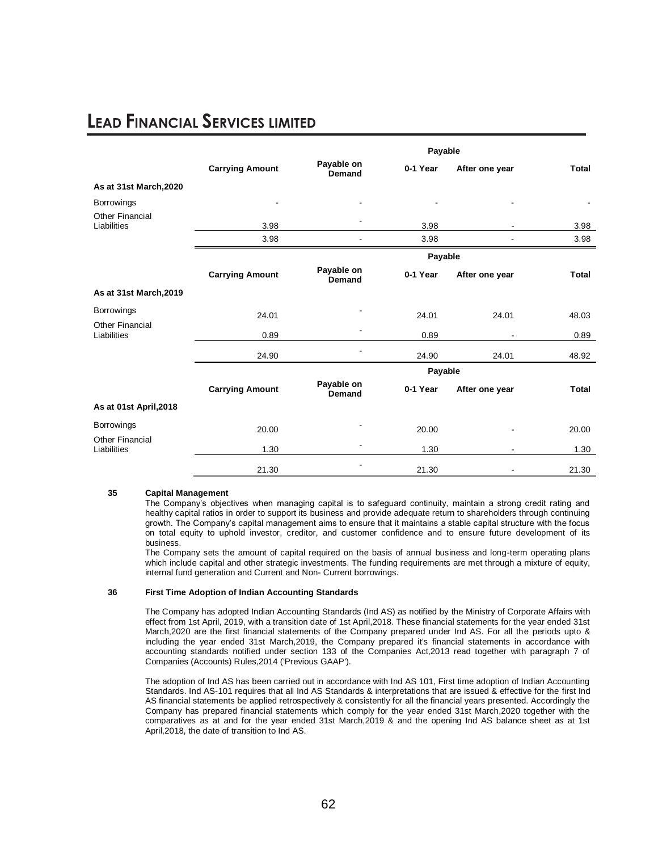|                                       |                        |                             | Payable  |                          |              |
|---------------------------------------|------------------------|-----------------------------|----------|--------------------------|--------------|
|                                       | <b>Carrying Amount</b> | Payable on<br>Demand        | 0-1 Year | After one year           | <b>Total</b> |
| As at 31st March, 2020                |                        |                             |          |                          |              |
| <b>Borrowings</b>                     |                        |                             |          |                          |              |
| <b>Other Financial</b><br>Liabilities | 3.98                   |                             | 3.98     |                          | 3.98         |
|                                       | 3.98                   |                             | 3.98     |                          | 3.98         |
|                                       |                        |                             | Payable  |                          |              |
|                                       | <b>Carrying Amount</b> | Payable on<br><b>Demand</b> | 0-1 Year | After one year           | <b>Total</b> |
| As at 31st March, 2019                |                        |                             |          |                          |              |
| <b>Borrowings</b>                     | 24.01                  |                             | 24.01    | 24.01                    | 48.03        |
| <b>Other Financial</b><br>Liabilities | 0.89                   |                             | 0.89     |                          | 0.89         |
|                                       | 24.90                  |                             | 24.90    | 24.01                    | 48.92        |
|                                       |                        |                             | Payable  |                          |              |
|                                       | <b>Carrying Amount</b> | Payable on<br>Demand        | 0-1 Year | After one year           | Total        |
| As at 01st April, 2018                |                        |                             |          |                          |              |
| <b>Borrowings</b>                     | 20.00                  |                             | 20.00    |                          | 20.00        |
| <b>Other Financial</b><br>Liabilities | 1.30                   |                             | 1.30     | $\overline{\phantom{a}}$ | 1.30         |
|                                       | 21.30                  |                             | 21.30    |                          | 21.30        |

#### **35 Capital Management**

The Company's objectives when managing capital is to safeguard continuity, maintain a strong credit rating and healthy capital ratios in order to support its business and provide adequate return to shareholders through continuing growth. The Company's capital management aims to ensure that it maintains a stable capital structure with the focus on total equity to uphold investor, creditor, and customer confidence and to ensure future development of its business.

The Company sets the amount of capital required on the basis of annual business and long-term operating plans which include capital and other strategic investments. The funding requirements are met through a mixture of equity, internal fund generation and Current and Non- Current borrowings.

#### **36 First Time Adoption of Indian Accounting Standards**

The Company has adopted Indian Accounting Standards (Ind AS) as notified by the Ministry of Corporate Affairs with effect from 1st April, 2019, with a transition date of 1st April,2018. These financial statements for the year ended 31st March,2020 are the first financial statements of the Company prepared under Ind AS. For all the periods upto & including the year ended 31st March,2019, the Company prepared it's financial statements in accordance with accounting standards notified under section 133 of the Companies Act,2013 read together with paragraph 7 of Companies (Accounts) Rules,2014 ('Previous GAAP').

The adoption of Ind AS has been carried out in accordance with Ind AS 101, First time adoption of Indian Accounting Standards. Ind AS-101 requires that all Ind AS Standards & interpretations that are issued & effective for the first Ind AS financial statements be applied retrospectively & consistently for all the financial years presented. Accordingly the Company has prepared financial statements which comply for the year ended 31st March,2020 together with the comparatives as at and for the year ended 31st March,2019 & and the opening Ind AS balance sheet as at 1st April,2018, the date of transition to Ind AS.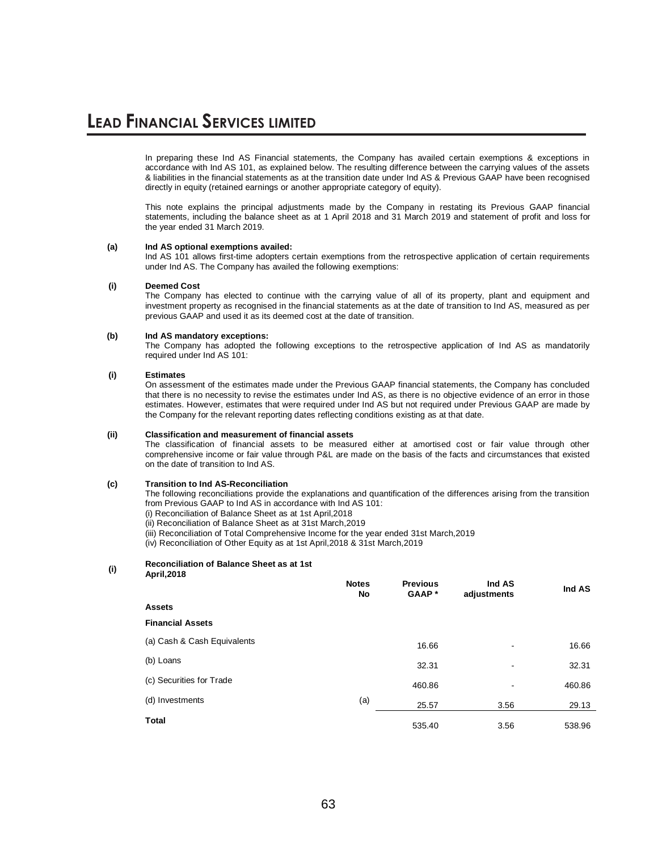In preparing these Ind AS Financial statements, the Company has availed certain exemptions & exceptions in accordance with Ind AS 101, as explained below. The resulting difference between the carrying values of the assets & liabilities in the financial statements as at the transition date under Ind AS & Previous GAAP have been recognised directly in equity (retained earnings or another appropriate category of equity).

This note explains the principal adjustments made by the Company in restating its Previous GAAP financial statements, including the balance sheet as at 1 April 2018 and 31 March 2019 and statement of profit and loss for the year ended 31 March 2019.

#### **(a) Ind AS optional exemptions availed:**

Ind AS 101 allows first-time adopters certain exemptions from the retrospective application of certain requirements under Ind AS. The Company has availed the following exemptions:

#### **(i) Deemed Cost**

The Company has elected to continue with the carrying value of all of its property, plant and equipment and investment property as recognised in the financial statements as at the date of transition to Ind AS, measured as per previous GAAP and used it as its deemed cost at the date of transition.

#### **(b) Ind AS mandatory exceptions:**

The Company has adopted the following exceptions to the retrospective application of Ind AS as mandatorily required under Ind AS 101:

#### **(i) Estimates**

On assessment of the estimates made under the Previous GAAP financial statements, the Company has concluded that there is no necessity to revise the estimates under Ind AS, as there is no objective evidence of an error in those estimates. However, estimates that were required under Ind AS but not required under Previous GAAP are made by the Company for the relevant reporting dates reflecting conditions existing as at that date.

#### **(ii) Classification and measurement of financial assets**

The classification of financial assets to be measured either at amortised cost or fair value through other comprehensive income or fair value through P&L are made on the basis of the facts and circumstances that existed on the date of transition to Ind AS.

#### **(c) Transition to Ind AS-Reconciliation**

The following reconciliations provide the explanations and quantification of the differences arising from the transition from Previous GAAP to Ind AS in accordance with Ind AS 101:

(i) Reconciliation of Balance Sheet as at 1st April,2018

(ii) Reconciliation of Balance Sheet as at 31st March,2019

(iii) Reconciliation of Total Comprehensive Income for the year ended 31st March,2019

(iv) Reconciliation of Other Equity as at 1st April,2018 & 31st March,2019

#### **(i) Reconciliation of Balance Sheet as at 1st April,2018**

| , , , , , , , , , , , ,     | <b>Notes</b><br>No | <b>Previous</b><br>GAAP* | Ind AS<br>adjustments    | Ind AS |
|-----------------------------|--------------------|--------------------------|--------------------------|--------|
| <b>Assets</b>               |                    |                          |                          |        |
| <b>Financial Assets</b>     |                    |                          |                          |        |
| (a) Cash & Cash Equivalents |                    | 16.66                    | $\overline{\phantom{a}}$ | 16.66  |
| (b) Loans                   |                    | 32.31                    | $\overline{\phantom{a}}$ | 32.31  |
| (c) Securities for Trade    |                    | 460.86                   | ۰                        | 460.86 |
| (d) Investments             | (a)                | 25.57                    | 3.56                     | 29.13  |
| <b>Total</b>                |                    | 535.40                   | 3.56                     | 538.96 |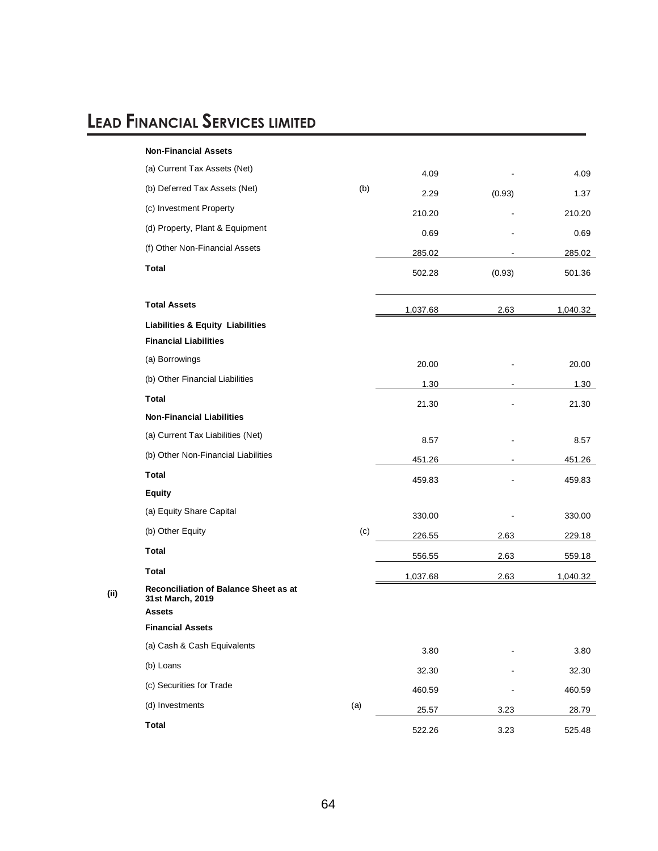|      | <b>Non-Financial Assets</b>                               |     |          |        |          |
|------|-----------------------------------------------------------|-----|----------|--------|----------|
|      | (a) Current Tax Assets (Net)                              |     | 4.09     |        | 4.09     |
|      | (b) Deferred Tax Assets (Net)                             | (b) | 2.29     | (0.93) | 1.37     |
|      | (c) Investment Property                                   |     | 210.20   |        | 210.20   |
|      | (d) Property, Plant & Equipment                           |     | 0.69     |        | 0.69     |
|      | (f) Other Non-Financial Assets                            |     | 285.02   |        | 285.02   |
|      | <b>Total</b>                                              |     | 502.28   | (0.93) | 501.36   |
|      | <b>Total Assets</b>                                       |     | 1,037.68 | 2.63   | 1,040.32 |
|      | <b>Liabilities &amp; Equity Liabilities</b>               |     |          |        |          |
|      | <b>Financial Liabilities</b>                              |     |          |        |          |
|      | (a) Borrowings                                            |     | 20.00    |        | 20.00    |
|      | (b) Other Financial Liabilities                           |     | 1.30     |        | 1.30     |
|      | <b>Total</b>                                              |     | 21.30    |        | 21.30    |
|      | <b>Non-Financial Liabilities</b>                          |     |          |        |          |
|      | (a) Current Tax Liabilities (Net)                         |     | 8.57     |        | 8.57     |
|      | (b) Other Non-Financial Liabilities                       |     | 451.26   |        | 451.26   |
|      | <b>Total</b>                                              |     | 459.83   |        | 459.83   |
|      | <b>Equity</b>                                             |     |          |        |          |
|      | (a) Equity Share Capital                                  |     | 330.00   |        | 330.00   |
|      | (b) Other Equity                                          | (c) | 226.55   | 2.63   | 229.18   |
|      | <b>Total</b>                                              |     | 556.55   | 2.63   | 559.18   |
|      | <b>Total</b>                                              |     | 1,037.68 | 2.63   | 1,040.32 |
| (ii) | Reconciliation of Balance Sheet as at<br>31st March, 2019 |     |          |        |          |
|      | <b>Assets</b>                                             |     |          |        |          |
|      | <b>Financial Assets</b>                                   |     |          |        |          |
|      | (a) Cash & Cash Equivalents                               |     | 3.80     |        | 3.80     |
|      | (b) Loans                                                 |     | 32.30    |        | 32.30    |
|      | (c) Securities for Trade                                  |     | 460.59   |        | 460.59   |
|      | (d) Investments                                           | (a) | 25.57    | 3.23   | 28.79    |
|      | <b>Total</b>                                              |     | 522.26   | 3.23   | 525.48   |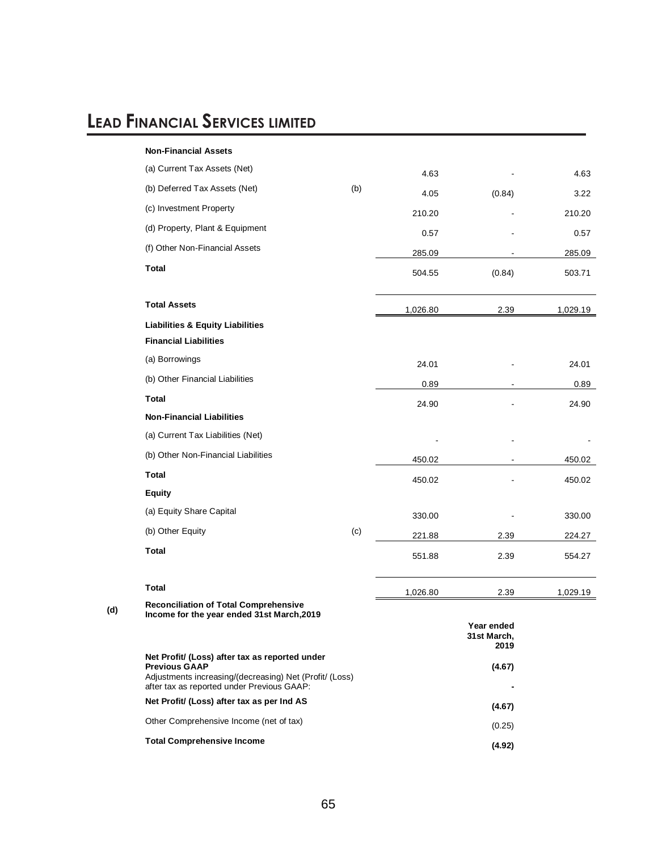|     | <b>Non-Financial Assets</b>                                                                                                                                                     |        |          |                                   |          |
|-----|---------------------------------------------------------------------------------------------------------------------------------------------------------------------------------|--------|----------|-----------------------------------|----------|
|     | (a) Current Tax Assets (Net)                                                                                                                                                    |        | 4.63     |                                   | 4.63     |
|     | (b) Deferred Tax Assets (Net)                                                                                                                                                   | (b)    | 4.05     | (0.84)                            | 3.22     |
|     | (c) Investment Property                                                                                                                                                         |        | 210.20   |                                   | 210.20   |
|     | (d) Property, Plant & Equipment                                                                                                                                                 |        | 0.57     |                                   | 0.57     |
|     | (f) Other Non-Financial Assets                                                                                                                                                  |        | 285.09   |                                   | 285.09   |
|     | <b>Total</b>                                                                                                                                                                    |        | 504.55   | (0.84)                            | 503.71   |
|     | <b>Total Assets</b>                                                                                                                                                             |        | 1,026.80 | 2.39                              | 1,029.19 |
|     | <b>Liabilities &amp; Equity Liabilities</b>                                                                                                                                     |        |          |                                   |          |
|     | <b>Financial Liabilities</b>                                                                                                                                                    |        |          |                                   |          |
|     | (a) Borrowings                                                                                                                                                                  |        | 24.01    |                                   | 24.01    |
|     | (b) Other Financial Liabilities                                                                                                                                                 | 0.89   |          | 0.89                              |          |
|     | <b>Total</b>                                                                                                                                                                    |        | 24.90    |                                   | 24.90    |
|     | <b>Non-Financial Liabilities</b>                                                                                                                                                |        |          |                                   |          |
|     | (a) Current Tax Liabilities (Net)                                                                                                                                               |        |          |                                   |          |
|     | (b) Other Non-Financial Liabilities                                                                                                                                             |        | 450.02   |                                   | 450.02   |
|     | <b>Total</b>                                                                                                                                                                    |        | 450.02   |                                   | 450.02   |
|     | <b>Equity</b>                                                                                                                                                                   |        |          |                                   |          |
|     | (a) Equity Share Capital                                                                                                                                                        |        | 330.00   |                                   | 330.00   |
|     | (b) Other Equity                                                                                                                                                                | (c)    | 221.88   | 2.39                              | 224.27   |
|     | <b>Total</b>                                                                                                                                                                    |        | 551.88   | 2.39                              | 554.27   |
|     | <b>Total</b>                                                                                                                                                                    |        | 1,026.80 | 2.39                              | 1,029.19 |
| (d) | <b>Reconciliation of Total Comprehensive</b><br>Income for the year ended 31st March, 2019                                                                                      |        |          |                                   |          |
|     |                                                                                                                                                                                 |        |          | Year ended<br>31st March,<br>2019 |          |
|     | Net Profit/ (Loss) after tax as reported under<br><b>Previous GAAP</b><br>Adjustments increasing/(decreasing) Net (Profit/ (Loss)<br>after tax as reported under Previous GAAP: |        | (4.67)   |                                   |          |
|     | Net Profit/ (Loss) after tax as per Ind AS                                                                                                                                      |        | (4.67)   |                                   |          |
|     | Other Comprehensive Income (net of tax)                                                                                                                                         |        | (0.25)   |                                   |          |
|     | <b>Total Comprehensive Income</b>                                                                                                                                               | (4.92) |          |                                   |          |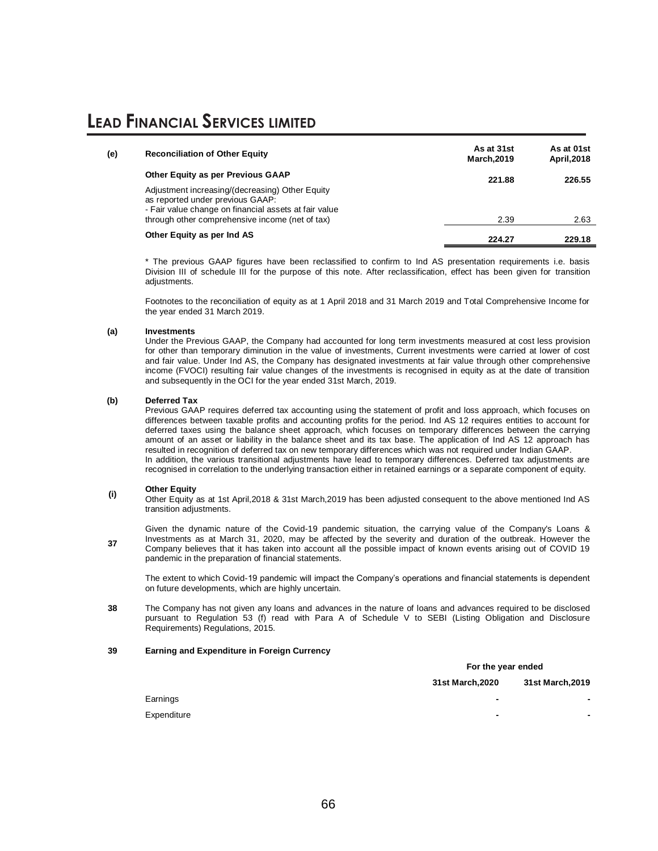| (e) | <b>Reconciliation of Other Equity</b>                                                                                                        | As at 31st<br><b>March, 2019</b> | As at 01st<br>April, 2018 |
|-----|----------------------------------------------------------------------------------------------------------------------------------------------|----------------------------------|---------------------------|
|     | Other Equity as per Previous GAAP                                                                                                            | 221.88                           | 226.55                    |
|     | Adjustment increasing/(decreasing) Other Equity<br>as reported under previous GAAP:<br>- Fair value change on financial assets at fair value |                                  |                           |
|     | through other comprehensive income (net of tax)                                                                                              | 2.39                             | 2.63                      |
|     | Other Equity as per Ind AS                                                                                                                   | 224.27                           | 229.18                    |

The previous GAAP figures have been reclassified to confirm to Ind AS presentation requirements i.e. basis Division III of schedule III for the purpose of this note. After reclassification, effect has been given for transition adiustments.

Footnotes to the reconciliation of equity as at 1 April 2018 and 31 March 2019 and Total Comprehensive Income for the year ended 31 March 2019.

#### **(a) Investments**

Under the Previous GAAP, the Company had accounted for long term investments measured at cost less provision for other than temporary diminution in the value of investments, Current investments were carried at lower of cost and fair value. Under Ind AS, the Company has designated investments at fair value through other comprehensive income (FVOCI) resulting fair value changes of the investments is recognised in equity as at the date of transition and subsequently in the OCI for the year ended 31st March, 2019.

#### **(b) Deferred Tax**

Previous GAAP requires deferred tax accounting using the statement of profit and loss approach, which focuses on differences between taxable profits and accounting profits for the period. Ind AS 12 requires entities to account for deferred taxes using the balance sheet approach, which focuses on temporary differences between the carrying amount of an asset or liability in the balance sheet and its tax base. The application of Ind AS 12 approach has resulted in recognition of deferred tax on new temporary differences which was not required under Indian GAAP. In addition, the various transitional adjustments have lead to temporary differences. Deferred tax adjustments are recognised in correlation to the underlying transaction either in retained earnings or a separate component of equity.

### **(i) Other Equity**

Other Equity as at 1st April,2018 & 31st March,2019 has been adjusted consequent to the above mentioned Ind AS transition adjustments.

**37** Given the dynamic nature of the Covid-19 pandemic situation, the carrying value of the Company's Loans & Investments as at March 31, 2020, may be affected by the severity and duration of the outbreak. However the Company believes that it has taken into account all the possible impact of known events arising out of COVID 19 pandemic in the preparation of financial statements.

The extent to which Covid-19 pandemic will impact the Company's operations and financial statements is dependent on future developments, which are highly uncertain.

**38** The Company has not given any loans and advances in the nature of loans and advances required to be disclosed pursuant to Regulation 53 (f) read with Para A of Schedule V to SEBI (Listing Obligation and Disclosure Requirements) Regulations, 2015.

#### **39 Earning and Expenditure in Foreign Currency**

**For the year ended** 

**31st March,2020 31st March,2019**

Earnings **- -** 

Expenditure **- -**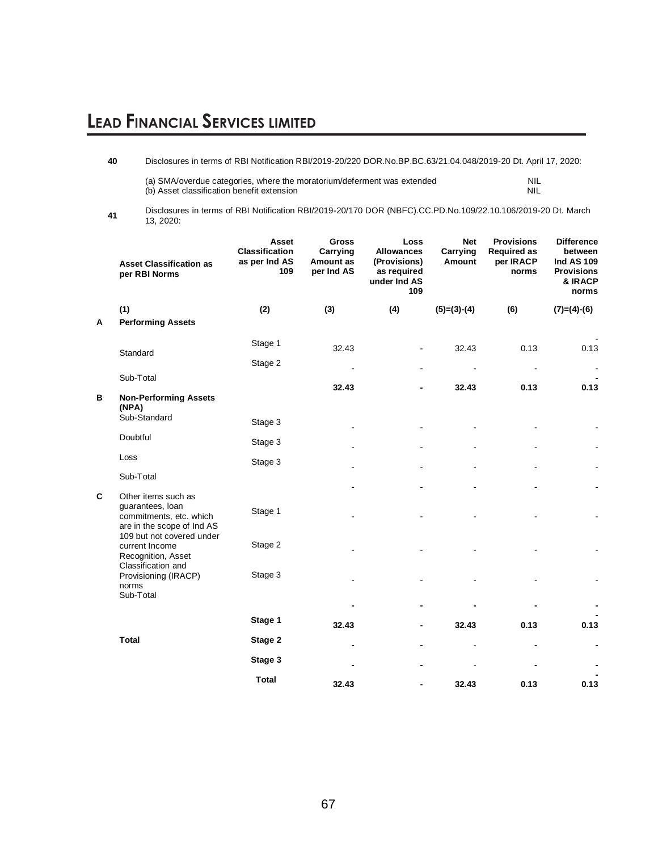**40** Disclosures in terms of RBI Notification RBI/2019-20/220 DOR.No.BP.BC.63/21.04.048/2019-20 Dt. April 17, 2020:

| (a) SMA/overdue categories, where the moratorium/deferment was extended | <b>NIL</b> |
|-------------------------------------------------------------------------|------------|
| (b) Asset classification benefit extension                              | NIL        |

**<sup>41</sup>** Disclosures in terms of RBI Notification RBI/2019-20/170 DOR (NBFC).CC.PD.No.109/22.10.106/2019-20 Dt. March 13, 2020:

|   | <b>Asset Classification as</b><br>per RBI Norms                                         | <b>Asset</b><br><b>Classification</b><br>as per Ind AS<br>109 | <b>Gross</b><br>Carrying<br>Amount as<br>per Ind AS | Loss<br><b>Allowances</b><br>(Provisions)<br>as required<br>under Ind AS<br>109 | <b>Net</b><br>Carrying<br>Amount | <b>Provisions</b><br><b>Required as</b><br>per IRACP<br>norms | <b>Difference</b><br>between<br><b>Ind AS 109</b><br><b>Provisions</b><br>& IRACP<br>norms |
|---|-----------------------------------------------------------------------------------------|---------------------------------------------------------------|-----------------------------------------------------|---------------------------------------------------------------------------------|----------------------------------|---------------------------------------------------------------|--------------------------------------------------------------------------------------------|
|   | (1)                                                                                     | (2)                                                           | (3)                                                 | (4)                                                                             | $(5)=(3)-(4)$                    | (6)                                                           | $(7)=(4)-(6)$                                                                              |
| A | <b>Performing Assets</b>                                                                |                                                               |                                                     |                                                                                 |                                  |                                                               |                                                                                            |
|   | Standard                                                                                | Stage 1                                                       | 32.43                                               |                                                                                 | 32.43                            | 0.13                                                          | 0.13                                                                                       |
|   |                                                                                         | Stage 2                                                       |                                                     |                                                                                 |                                  |                                                               |                                                                                            |
|   | Sub-Total                                                                               |                                                               | 32.43                                               |                                                                                 | 32.43                            | 0.13                                                          | 0.13                                                                                       |
| В | <b>Non-Performing Assets</b><br>(NPA)                                                   |                                                               |                                                     |                                                                                 |                                  |                                                               |                                                                                            |
|   | Sub-Standard                                                                            | Stage 3                                                       |                                                     |                                                                                 |                                  |                                                               |                                                                                            |
|   | Doubtful                                                                                | Stage 3                                                       |                                                     |                                                                                 |                                  |                                                               |                                                                                            |
|   | Loss                                                                                    | Stage 3                                                       |                                                     |                                                                                 |                                  |                                                               |                                                                                            |
|   | Sub-Total                                                                               |                                                               |                                                     |                                                                                 |                                  |                                                               |                                                                                            |
| C | Other items such as                                                                     |                                                               |                                                     |                                                                                 |                                  |                                                               |                                                                                            |
|   | guarantees, loan<br>commitments, etc. which<br>are in the scope of Ind AS               | Stage 1                                                       |                                                     |                                                                                 |                                  |                                                               |                                                                                            |
|   | 109 but not covered under<br>current Income<br>Recognition, Asset<br>Classification and | Stage 2                                                       |                                                     |                                                                                 |                                  |                                                               |                                                                                            |
|   | Provisioning (IRACP)<br>norms<br>Sub-Total                                              | Stage 3                                                       |                                                     |                                                                                 |                                  |                                                               |                                                                                            |
|   |                                                                                         |                                                               |                                                     |                                                                                 |                                  |                                                               |                                                                                            |
|   |                                                                                         | Stage 1                                                       | 32.43                                               |                                                                                 | 32.43                            | 0.13                                                          | 0.13                                                                                       |
|   | <b>Total</b>                                                                            | Stage 2                                                       |                                                     |                                                                                 |                                  |                                                               |                                                                                            |
|   |                                                                                         | Stage 3                                                       |                                                     |                                                                                 |                                  |                                                               |                                                                                            |
|   |                                                                                         | <b>Total</b>                                                  | 32.43                                               |                                                                                 | 32.43                            | 0.13                                                          | 0.13                                                                                       |